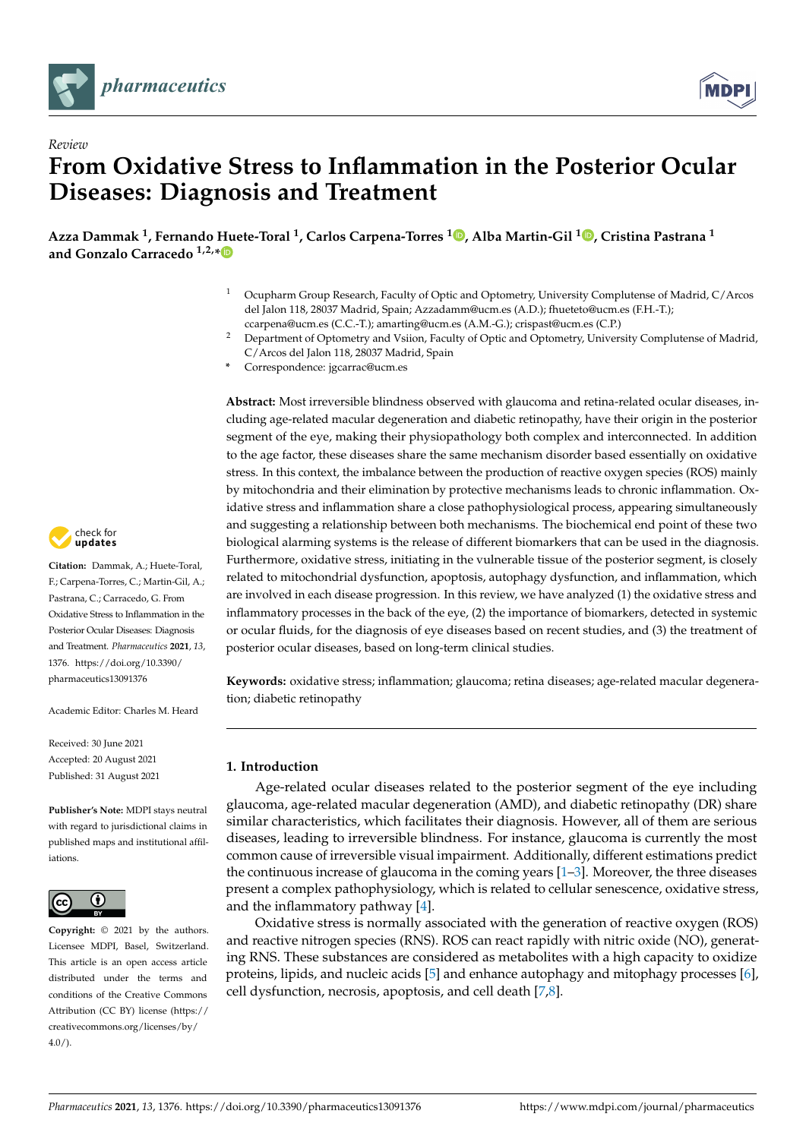

*Review*



# **From Oxidative Stress to Inflammation in the Posterior Ocular Diseases: Diagnosis and Treatment**

**Azza Dammak <sup>1</sup> , Fernando Huete-Toral <sup>1</sup> , Carlos Carpena-Torres <sup>1</sup> [,](https://orcid.org/0000-0001-9077-3557) Alba Martin-Gil <sup>1</sup> [,](https://orcid.org/0000-0001-8641-2169) Cristina Pastrana <sup>1</sup> and Gonzalo Carracedo 1,2,[\\*](https://orcid.org/0000-0003-0054-1731)**

- <sup>1</sup> Ocupharm Group Research, Faculty of Optic and Optometry, University Complutense of Madrid, C/Arcos del Jalon 118, 28037 Madrid, Spain; Azzadamm@ucm.es (A.D.); fhueteto@ucm.es (F.H.-T.); ccarpena@ucm.es (C.C.-T.); amarting@ucm.es (A.M.-G.); crispast@ucm.es (C.P.)
- <sup>2</sup> Department of Optometry and Vsiion, Faculty of Optic and Optometry, University Complutense of Madrid, C/Arcos del Jalon 118, 28037 Madrid, Spain
- **\*** Correspondence: jgcarrac@ucm.es

**Abstract:** Most irreversible blindness observed with glaucoma and retina-related ocular diseases, including age-related macular degeneration and diabetic retinopathy, have their origin in the posterior segment of the eye, making their physiopathology both complex and interconnected. In addition to the age factor, these diseases share the same mechanism disorder based essentially on oxidative stress. In this context, the imbalance between the production of reactive oxygen species (ROS) mainly by mitochondria and their elimination by protective mechanisms leads to chronic inflammation. Oxidative stress and inflammation share a close pathophysiological process, appearing simultaneously and suggesting a relationship between both mechanisms. The biochemical end point of these two biological alarming systems is the release of different biomarkers that can be used in the diagnosis. Furthermore, oxidative stress, initiating in the vulnerable tissue of the posterior segment, is closely related to mitochondrial dysfunction, apoptosis, autophagy dysfunction, and inflammation, which are involved in each disease progression. In this review, we have analyzed (1) the oxidative stress and inflammatory processes in the back of the eye, (2) the importance of biomarkers, detected in systemic or ocular fluids, for the diagnosis of eye diseases based on recent studies, and (3) the treatment of posterior ocular diseases, based on long-term clinical studies.

**Keywords:** oxidative stress; inflammation; glaucoma; retina diseases; age-related macular degeneration; diabetic retinopathy

# **1. Introduction**

Age-related ocular diseases related to the posterior segment of the eye including glaucoma, age-related macular degeneration (AMD), and diabetic retinopathy (DR) share similar characteristics, which facilitates their diagnosis. However, all of them are serious diseases, leading to irreversible blindness. For instance, glaucoma is currently the most common cause of irreversible visual impairment. Additionally, different estimations predict the continuous increase of glaucoma in the coming years [\[1](#page-17-0)[–3\]](#page-17-1). Moreover, the three diseases present a complex pathophysiology, which is related to cellular senescence, oxidative stress, and the inflammatory pathway  $[4]$ .

Oxidative stress is normally associated with the generation of reactive oxygen (ROS) and reactive nitrogen species (RNS). ROS can react rapidly with nitric oxide (NO), generating RNS. These substances are considered as metabolites with a high capacity to oxidize proteins, lipids, and nucleic acids [\[5\]](#page-17-3) and enhance autophagy and mitophagy processes [\[6\]](#page-17-4), cell dysfunction, necrosis, apoptosis, and cell death [\[7](#page-17-5)[,8\]](#page-17-6).



**Citation:** Dammak, A.; Huete-Toral, F.; Carpena-Torres, C.; Martin-Gil, A.; Pastrana, C.; Carracedo, G. From Oxidative Stress to Inflammation in the Posterior Ocular Diseases: Diagnosis and Treatment. *Pharmaceutics* **2021**, *13*, 1376. [https://doi.org/10.3390/](https://doi.org/10.3390/pharmaceutics13091376) [pharmaceutics13091376](https://doi.org/10.3390/pharmaceutics13091376)

Academic Editor: Charles M. Heard

Received: 30 June 2021 Accepted: 20 August 2021 Published: 31 August 2021

**Publisher's Note:** MDPI stays neutral with regard to jurisdictional claims in published maps and institutional affiliations.



**Copyright:** © 2021 by the authors. Licensee MDPI, Basel, Switzerland. This article is an open access article distributed under the terms and conditions of the Creative Commons Attribution (CC BY) license (https:/[/](https://creativecommons.org/licenses/by/4.0/) [creativecommons.org/licenses/by/](https://creativecommons.org/licenses/by/4.0/)  $4.0/$ ).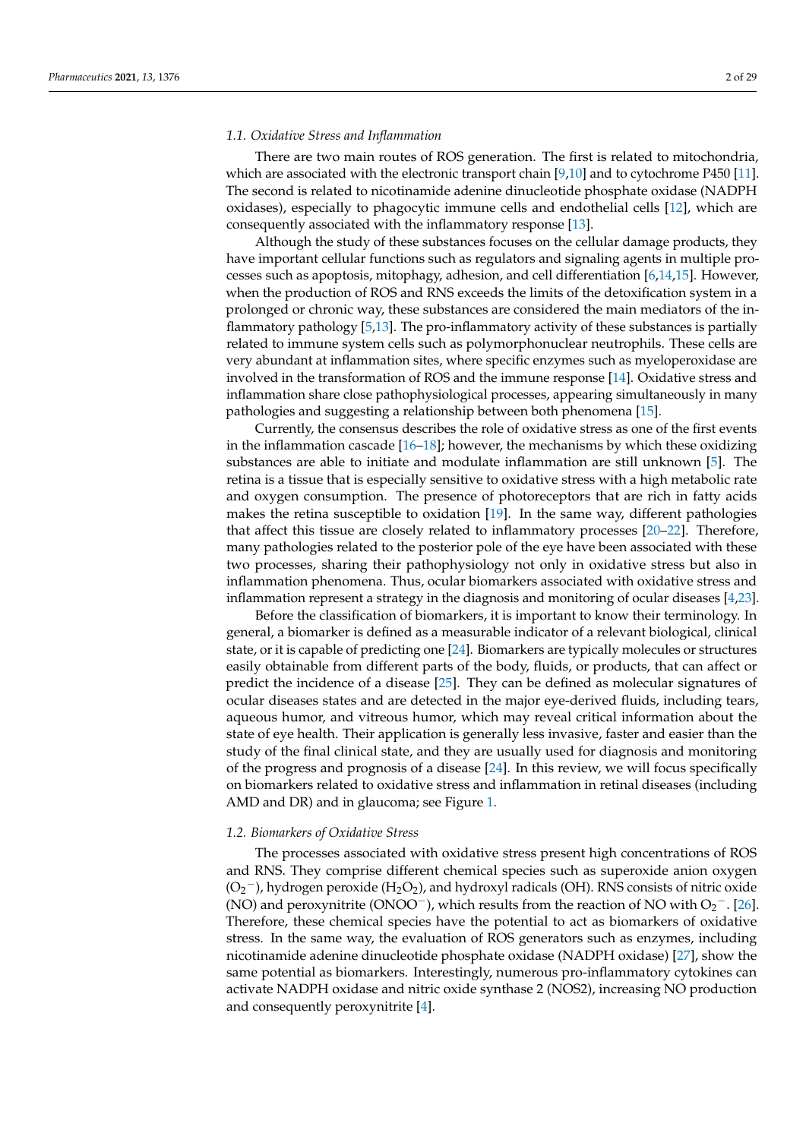#### *1.1. Oxidative Stress and Inflammation*

There are two main routes of ROS generation. The first is related to mitochondria, which are associated with the electronic transport chain [\[9,](#page-17-7)[10\]](#page-17-8) and to cytochrome P450 [\[11\]](#page-17-9). The second is related to nicotinamide adenine dinucleotide phosphate oxidase (NADPH oxidases), especially to phagocytic immune cells and endothelial cells [\[12\]](#page-17-10), which are consequently associated with the inflammatory response [\[13\]](#page-17-11).

Although the study of these substances focuses on the cellular damage products, they have important cellular functions such as regulators and signaling agents in multiple processes such as apoptosis, mitophagy, adhesion, and cell differentiation [\[6,](#page-17-4)[14,](#page-17-12)[15\]](#page-17-13). However, when the production of ROS and RNS exceeds the limits of the detoxification system in a prolonged or chronic way, these substances are considered the main mediators of the inflammatory pathology [\[5](#page-17-3)[,13\]](#page-17-11). The pro-inflammatory activity of these substances is partially related to immune system cells such as polymorphonuclear neutrophils. These cells are very abundant at inflammation sites, where specific enzymes such as myeloperoxidase are involved in the transformation of ROS and the immune response [\[14\]](#page-17-12). Oxidative stress and inflammation share close pathophysiological processes, appearing simultaneously in many pathologies and suggesting a relationship between both phenomena [\[15\]](#page-17-13).

Currently, the consensus describes the role of oxidative stress as one of the first events in the inflammation cascade [\[16–](#page-17-14)[18\]](#page-17-15); however, the mechanisms by which these oxidizing substances are able to initiate and modulate inflammation are still unknown [\[5\]](#page-17-3). The retina is a tissue that is especially sensitive to oxidative stress with a high metabolic rate and oxygen consumption. The presence of photoreceptors that are rich in fatty acids makes the retina susceptible to oxidation [\[19\]](#page-17-16). In the same way, different pathologies that affect this tissue are closely related to inflammatory processes [\[20–](#page-17-17)[22\]](#page-18-0). Therefore, many pathologies related to the posterior pole of the eye have been associated with these two processes, sharing their pathophysiology not only in oxidative stress but also in inflammation phenomena. Thus, ocular biomarkers associated with oxidative stress and inflammation represent a strategy in the diagnosis and monitoring of ocular diseases [\[4](#page-17-2)[,23\]](#page-18-1).

Before the classification of biomarkers, it is important to know their terminology. In general, a biomarker is defined as a measurable indicator of a relevant biological, clinical state, or it is capable of predicting one [\[24\]](#page-18-2). Biomarkers are typically molecules or structures easily obtainable from different parts of the body, fluids, or products, that can affect or predict the incidence of a disease [\[25\]](#page-18-3). They can be defined as molecular signatures of ocular diseases states and are detected in the major eye-derived fluids, including tears, aqueous humor, and vitreous humor, which may reveal critical information about the state of eye health. Their application is generally less invasive, faster and easier than the study of the final clinical state, and they are usually used for diagnosis and monitoring of the progress and prognosis of a disease [\[24\]](#page-18-2). In this review, we will focus specifically on biomarkers related to oxidative stress and inflammation in retinal diseases (including AMD and DR) and in glaucoma; see Figure [1.](#page-2-0)

#### *1.2. Biomarkers of Oxidative Stress*

The processes associated with oxidative stress present high concentrations of ROS and RNS. They comprise different chemical species such as superoxide anion oxygen  $(O_2^-)$ , hydrogen peroxide (H<sub>2</sub>O<sub>2</sub>), and hydroxyl radicals (OH). RNS consists of nitric oxide (NO) and peroxynitrite (ONOO<sup>-</sup>), which results from the reaction of NO with  $O_2^-$ . [\[26\]](#page-18-4). Therefore, these chemical species have the potential to act as biomarkers of oxidative stress. In the same way, the evaluation of ROS generators such as enzymes, including nicotinamide adenine dinucleotide phosphate oxidase (NADPH oxidase) [\[27\]](#page-18-5), show the same potential as biomarkers. Interestingly, numerous pro-inflammatory cytokines can activate NADPH oxidase and nitric oxide synthase 2 (NOS2), increasing NO production and consequently peroxynitrite [\[4\]](#page-17-2).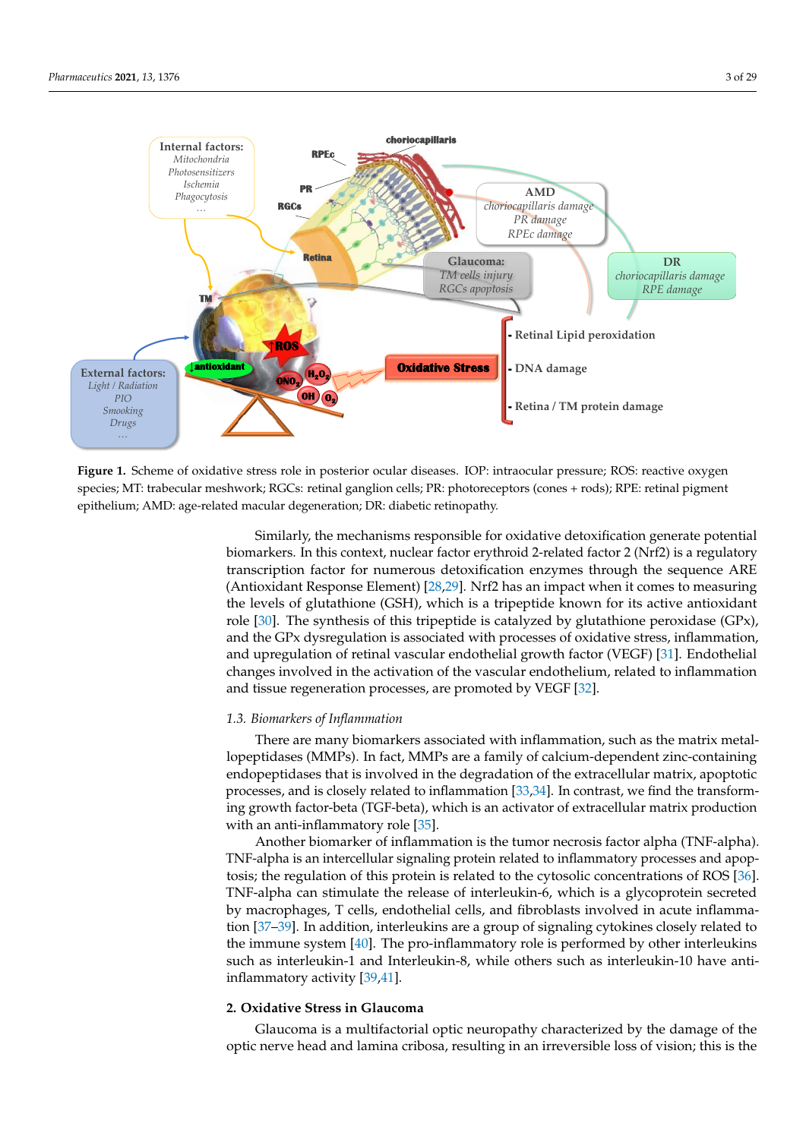<span id="page-2-0"></span>

Figure 1. Scheme of oxidative stress role in posterior ocular diseases. IOP: intraocular pressure; ROS: reactive oxygen species; MT: trabecular meshwork; RGCs: retinal ganglion cells; PR: photoreceptors (cones + rods); RPE: retinal pigment epithelium; AMD: age-related macular degeneration; DR: diabetic retinopathy. epithelium; AMD: age-related macular degeneration; DR: diabetic retinopathy.

Similarly, the mechanisms responsible for oxidative detoxification generate potential biomarkers. In this context, nuclear factor erythroid 2-related factor 2 (Nrf2) is a regulatory transcription factor for numerous detoxification enzymes through the sequence ARE (Antioxidant Response Element)  $[28,29]$  $[28,29]$ . Nrf2 has an impact when it comes to measuring the levels of glutathione (GSH), which is a tripeptide known for its active antioxidant role [\[30\]](#page-18-8). The synthesis of this tripeptide is catalyzed by glutathione peroxidase (GPx), and the GPx dysregulation is associated with processes of oxidative stress, inflammation, and upregulation of retinal vascular endothelial growth factor (VEGF) [\[31\]](#page-18-9). Endothelial changes involved in the activation of the vascular endothelium, related to inflammation and tissue regeneration processes, are promoted by VEGF [\[32\]](#page-18-10).

# 1.3. Biomarkers of Inflammation

Similarly, the mechanisms responsible for oxidative detoxification generate potential There are many biomarkers associated with inflammation, such as the matrix metal-<br> $\frac{1}{2}$ lopeptidases (MMPs). In fact, MMPs are a family of calcium-dependent zinc-containing endopeptidases that is involved in the degradation of the extracellular matrix, apoptotic endopeptidases that is involved in the degradation of the extracellular matrix, apoptotic processes, and is closely related to inflammation [\[33,](#page-18-11)[34\]](#page-18-12). In contrast, we find the transforming growth factor-beta (TGF-beta), which is an activator of extracellular matrix production<br>with an entitie flammate we what ISE with an anti-inflammatory role [\[35\]](#page-18-13).

with an and miammatic y fole  $[0.9]$ .<br>Another biomarker of inflammation is the tumor necrosis factor alpha (TNF-alpha). TNF-alpha is an intercellular signaling protein related to inflammatory processes and apop-<br>TNF-alpha is an intercellular signaling protein related to inflammatory processes and apop-If the uppear is an intercelation of this protein related to the cytosolic concentrations of ROS [\[36\]](#page-18-14). regeneration of this protein is related to the cytosone concentrations of rices [33].<br>TNF-alpha can stimulate the release of interleukin-6, which is a glycoprotein secreted *1.3. Biomarkers of Inflammation* tion [\[37](#page-18-15)[–39\]](#page-18-16). In addition, interleukins are a group of signaling cytokines closely related to the immune system [\[40\]](#page-18-17). The pro-inflammatory role is performed by other interleukins such as interleukin-1 and Interleukin-8, while others such as interleukin-10 have anti-inflammatory activity [\[39,](#page-18-16)41]. by macrophages, T cells, endothelial cells, and fibroblasts involved in acute inflamma-

# forming growth factor-beta (TGF-beta), which is an activator of extracellular matrix pro-**2. Oxidative Stress in Glaucoma**

Glaucoma is a multifactorial optic neuropathy characterized by the damage of the optic nerve head and lamina cribosa, resulting in an irreversible loss of vision; this is the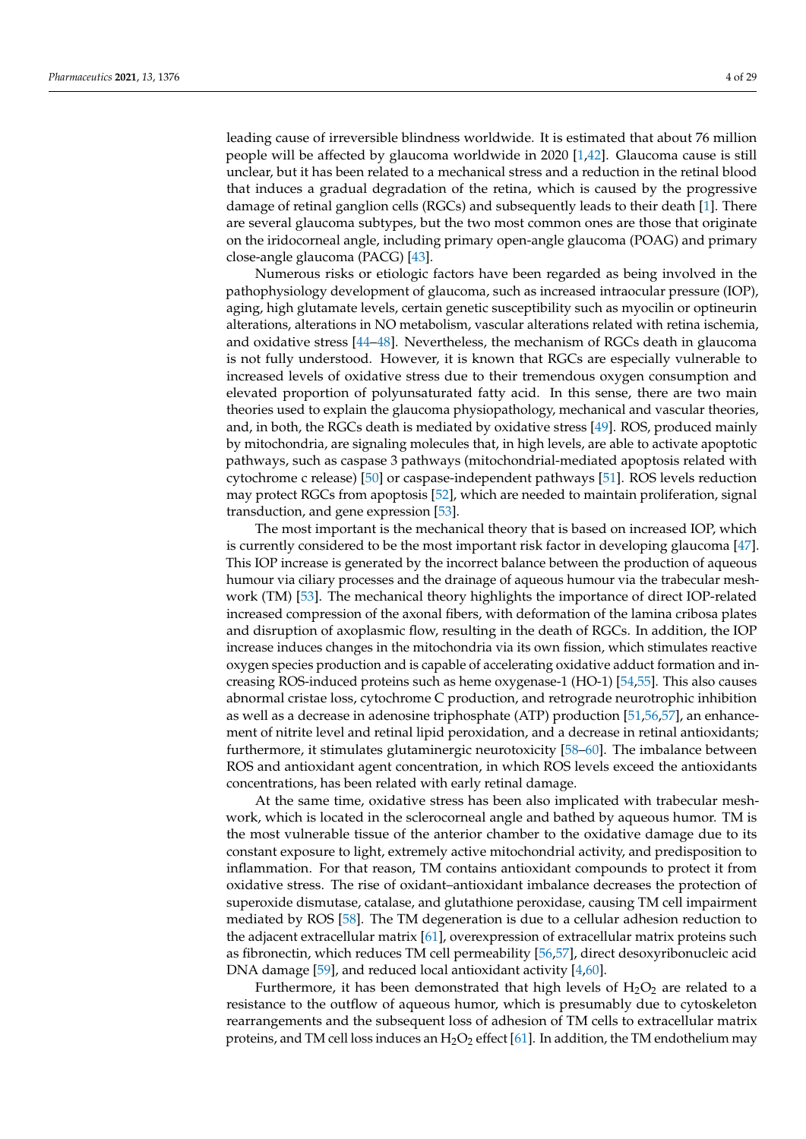leading cause of irreversible blindness worldwide. It is estimated that about 76 million people will be affected by glaucoma worldwide in 2020 [\[1,](#page-17-0)[42\]](#page-18-19). Glaucoma cause is still unclear, but it has been related to a mechanical stress and a reduction in the retinal blood that induces a gradual degradation of the retina, which is caused by the progressive damage of retinal ganglion cells (RGCs) and subsequently leads to their death [\[1\]](#page-17-0). There are several glaucoma subtypes, but the two most common ones are those that originate on the iridocorneal angle, including primary open-angle glaucoma (POAG) and primary close-angle glaucoma (PACG) [\[43\]](#page-18-20).

Numerous risks or etiologic factors have been regarded as being involved in the pathophysiology development of glaucoma, such as increased intraocular pressure (IOP), aging, high glutamate levels, certain genetic susceptibility such as myocilin or optineurin alterations, alterations in NO metabolism, vascular alterations related with retina ischemia, and oxidative stress [\[44](#page-18-21)[–48\]](#page-18-22). Nevertheless, the mechanism of RGCs death in glaucoma is not fully understood. However, it is known that RGCs are especially vulnerable to increased levels of oxidative stress due to their tremendous oxygen consumption and elevated proportion of polyunsaturated fatty acid. In this sense, there are two main theories used to explain the glaucoma physiopathology, mechanical and vascular theories, and, in both, the RGCs death is mediated by oxidative stress [\[49\]](#page-18-23). ROS, produced mainly by mitochondria, are signaling molecules that, in high levels, are able to activate apoptotic pathways, such as caspase 3 pathways (mitochondrial-mediated apoptosis related with cytochrome c release) [\[50\]](#page-18-24) or caspase-independent pathways [\[51\]](#page-19-0). ROS levels reduction may protect RGCs from apoptosis [\[52\]](#page-19-1), which are needed to maintain proliferation, signal transduction, and gene expression [\[53\]](#page-19-2).

The most important is the mechanical theory that is based on increased IOP, which is currently considered to be the most important risk factor in developing glaucoma [\[47\]](#page-18-25). This IOP increase is generated by the incorrect balance between the production of aqueous humour via ciliary processes and the drainage of aqueous humour via the trabecular meshwork (TM) [\[53\]](#page-19-2). The mechanical theory highlights the importance of direct IOP-related increased compression of the axonal fibers, with deformation of the lamina cribosa plates and disruption of axoplasmic flow, resulting in the death of RGCs. In addition, the IOP increase induces changes in the mitochondria via its own fission, which stimulates reactive oxygen species production and is capable of accelerating oxidative adduct formation and increasing ROS-induced proteins such as heme oxygenase-1 (HO-1) [\[54](#page-19-3)[,55\]](#page-19-4). This also causes abnormal cristae loss, cytochrome C production, and retrograde neurotrophic inhibition as well as a decrease in adenosine triphosphate (ATP) production [\[51](#page-19-0)[,56](#page-19-5)[,57\]](#page-19-6), an enhancement of nitrite level and retinal lipid peroxidation, and a decrease in retinal antioxidants; furthermore, it stimulates glutaminergic neurotoxicity [\[58](#page-19-7)[–60\]](#page-19-8). The imbalance between ROS and antioxidant agent concentration, in which ROS levels exceed the antioxidants concentrations, has been related with early retinal damage.

At the same time, oxidative stress has been also implicated with trabecular meshwork, which is located in the sclerocorneal angle and bathed by aqueous humor. TM is the most vulnerable tissue of the anterior chamber to the oxidative damage due to its constant exposure to light, extremely active mitochondrial activity, and predisposition to inflammation. For that reason, TM contains antioxidant compounds to protect it from oxidative stress. The rise of oxidant–antioxidant imbalance decreases the protection of superoxide dismutase, catalase, and glutathione peroxidase, causing TM cell impairment mediated by ROS [\[58\]](#page-19-7). The TM degeneration is due to a cellular adhesion reduction to the adjacent extracellular matrix [\[61\]](#page-19-9), overexpression of extracellular matrix proteins such as fibronectin, which reduces TM cell permeability [\[56,](#page-19-5)[57\]](#page-19-6), direct desoxyribonucleic acid DNA damage [\[59\]](#page-19-10), and reduced local antioxidant activity [\[4](#page-17-2)[,60\]](#page-19-8).

Furthermore, it has been demonstrated that high levels of  $H_2O_2$  are related to a resistance to the outflow of aqueous humor, which is presumably due to cytoskeleton rearrangements and the subsequent loss of adhesion of TM cells to extracellular matrix proteins, and TM cell loss induces an  $H_2O_2$  effect [\[61\]](#page-19-9). In addition, the TM endothelium may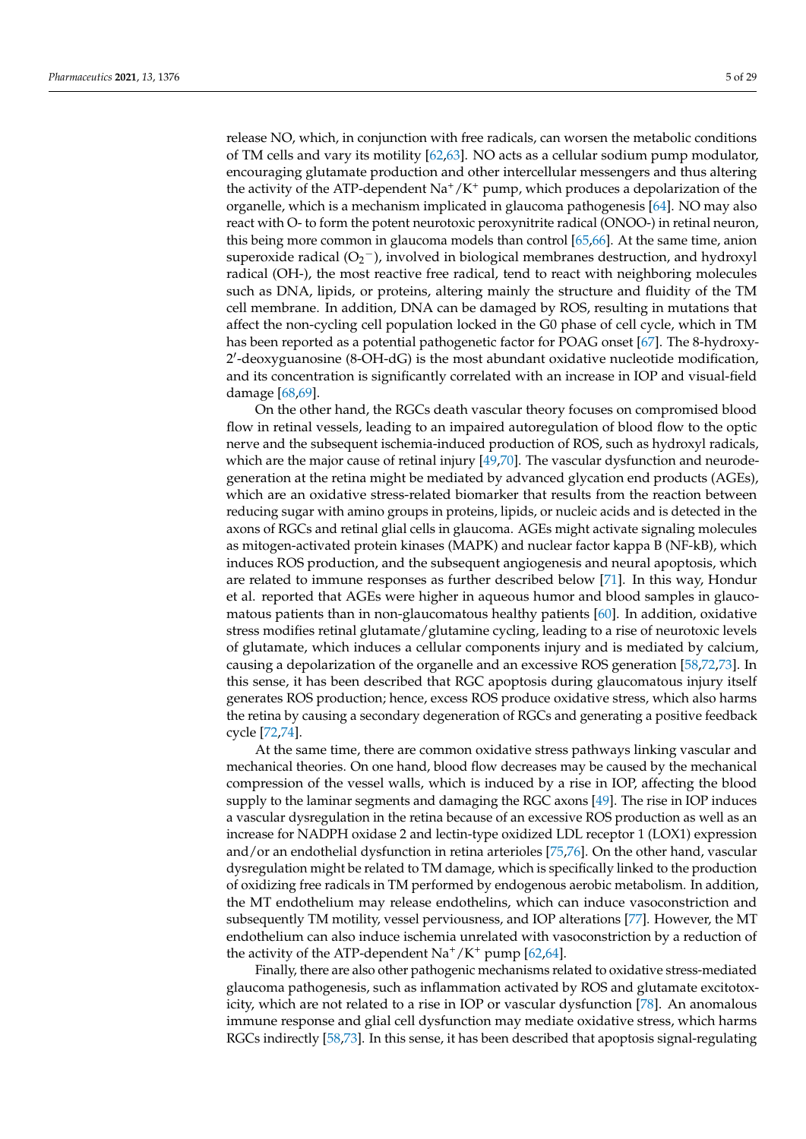release NO, which, in conjunction with free radicals, can worsen the metabolic conditions of TM cells and vary its motility [\[62](#page-19-11)[,63\]](#page-19-12). NO acts as a cellular sodium pump modulator, encouraging glutamate production and other intercellular messengers and thus altering the activity of the ATP-dependent  $\mathrm{Na^+/K^+}$  pump, which produces a depolarization of the organelle, which is a mechanism implicated in glaucoma pathogenesis [\[64\]](#page-19-13). NO may also react with O- to form the potent neurotoxic peroxynitrite radical (ONOO-) in retinal neuron, this being more common in glaucoma models than control [\[65,](#page-19-14)[66\]](#page-19-15). At the same time, anion superoxide radical  $(O_2^-)$ , involved in biological membranes destruction, and hydroxyl radical (OH-), the most reactive free radical, tend to react with neighboring molecules such as DNA, lipids, or proteins, altering mainly the structure and fluidity of the TM cell membrane. In addition, DNA can be damaged by ROS, resulting in mutations that affect the non-cycling cell population locked in the G0 phase of cell cycle, which in TM has been reported as a potential pathogenetic factor for POAG onset [\[67\]](#page-19-16). The 8-hydroxy-2 0 -deoxyguanosine (8-OH-dG) is the most abundant oxidative nucleotide modification, and its concentration is significantly correlated with an increase in IOP and visual-field damage [\[68,](#page-19-17)[69\]](#page-19-18).

On the other hand, the RGCs death vascular theory focuses on compromised blood flow in retinal vessels, leading to an impaired autoregulation of blood flow to the optic nerve and the subsequent ischemia-induced production of ROS, such as hydroxyl radicals, which are the major cause of retinal injury [\[49,](#page-18-23)[70\]](#page-19-19). The vascular dysfunction and neurodegeneration at the retina might be mediated by advanced glycation end products (AGEs), which are an oxidative stress-related biomarker that results from the reaction between reducing sugar with amino groups in proteins, lipids, or nucleic acids and is detected in the axons of RGCs and retinal glial cells in glaucoma. AGEs might activate signaling molecules as mitogen-activated protein kinases (MAPK) and nuclear factor kappa B (NF-kB), which induces ROS production, and the subsequent angiogenesis and neural apoptosis, which are related to immune responses as further described below [\[71\]](#page-19-20). In this way, Hondur et al. reported that AGEs were higher in aqueous humor and blood samples in glaucomatous patients than in non-glaucomatous healthy patients [\[60\]](#page-19-8). In addition, oxidative stress modifies retinal glutamate/glutamine cycling, leading to a rise of neurotoxic levels of glutamate, which induces a cellular components injury and is mediated by calcium, causing a depolarization of the organelle and an excessive ROS generation [\[58](#page-19-7)[,72](#page-19-21)[,73\]](#page-19-22). In this sense, it has been described that RGC apoptosis during glaucomatous injury itself generates ROS production; hence, excess ROS produce oxidative stress, which also harms the retina by causing a secondary degeneration of RGCs and generating a positive feedback cycle [\[72,](#page-19-21)[74\]](#page-19-23).

At the same time, there are common oxidative stress pathways linking vascular and mechanical theories. On one hand, blood flow decreases may be caused by the mechanical compression of the vessel walls, which is induced by a rise in IOP, affecting the blood supply to the laminar segments and damaging the RGC axons [\[49\]](#page-18-23). The rise in IOP induces a vascular dysregulation in the retina because of an excessive ROS production as well as an increase for NADPH oxidase 2 and lectin-type oxidized LDL receptor 1 (LOX1) expression and/or an endothelial dysfunction in retina arterioles [\[75](#page-19-24)[,76\]](#page-19-25). On the other hand, vascular dysregulation might be related to TM damage, which is specifically linked to the production of oxidizing free radicals in TM performed by endogenous aerobic metabolism. In addition, the MT endothelium may release endothelins, which can induce vasoconstriction and subsequently TM motility, vessel perviousness, and IOP alterations [\[77\]](#page-19-26). However, the MT endothelium can also induce ischemia unrelated with vasoconstriction by a reduction of the activity of the ATP-dependent  $Na^+/K^+$  pump [\[62](#page-19-11)[,64\]](#page-19-13).

Finally, there are also other pathogenic mechanisms related to oxidative stress-mediated glaucoma pathogenesis, such as inflammation activated by ROS and glutamate excitotoxicity, which are not related to a rise in IOP or vascular dysfunction [\[78\]](#page-20-0). An anomalous immune response and glial cell dysfunction may mediate oxidative stress, which harms RGCs indirectly [\[58,](#page-19-7)[73\]](#page-19-22). In this sense, it has been described that apoptosis signal-regulating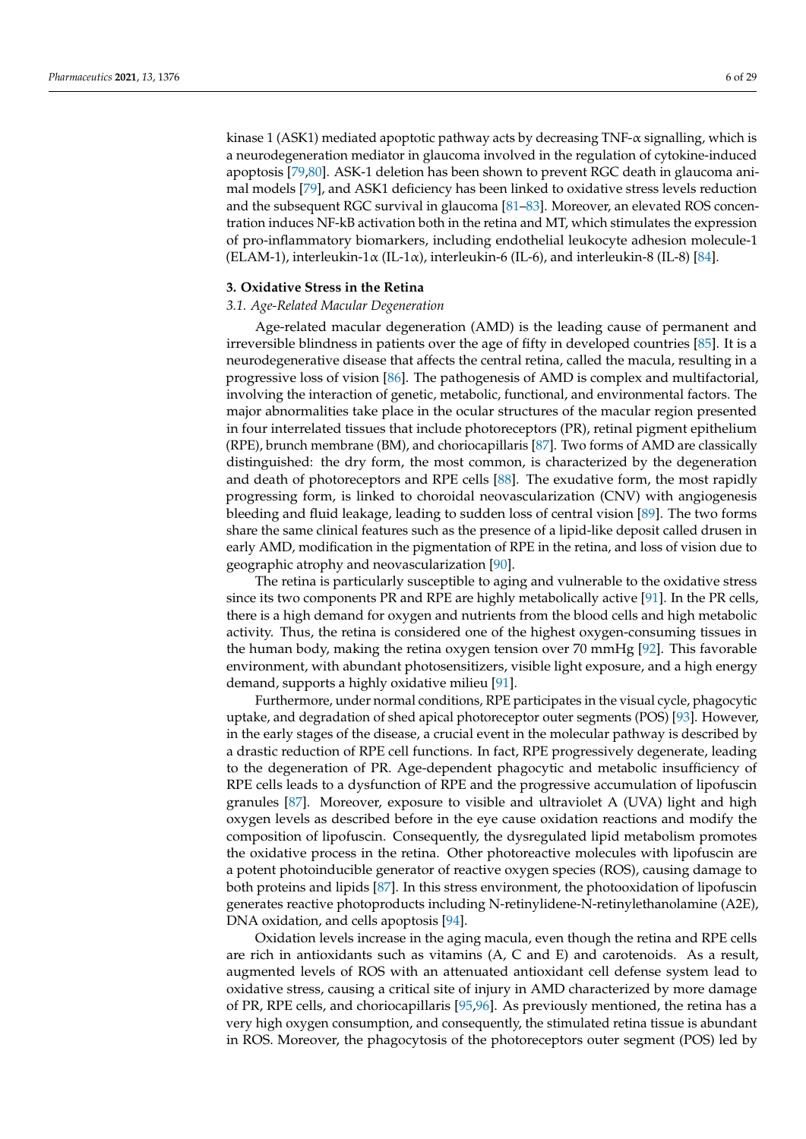kinase 1 (ASK1) mediated apoptotic pathway acts by decreasing  $TNF-\alpha$  signalling, which is a neurodegeneration mediator in glaucoma involved in the regulation of cytokine-induced apoptosis [\[79](#page-20-1)[,80\]](#page-20-2). ASK-1 deletion has been shown to prevent RGC death in glaucoma animal models [\[79\]](#page-20-1), and ASK1 deficiency has been linked to oxidative stress levels reduction and the subsequent RGC survival in glaucoma [\[81–](#page-20-3)[83\]](#page-20-4). Moreover, an elevated ROS concentration induces NF-kB activation both in the retina and MT, which stimulates the expression of pro-inflammatory biomarkers, including endothelial leukocyte adhesion molecule-1 (ELAM-1), interleukin-1 $\alpha$  (IL-1 $\alpha$ ), interleukin-6 (IL-6), and interleukin-8 (IL-8) [\[84\]](#page-20-5).

# **3. Oxidative Stress in the Retina**

# *3.1. Age-Related Macular Degeneration*

Age-related macular degeneration (AMD) is the leading cause of permanent and irreversible blindness in patients over the age of fifty in developed countries [\[85\]](#page-20-6). It is a neurodegenerative disease that affects the central retina, called the macula, resulting in a progressive loss of vision [\[86\]](#page-20-7). The pathogenesis of AMD is complex and multifactorial, involving the interaction of genetic, metabolic, functional, and environmental factors. The major abnormalities take place in the ocular structures of the macular region presented in four interrelated tissues that include photoreceptors (PR), retinal pigment epithelium (RPE), brunch membrane (BM), and choriocapillaris [\[87\]](#page-20-8). Two forms of AMD are classically distinguished: the dry form, the most common, is characterized by the degeneration and death of photoreceptors and RPE cells [\[88\]](#page-20-9). The exudative form, the most rapidly progressing form, is linked to choroidal neovascularization (CNV) with angiogenesis bleeding and fluid leakage, leading to sudden loss of central vision [\[89\]](#page-20-10). The two forms share the same clinical features such as the presence of a lipid-like deposit called drusen in early AMD, modification in the pigmentation of RPE in the retina, and loss of vision due to geographic atrophy and neovascularization [\[90\]](#page-20-11).

The retina is particularly susceptible to aging and vulnerable to the oxidative stress since its two components PR and RPE are highly metabolically active [\[91\]](#page-20-12). In the PR cells, there is a high demand for oxygen and nutrients from the blood cells and high metabolic activity. Thus, the retina is considered one of the highest oxygen-consuming tissues in the human body, making the retina oxygen tension over 70 mmHg [\[92\]](#page-20-13). This favorable environment, with abundant photosensitizers, visible light exposure, and a high energy demand, supports a highly oxidative milieu [\[91\]](#page-20-12).

Furthermore, under normal conditions, RPE participates in the visual cycle, phagocytic uptake, and degradation of shed apical photoreceptor outer segments (POS) [\[93\]](#page-20-14). However, in the early stages of the disease, a crucial event in the molecular pathway is described by a drastic reduction of RPE cell functions. In fact, RPE progressively degenerate, leading to the degeneration of PR. Age-dependent phagocytic and metabolic insufficiency of RPE cells leads to a dysfunction of RPE and the progressive accumulation of lipofuscin granules [\[87\]](#page-20-8). Moreover, exposure to visible and ultraviolet A (UVA) light and high oxygen levels as described before in the eye cause oxidation reactions and modify the composition of lipofuscin. Consequently, the dysregulated lipid metabolism promotes the oxidative process in the retina. Other photoreactive molecules with lipofuscin are a potent photoinducible generator of reactive oxygen species (ROS), causing damage to both proteins and lipids [\[87\]](#page-20-8). In this stress environment, the photooxidation of lipofuscin generates reactive photoproducts including N-retinylidene-N-retinylethanolamine (A2E), DNA oxidation, and cells apoptosis [\[94\]](#page-20-15).

Oxidation levels increase in the aging macula, even though the retina and RPE cells are rich in antioxidants such as vitamins (A, C and E) and carotenoids. As a result, augmented levels of ROS with an attenuated antioxidant cell defense system lead to oxidative stress, causing a critical site of injury in AMD characterized by more damage of PR, RPE cells, and choriocapillaris [\[95,](#page-20-16)[96\]](#page-20-17). As previously mentioned, the retina has a very high oxygen consumption, and consequently, the stimulated retina tissue is abundant in ROS. Moreover, the phagocytosis of the photoreceptors outer segment (POS) led by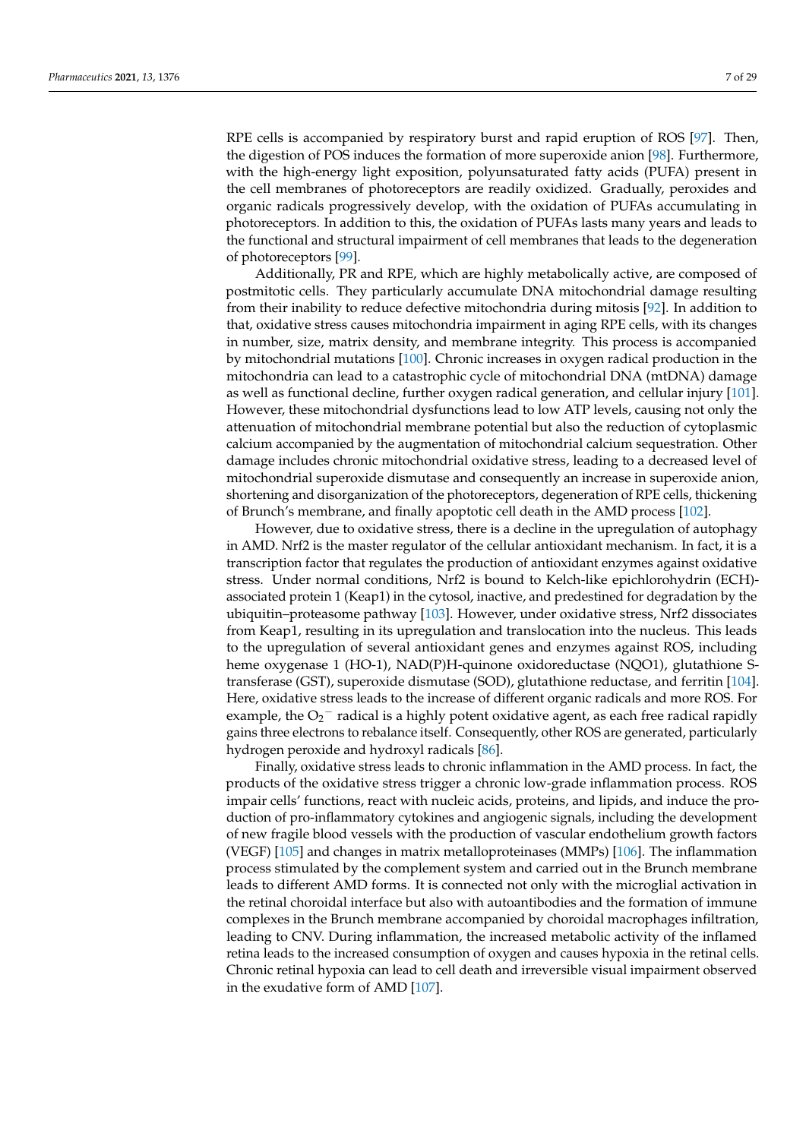RPE cells is accompanied by respiratory burst and rapid eruption of ROS [\[97\]](#page-20-18). Then, the digestion of POS induces the formation of more superoxide anion [\[98\]](#page-20-19). Furthermore, with the high-energy light exposition, polyunsaturated fatty acids (PUFA) present in the cell membranes of photoreceptors are readily oxidized. Gradually, peroxides and organic radicals progressively develop, with the oxidation of PUFAs accumulating in photoreceptors. In addition to this, the oxidation of PUFAs lasts many years and leads to the functional and structural impairment of cell membranes that leads to the degeneration of photoreceptors [\[99\]](#page-20-20).

Additionally, PR and RPE, which are highly metabolically active, are composed of postmitotic cells. They particularly accumulate DNA mitochondrial damage resulting from their inability to reduce defective mitochondria during mitosis [\[92\]](#page-20-13). In addition to that, oxidative stress causes mitochondria impairment in aging RPE cells, with its changes in number, size, matrix density, and membrane integrity. This process is accompanied by mitochondrial mutations [\[100\]](#page-20-21). Chronic increases in oxygen radical production in the mitochondria can lead to a catastrophic cycle of mitochondrial DNA (mtDNA) damage as well as functional decline, further oxygen radical generation, and cellular injury [\[101\]](#page-20-22). However, these mitochondrial dysfunctions lead to low ATP levels, causing not only the attenuation of mitochondrial membrane potential but also the reduction of cytoplasmic calcium accompanied by the augmentation of mitochondrial calcium sequestration. Other damage includes chronic mitochondrial oxidative stress, leading to a decreased level of mitochondrial superoxide dismutase and consequently an increase in superoxide anion, shortening and disorganization of the photoreceptors, degeneration of RPE cells, thickening of Brunch's membrane, and finally apoptotic cell death in the AMD process [\[102\]](#page-20-23).

However, due to oxidative stress, there is a decline in the upregulation of autophagy in AMD. Nrf2 is the master regulator of the cellular antioxidant mechanism. In fact, it is a transcription factor that regulates the production of antioxidant enzymes against oxidative stress. Under normal conditions, Nrf2 is bound to Kelch-like epichlorohydrin (ECH) associated protein 1 (Keap1) in the cytosol, inactive, and predestined for degradation by the ubiquitin–proteasome pathway [\[103\]](#page-20-24). However, under oxidative stress, Nrf2 dissociates from Keap1, resulting in its upregulation and translocation into the nucleus. This leads to the upregulation of several antioxidant genes and enzymes against ROS, including heme oxygenase 1 (HO-1), NAD(P)H-quinone oxidoreductase (NQO1), glutathione Stransferase (GST), superoxide dismutase (SOD), glutathione reductase, and ferritin [\[104\]](#page-20-25). Here, oxidative stress leads to the increase of different organic radicals and more ROS. For example, the  $O_2^-$  radical is a highly potent oxidative agent, as each free radical rapidly gains three electrons to rebalance itself. Consequently, other ROS are generated, particularly hydrogen peroxide and hydroxyl radicals [\[86\]](#page-20-7).

Finally, oxidative stress leads to chronic inflammation in the AMD process. In fact, the products of the oxidative stress trigger a chronic low-grade inflammation process. ROS impair cells' functions, react with nucleic acids, proteins, and lipids, and induce the production of pro-inflammatory cytokines and angiogenic signals, including the development of new fragile blood vessels with the production of vascular endothelium growth factors (VEGF) [\[105\]](#page-20-26) and changes in matrix metalloproteinases (MMPs) [\[106\]](#page-20-27). The inflammation process stimulated by the complement system and carried out in the Brunch membrane leads to different AMD forms. It is connected not only with the microglial activation in the retinal choroidal interface but also with autoantibodies and the formation of immune complexes in the Brunch membrane accompanied by choroidal macrophages infiltration, leading to CNV. During inflammation, the increased metabolic activity of the inflamed retina leads to the increased consumption of oxygen and causes hypoxia in the retinal cells. Chronic retinal hypoxia can lead to cell death and irreversible visual impairment observed in the exudative form of AMD [\[107\]](#page-20-28).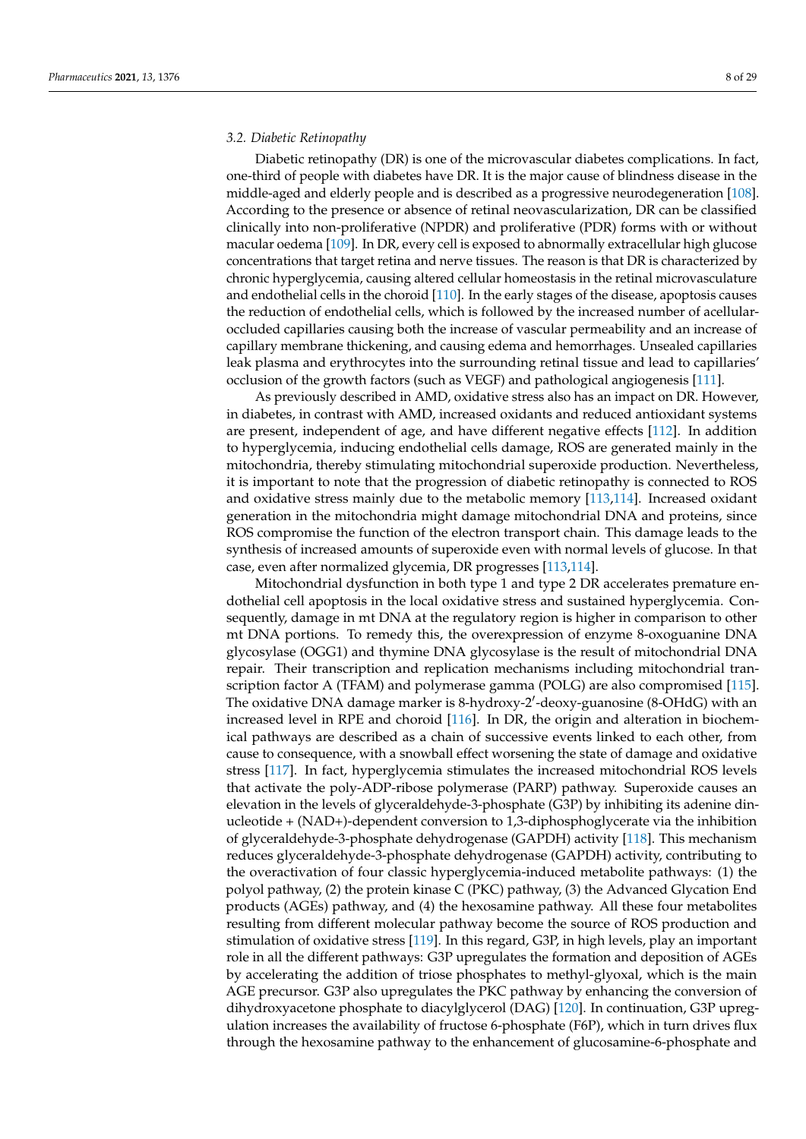#### *3.2. Diabetic Retinopathy*

Diabetic retinopathy (DR) is one of the microvascular diabetes complications. In fact, one-third of people with diabetes have DR. It is the major cause of blindness disease in the middle-aged and elderly people and is described as a progressive neurodegeneration [\[108\]](#page-20-29). According to the presence or absence of retinal neovascularization, DR can be classified clinically into non-proliferative (NPDR) and proliferative (PDR) forms with or without macular oedema [\[109\]](#page-21-0). In DR, every cell is exposed to abnormally extracellular high glucose concentrations that target retina and nerve tissues. The reason is that DR is characterized by chronic hyperglycemia, causing altered cellular homeostasis in the retinal microvasculature and endothelial cells in the choroid [\[110\]](#page-21-1). In the early stages of the disease, apoptosis causes the reduction of endothelial cells, which is followed by the increased number of acellularoccluded capillaries causing both the increase of vascular permeability and an increase of capillary membrane thickening, and causing edema and hemorrhages. Unsealed capillaries leak plasma and erythrocytes into the surrounding retinal tissue and lead to capillaries' occlusion of the growth factors (such as VEGF) and pathological angiogenesis [\[111\]](#page-21-2).

As previously described in AMD, oxidative stress also has an impact on DR. However, in diabetes, in contrast with AMD, increased oxidants and reduced antioxidant systems are present, independent of age, and have different negative effects [\[112\]](#page-21-3). In addition to hyperglycemia, inducing endothelial cells damage, ROS are generated mainly in the mitochondria, thereby stimulating mitochondrial superoxide production. Nevertheless, it is important to note that the progression of diabetic retinopathy is connected to ROS and oxidative stress mainly due to the metabolic memory [\[113](#page-21-4)[,114\]](#page-21-5). Increased oxidant generation in the mitochondria might damage mitochondrial DNA and proteins, since ROS compromise the function of the electron transport chain. This damage leads to the synthesis of increased amounts of superoxide even with normal levels of glucose. In that case, even after normalized glycemia, DR progresses [\[113,](#page-21-4)[114\]](#page-21-5).

Mitochondrial dysfunction in both type 1 and type 2 DR accelerates premature endothelial cell apoptosis in the local oxidative stress and sustained hyperglycemia. Consequently, damage in mt DNA at the regulatory region is higher in comparison to other mt DNA portions. To remedy this, the overexpression of enzyme 8-oxoguanine DNA glycosylase (OGG1) and thymine DNA glycosylase is the result of mitochondrial DNA repair. Their transcription and replication mechanisms including mitochondrial transcription factor A (TFAM) and polymerase gamma (POLG) are also compromised [\[115\]](#page-21-6). The oxidative DNA damage marker is 8-hydroxy-2'-deoxy-guanosine (8-OHdG) with an increased level in RPE and choroid [\[116\]](#page-21-7). In DR, the origin and alteration in biochemical pathways are described as a chain of successive events linked to each other, from cause to consequence, with a snowball effect worsening the state of damage and oxidative stress [\[117\]](#page-21-8). In fact, hyperglycemia stimulates the increased mitochondrial ROS levels that activate the poly-ADP-ribose polymerase (PARP) pathway. Superoxide causes an elevation in the levels of glyceraldehyde-3-phosphate (G3P) by inhibiting its adenine dinucleotide + (NAD+)-dependent conversion to 1,3-diphosphoglycerate via the inhibition of glyceraldehyde-3-phosphate dehydrogenase (GAPDH) activity [\[118\]](#page-21-9). This mechanism reduces glyceraldehyde-3-phosphate dehydrogenase (GAPDH) activity, contributing to the overactivation of four classic hyperglycemia-induced metabolite pathways: (1) the polyol pathway, (2) the protein kinase C (PKC) pathway, (3) the Advanced Glycation End products (AGEs) pathway, and (4) the hexosamine pathway. All these four metabolites resulting from different molecular pathway become the source of ROS production and stimulation of oxidative stress [\[119\]](#page-21-10). In this regard, G3P, in high levels, play an important role in all the different pathways: G3P upregulates the formation and deposition of AGEs by accelerating the addition of triose phosphates to methyl-glyoxal, which is the main AGE precursor. G3P also upregulates the PKC pathway by enhancing the conversion of dihydroxyacetone phosphate to diacylglycerol (DAG) [\[120\]](#page-21-11). In continuation, G3P upregulation increases the availability of fructose 6-phosphate (F6P), which in turn drives flux through the hexosamine pathway to the enhancement of glucosamine-6-phosphate and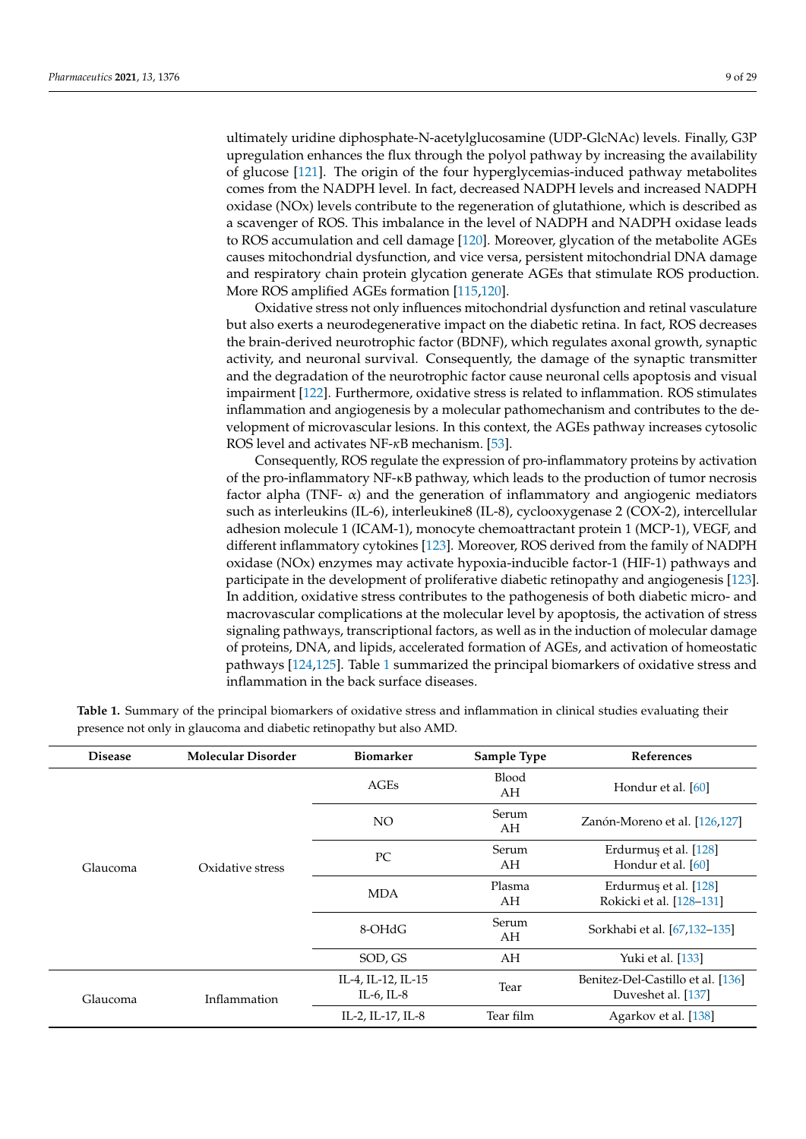ultimately uridine diphosphate-N-acetylglucosamine (UDP-GlcNAc) levels. Finally, G3P upregulation enhances the flux through the polyol pathway by increasing the availability of glucose [\[121\]](#page-21-12). The origin of the four hyperglycemias-induced pathway metabolites comes from the NADPH level. In fact, decreased NADPH levels and increased NADPH oxidase (NOx) levels contribute to the regeneration of glutathione, which is described as a scavenger of ROS. This imbalance in the level of NADPH and NADPH oxidase leads to ROS accumulation and cell damage [\[120\]](#page-21-11). Moreover, glycation of the metabolite AGEs causes mitochondrial dysfunction, and vice versa, persistent mitochondrial DNA damage and respiratory chain protein glycation generate AGEs that stimulate ROS production. More ROS amplified AGEs formation [\[115,](#page-21-6)[120\]](#page-21-11).

Oxidative stress not only influences mitochondrial dysfunction and retinal vasculature but also exerts a neurodegenerative impact on the diabetic retina. In fact, ROS decreases the brain-derived neurotrophic factor (BDNF), which regulates axonal growth, synaptic activity, and neuronal survival. Consequently, the damage of the synaptic transmitter and the degradation of the neurotrophic factor cause neuronal cells apoptosis and visual impairment [\[122\]](#page-21-13). Furthermore, oxidative stress is related to inflammation. ROS stimulates inflammation and angiogenesis by a molecular pathomechanism and contributes to the development of microvascular lesions. In this context, the AGEs pathway increases cytosolic ROS level and activates NF-*κ*B mechanism. [\[53\]](#page-19-2).

Consequently, ROS regulate the expression of pro-inflammatory proteins by activation of the pro-inflammatory NF-κB pathway, which leads to the production of tumor necrosis factor alpha (TNF- $\alpha$ ) and the generation of inflammatory and angiogenic mediators such as interleukins (IL-6), interleukine8 (IL-8), cyclooxygenase 2 (COX-2), intercellular adhesion molecule 1 (ICAM-1), monocyte chemoattractant protein 1 (MCP-1), VEGF, and different inflammatory cytokines [\[123\]](#page-21-14). Moreover, ROS derived from the family of NADPH oxidase (NOx) enzymes may activate hypoxia-inducible factor-1 (HIF-1) pathways and participate in the development of proliferative diabetic retinopathy and angiogenesis [\[123\]](#page-21-14). In addition, oxidative stress contributes to the pathogenesis of both diabetic micro- and macrovascular complications at the molecular level by apoptosis, the activation of stress signaling pathways, transcriptional factors, as well as in the induction of molecular damage of proteins, DNA, and lipids, accelerated formation of AGEs, and activation of homeostatic pathways [\[124](#page-21-15)[,125\]](#page-21-16). Table [1](#page-8-0) summarized the principal biomarkers of oxidative stress and inflammation in the back surface diseases.

| <b>Disease</b> | <b>Molecular Disorder</b> | <b>Biomarker</b>                 | Sample Type  | References                                              |
|----------------|---------------------------|----------------------------------|--------------|---------------------------------------------------------|
| Glaucoma       | Oxidative stress          | AGEs                             | Blood<br>AH  | Hondur et al. [60]                                      |
|                |                           | NO.                              | Serum<br>AH  | Zanón-Moreno et al. [126,127]                           |
|                |                           | PC                               | Serum<br>AH  | Erdurmuş et al. [128]<br>Hondur et al. [60]             |
|                |                           | <b>MDA</b>                       | Plasma<br>AH | Erdurmus et al. [128]<br>Rokicki et al. [128-131]       |
|                |                           | 8-OHdG                           | Serum<br>AH  | Sorkhabi et al. [67,132-135]                            |
|                |                           | SOD, GS                          | AH           | Yuki et al. [133]                                       |
| Glaucoma       | Inflammation              | IL-4, IL-12, IL-15<br>IL-6, IL-8 | Tear         | Benitez-Del-Castillo et al. [136]<br>Duveshet al. [137] |
|                |                           | IL-2. IL-17. IL-8                | Tear film    | Agarkov et al. [138]                                    |

<span id="page-8-0"></span>**Table 1.** Summary of the principal biomarkers of oxidative stress and inflammation in clinical studies evaluating their presence not only in glaucoma and diabetic retinopathy but also AMD.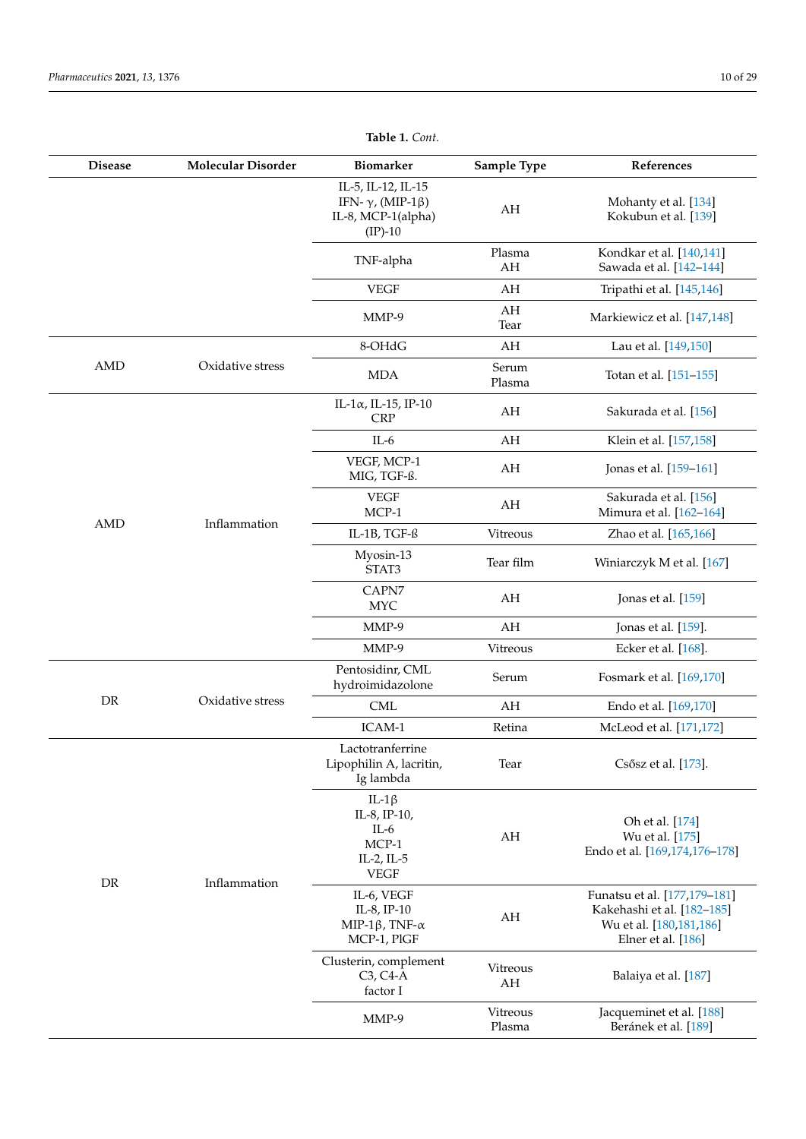| <b>Disease</b> | <b>Molecular Disorder</b> | <b>Biomarker</b>                                                                                 | Sample Type        | References                                                                                                  |
|----------------|---------------------------|--------------------------------------------------------------------------------------------------|--------------------|-------------------------------------------------------------------------------------------------------------|
|                |                           | IL-5, IL-12, IL-15<br>IFN- $\gamma$ , (MIP-1 $\beta$ )<br>IL-8, MCP-1(alpha)<br>$(\text{IP})-10$ | AH                 | Mohanty et al. [134]<br>Kokubun et al. [139]                                                                |
|                |                           | TNF-alpha                                                                                        | Plasma<br>AH       | Kondkar et al. [140,141]<br>Sawada et al. [142-144]                                                         |
|                |                           | <b>VEGF</b>                                                                                      | AH                 | Tripathi et al. [145,146]                                                                                   |
|                |                           | MMP-9                                                                                            | AH<br>Tear         | Markiewicz et al. [147,148]                                                                                 |
|                |                           | 8-OHdG                                                                                           | AH                 | Lau et al. [149,150]                                                                                        |
| <b>AMD</b>     | Oxidative stress          | <b>MDA</b>                                                                                       | Serum<br>Plasma    | Totan et al. [151-155]                                                                                      |
|                |                           | IL-1α, IL-15, IP-10<br><b>CRP</b>                                                                | AH                 | Sakurada et al. [156]                                                                                       |
|                |                           | $IL-6$                                                                                           | AH                 | Klein et al. [157,158]                                                                                      |
|                |                           | VEGF, MCP-1<br>MIG, TGF-ß.                                                                       | AH                 | Jonas et al. [159-161]                                                                                      |
|                |                           | <b>VEGF</b><br>$MCP-1$                                                                           | AH                 | Sakurada et al. [156]<br>Mimura et al. [162-164]                                                            |
| <b>AMD</b>     | Inflammation              | IL-1B, TGF-ß                                                                                     | Vitreous           | Zhao et al. [165,166]                                                                                       |
|                |                           | Myosin-13<br>STAT3                                                                               | Tear film          | Winiarczyk M et al. [167]                                                                                   |
|                |                           | CAPN7<br><b>MYC</b>                                                                              | AH                 | Jonas et al. [159]                                                                                          |
|                |                           | MMP-9                                                                                            | AH                 | Jonas et al. [159].                                                                                         |
|                |                           | MMP-9                                                                                            | Vitreous           | Ecker et al. [168].                                                                                         |
|                | Oxidative stress          | Pentosidinr, CML<br>hydroimidazolone                                                             | Serum              | Fosmark et al. [169,170]                                                                                    |
| DR             |                           | <b>CML</b>                                                                                       | AH                 | Endo et al. [169,170]                                                                                       |
|                |                           | ICAM-1                                                                                           | Retina             | McLeod et al. [171,172]                                                                                     |
| DR             | Inflammation              | Lactotranferrine<br>Lipophilin A, lacritin,<br>Ig lambda                                         | Tear               | Csősz et al. [173].                                                                                         |
|                |                           | IL-1 $\beta$<br>IL-8, IP-10,<br>$IL-6$<br>$MCP-1$<br>IL-2, IL-5<br><b>VEGF</b>                   | AH                 | Oh et al. [174]<br>Wu et al. [175]<br>Endo et al. [169,174,176-178]                                         |
|                |                           | IL-6, VEGF<br>IL-8, IP-10<br>MIP-1β, TNF- $α$<br>MCP-1, PIGF                                     | AH                 | Funatsu et al. [177,179-181]<br>Kakehashi et al. [182-185]<br>Wu et al. [180,181,186]<br>Elner et al. [186] |
|                |                           | Clusterin, complement<br>$C3, C4-A$<br>factor I                                                  | Vitreous<br>AH     | Balaiya et al. [187]                                                                                        |
|                |                           | MMP-9                                                                                            | Vitreous<br>Plasma | Jacqueminet et al. [188]<br>Beránek et al. [189]                                                            |

**Table 1.** *Cont.*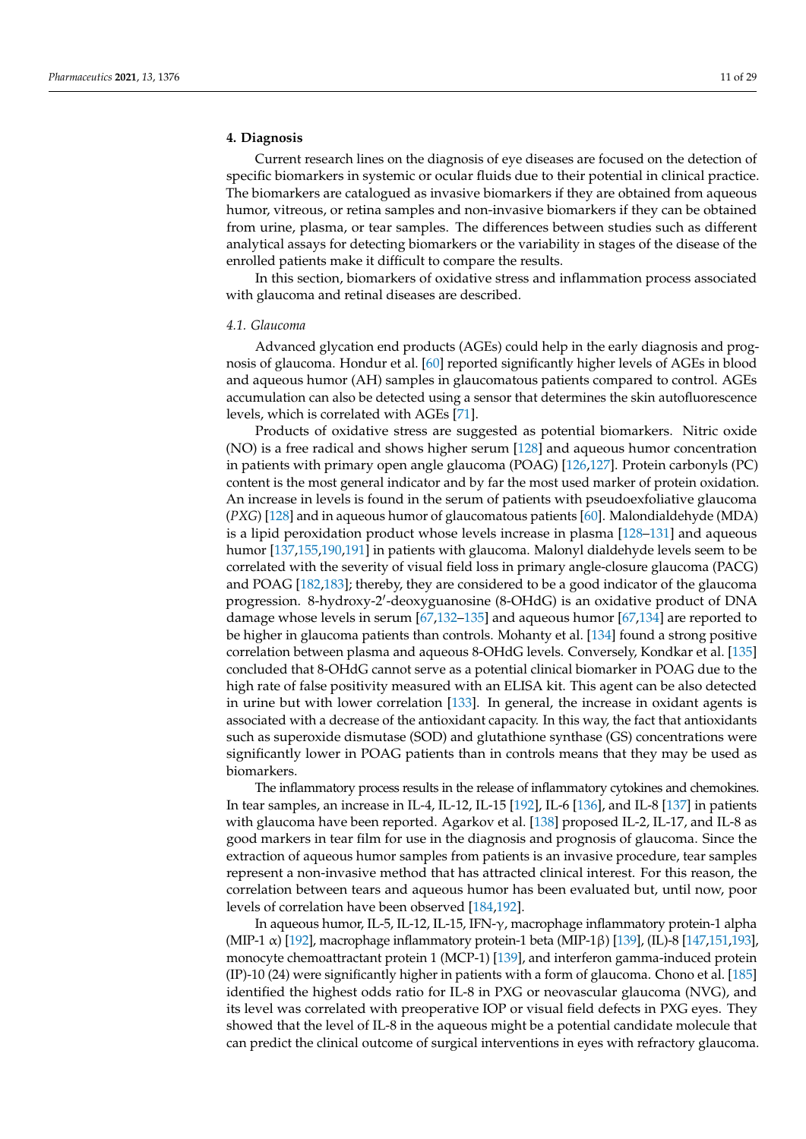# **4. Diagnosis**

Current research lines on the diagnosis of eye diseases are focused on the detection of specific biomarkers in systemic or ocular fluids due to their potential in clinical practice. The biomarkers are catalogued as invasive biomarkers if they are obtained from aqueous humor, vitreous, or retina samples and non-invasive biomarkers if they can be obtained from urine, plasma, or tear samples. The differences between studies such as different analytical assays for detecting biomarkers or the variability in stages of the disease of the enrolled patients make it difficult to compare the results.

In this section, biomarkers of oxidative stress and inflammation process associated with glaucoma and retinal diseases are described.

#### *4.1. Glaucoma*

Advanced glycation end products (AGEs) could help in the early diagnosis and prognosis of glaucoma. Hondur et al. [\[60\]](#page-19-8) reported significantly higher levels of AGEs in blood and aqueous humor (AH) samples in glaucomatous patients compared to control. AGEs accumulation can also be detected using a sensor that determines the skin autofluorescence levels, which is correlated with AGEs [\[71\]](#page-19-20).

Products of oxidative stress are suggested as potential biomarkers. Nitric oxide (NO) is a free radical and shows higher serum [\[128\]](#page-21-19) and aqueous humor concentration in patients with primary open angle glaucoma (POAG) [\[126](#page-21-17)[,127\]](#page-21-18). Protein carbonyls (PC) content is the most general indicator and by far the most used marker of protein oxidation. An increase in levels is found in the serum of patients with pseudoexfoliative glaucoma (*PXG*) [\[128\]](#page-21-19) and in aqueous humor of glaucomatous patients [\[60\]](#page-19-8). Malondialdehyde (MDA) is a lipid peroxidation product whose levels increase in plasma [\[128–](#page-21-19)[131\]](#page-21-20) and aqueous humor [\[137,](#page-22-1)[155,](#page-22-15)[190](#page-24-5)[,191\]](#page-24-6) in patients with glaucoma. Malonyl dialdehyde levels seem to be correlated with the severity of visual field loss in primary angle-closure glaucoma (PACG) and POAG [\[182](#page-23-19)[,183\]](#page-24-7); thereby, they are considered to be a good indicator of the glaucoma progression. 8-hydroxy-2'-deoxyguanosine (8-OHdG) is an oxidative product of DNA damage whose levels in serum [\[67](#page-19-16)[,132–](#page-21-21)[135\]](#page-21-22) and aqueous humor [\[67](#page-19-16)[,134\]](#page-21-24) are reported to be higher in glaucoma patients than controls. Mohanty et al. [\[134\]](#page-21-24) found a strong positive correlation between plasma and aqueous 8-OHdG levels. Conversely, Kondkar et al. [\[135\]](#page-21-22) concluded that 8-OHdG cannot serve as a potential clinical biomarker in POAG due to the high rate of false positivity measured with an ELISA kit. This agent can be also detected in urine but with lower correlation [\[133\]](#page-21-23). In general, the increase in oxidant agents is associated with a decrease of the antioxidant capacity. In this way, the fact that antioxidants such as superoxide dismutase (SOD) and glutathione synthase (GS) concentrations were significantly lower in POAG patients than in controls means that they may be used as biomarkers.

The inflammatory process results in the release of inflammatory cytokines and chemokines. In tear samples, an increase in IL-4, IL-12, IL-15 [\[192\]](#page-24-8), IL-6 [\[136\]](#page-22-0), and IL-8 [\[137\]](#page-22-1) in patients with glaucoma have been reported. Agarkov et al. [\[138\]](#page-22-2) proposed IL-2, IL-17, and IL-8 as good markers in tear film for use in the diagnosis and prognosis of glaucoma. Since the extraction of aqueous humor samples from patients is an invasive procedure, tear samples represent a non-invasive method that has attracted clinical interest. For this reason, the correlation between tears and aqueous humor has been evaluated but, until now, poor levels of correlation have been observed [\[184](#page-24-9)[,192\]](#page-24-8).

In aqueous humor, IL-5, IL-12, IL-15, IFN-γ, macrophage inflammatory protein-1 alpha (MIP-1 α) [\[192\]](#page-24-8), macrophage inflammatory protein-1 beta (MIP-1β) [\[139\]](#page-22-3), (IL)-8 [\[147,](#page-22-10)[151,](#page-22-14)[193\]](#page-24-10), monocyte chemoattractant protein 1 (MCP-1) [\[139\]](#page-22-3), and interferon gamma-induced protein (IP)-10 (24) were significantly higher in patients with a form of glaucoma. Chono et al. [\[185\]](#page-24-0) identified the highest odds ratio for IL-8 in PXG or neovascular glaucoma (NVG), and its level was correlated with preoperative IOP or visual field defects in PXG eyes. They showed that the level of IL-8 in the aqueous might be a potential candidate molecule that can predict the clinical outcome of surgical interventions in eyes with refractory glaucoma.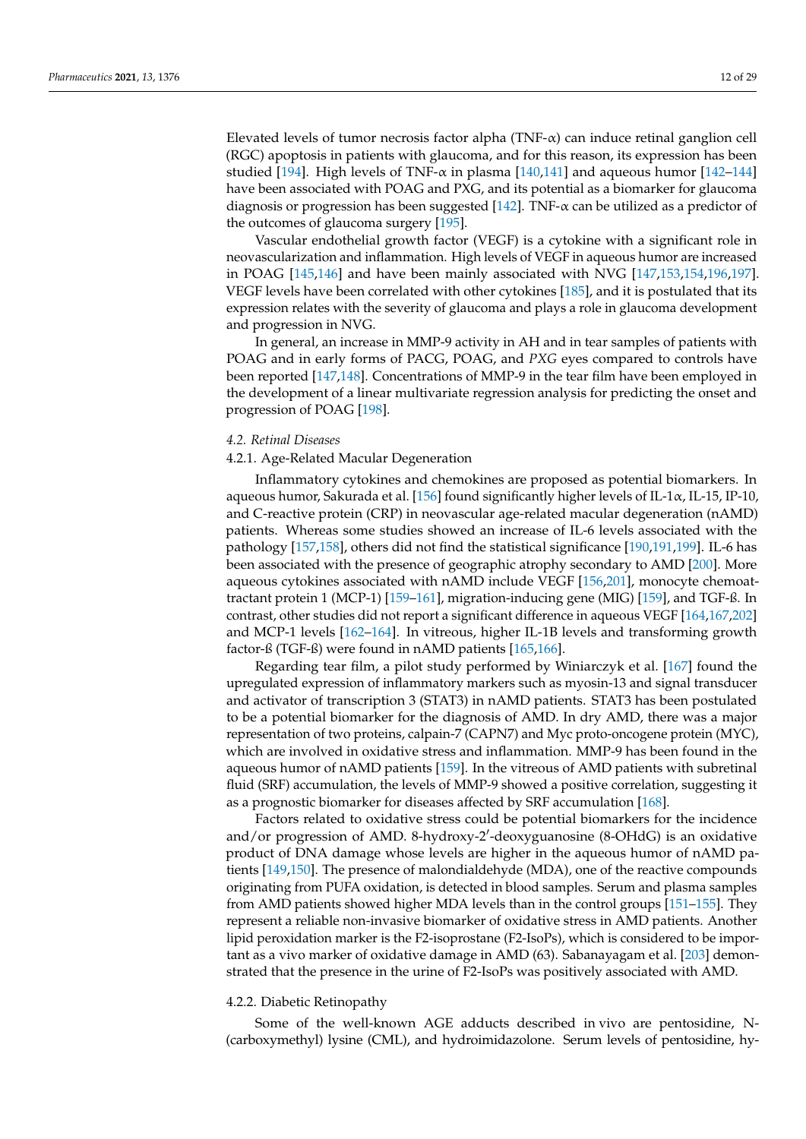Elevated levels of tumor necrosis factor alpha (TNF- $\alpha$ ) can induce retinal ganglion cell (RGC) apoptosis in patients with glaucoma, and for this reason, its expression has been studied [\[194\]](#page-24-11). High levels of TNF- $\alpha$  in plasma [\[140,](#page-22-4)[141\]](#page-22-5) and aqueous humor [\[142–](#page-22-6)[144\]](#page-22-7) have been associated with POAG and PXG, and its potential as a biomarker for glaucoma diagnosis or progression has been suggested [\[142\]](#page-22-6). TNF- $\alpha$  can be utilized as a predictor of the outcomes of glaucoma surgery [\[195\]](#page-24-12).

Vascular endothelial growth factor (VEGF) is a cytokine with a significant role in neovascularization and inflammation. High levels of VEGF in aqueous humor are increased in POAG [\[145,](#page-22-8)[146\]](#page-22-9) and have been mainly associated with NVG [\[147,](#page-22-10)[153,](#page-22-20)[154,](#page-22-21)[196,](#page-24-13)[197\]](#page-24-14). VEGF levels have been correlated with other cytokines [\[185\]](#page-24-0), and it is postulated that its expression relates with the severity of glaucoma and plays a role in glaucoma development and progression in NVG.

In general, an increase in MMP-9 activity in AH and in tear samples of patients with POAG and in early forms of PACG, POAG, and *PXG* eyes compared to controls have been reported [\[147](#page-22-10)[,148\]](#page-22-11). Concentrations of MMP-9 in the tear film have been employed in the development of a linear multivariate regression analysis for predicting the onset and progression of POAG [\[198\]](#page-24-15).

#### *4.2. Retinal Diseases*

#### 4.2.1. Age-Related Macular Degeneration

Inflammatory cytokines and chemokines are proposed as potential biomarkers. In aqueous humor, Sakurada et al. [\[156\]](#page-22-16) found significantly higher levels of IL-1 $\alpha$ , IL-15, IP-10, and C-reactive protein (CRP) in neovascular age-related macular degeneration (nAMD) patients. Whereas some studies showed an increase of IL-6 levels associated with the pathology [\[157](#page-22-17)[,158\]](#page-22-18), others did not find the statistical significance [\[190,](#page-24-5)[191,](#page-24-6)[199\]](#page-24-16). IL-6 has been associated with the presence of geographic atrophy secondary to AMD [\[200\]](#page-24-17). More aqueous cytokines associated with nAMD include VEGF [\[156,](#page-22-16)[201\]](#page-24-18), monocyte chemoattractant protein 1 (MCP-1) [\[159–](#page-22-19)[161\]](#page-23-0), migration-inducing gene (MIG) [\[159\]](#page-22-19), and TGF-ß. In contrast, other studies did not report a significant difference in aqueous VEGF [\[164,](#page-23-2)[167,](#page-23-5)[202\]](#page-24-19) and MCP-1 levels [\[162](#page-23-1)[–164\]](#page-23-2). In vitreous, higher IL-1B levels and transforming growth factor-ß (TGF-ß) were found in nAMD patients [\[165,](#page-23-3)[166\]](#page-23-4).

Regarding tear film, a pilot study performed by Winiarczyk et al. [\[167\]](#page-23-5) found the upregulated expression of inflammatory markers such as myosin-13 and signal transducer and activator of transcription 3 (STAT3) in nAMD patients. STAT3 has been postulated to be a potential biomarker for the diagnosis of AMD. In dry AMD, there was a major representation of two proteins, calpain-7 (CAPN7) and Myc proto-oncogene protein (MYC), which are involved in oxidative stress and inflammation. MMP-9 has been found in the aqueous humor of nAMD patients [\[159\]](#page-22-19). In the vitreous of AMD patients with subretinal fluid (SRF) accumulation, the levels of MMP-9 showed a positive correlation, suggesting it as a prognostic biomarker for diseases affected by SRF accumulation [\[168\]](#page-23-6).

Factors related to oxidative stress could be potential biomarkers for the incidence and/or progression of AMD. 8-hydroxy-2'-deoxyguanosine (8-OHdG) is an oxidative product of DNA damage whose levels are higher in the aqueous humor of nAMD patients [\[149](#page-22-12)[,150\]](#page-22-13). The presence of malondialdehyde (MDA), one of the reactive compounds originating from PUFA oxidation, is detected in blood samples. Serum and plasma samples from AMD patients showed higher MDA levels than in the control groups [\[151](#page-22-14)[–155\]](#page-22-15). They represent a reliable non-invasive biomarker of oxidative stress in AMD patients. Another lipid peroxidation marker is the F2-isoprostane (F2-IsoPs), which is considered to be important as a vivo marker of oxidative damage in AMD (63). Sabanayagam et al. [\[203\]](#page-24-20) demonstrated that the presence in the urine of F2-IsoPs was positively associated with AMD.

#### 4.2.2. Diabetic Retinopathy

Some of the well-known AGE adducts described in vivo are pentosidine, N- (carboxymethyl) lysine (CML), and hydroimidazolone. Serum levels of pentosidine, hy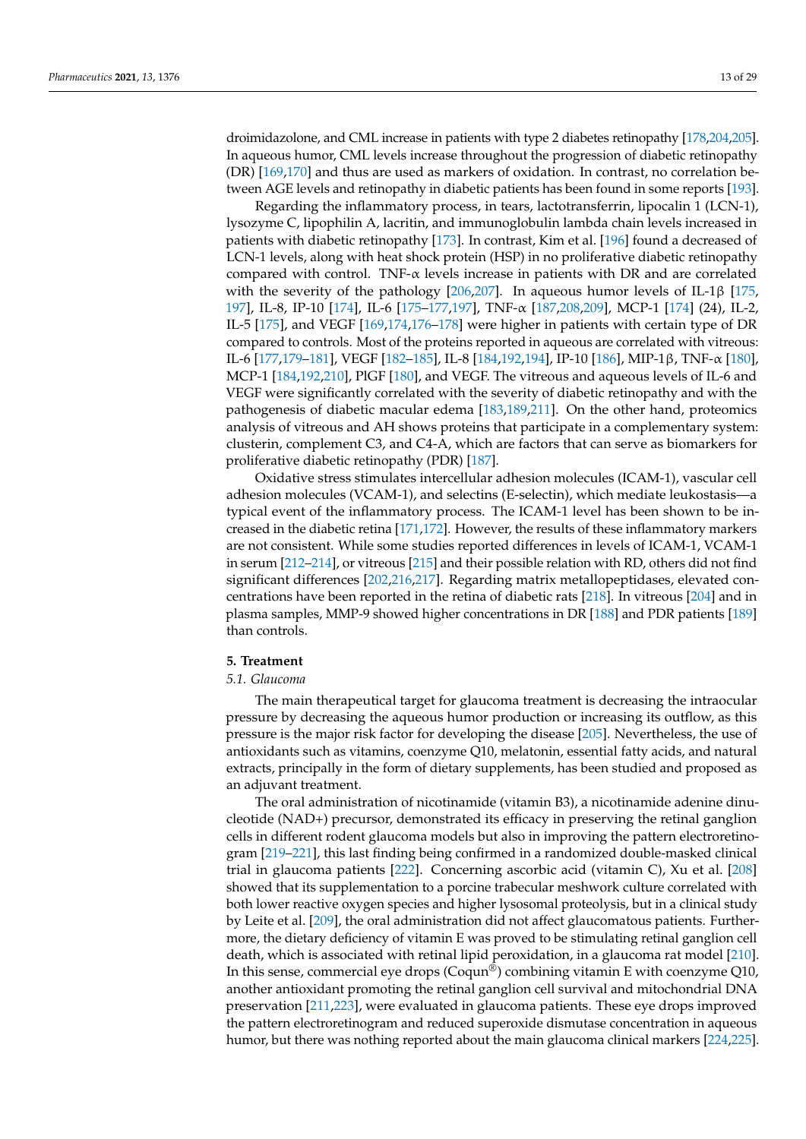droimidazolone, and CML increase in patients with type 2 diabetes retinopathy [\[178,](#page-23-15)[204,](#page-24-21)[205\]](#page-24-22). In aqueous humor, CML levels increase throughout the progression of diabetic retinopathy (DR) [\[169](#page-23-7)[,170\]](#page-23-8) and thus are used as markers of oxidation. In contrast, no correlation between AGE levels and retinopathy in diabetic patients has been found in some reports [\[193\]](#page-24-10).

Regarding the inflammatory process, in tears, lactotransferrin, lipocalin 1 (LCN-1), lysozyme C, lipophilin A, lacritin, and immunoglobulin lambda chain levels increased in patients with diabetic retinopathy [\[173\]](#page-23-11). In contrast, Kim et al. [\[196\]](#page-24-13) found a decreased of LCN-1 levels, along with heat shock protein (HSP) in no proliferative diabetic retinopathy compared with control. TNF- $α$  levels increase in patients with DR and are correlated with the severity of the pathology [\[206,](#page-25-0)[207\]](#page-25-1). In aqueous humor levels of IL-1β [\[175,](#page-23-13) [197\]](#page-24-14), IL-8, IP-10 [\[174\]](#page-23-12), IL-6 [\[175](#page-23-13)[–177](#page-23-16)[,197\]](#page-24-14), TNF-α [\[187,](#page-24-2)[208,](#page-25-2)[209\]](#page-25-3), MCP-1 [\[174\]](#page-23-12) (24), IL-2, IL-5 [\[175\]](#page-23-13), and VEGF [\[169](#page-23-7)[,174](#page-23-12)[,176–](#page-23-14)[178\]](#page-23-15) were higher in patients with certain type of DR compared to controls. Most of the proteins reported in aqueous are correlated with vitreous: IL-6 [\[177,](#page-23-16)[179–](#page-23-17)[181\]](#page-23-18), VEGF [\[182](#page-23-19)[–185\]](#page-24-0), IL-8 [\[184,](#page-24-9)[192,](#page-24-8)[194\]](#page-24-11), IP-10 [\[186\]](#page-24-1), MIP-1β, TNF-α [\[180\]](#page-23-20), MCP-1 [\[184](#page-24-9)[,192,](#page-24-8)[210\]](#page-25-4), PlGF [\[180\]](#page-23-20), and VEGF. The vitreous and aqueous levels of IL-6 and VEGF were significantly correlated with the severity of diabetic retinopathy and with the pathogenesis of diabetic macular edema [\[183,](#page-24-7)[189](#page-24-4)[,211\]](#page-25-5). On the other hand, proteomics analysis of vitreous and AH shows proteins that participate in a complementary system: clusterin, complement C3, and C4-A, which are factors that can serve as biomarkers for proliferative diabetic retinopathy (PDR) [\[187\]](#page-24-2).

Oxidative stress stimulates intercellular adhesion molecules (ICAM-1), vascular cell adhesion molecules (VCAM-1), and selectins (E-selectin), which mediate leukostasis—a typical event of the inflammatory process. The ICAM-1 level has been shown to be increased in the diabetic retina [\[171](#page-23-9)[,172\]](#page-23-10). However, the results of these inflammatory markers are not consistent. While some studies reported differences in levels of ICAM-1, VCAM-1 in serum [\[212](#page-25-6)[–214\]](#page-25-7), or vitreous [\[215\]](#page-25-8) and their possible relation with RD, others did not find significant differences [\[202](#page-24-19)[,216](#page-25-9)[,217\]](#page-25-10). Regarding matrix metallopeptidases, elevated concentrations have been reported in the retina of diabetic rats [\[218\]](#page-25-11). In vitreous [\[204\]](#page-24-21) and in plasma samples, MMP-9 showed higher concentrations in DR [\[188\]](#page-24-3) and PDR patients [\[189\]](#page-24-4) than controls.

#### **5. Treatment**

#### *5.1. Glaucoma*

The main therapeutical target for glaucoma treatment is decreasing the intraocular pressure by decreasing the aqueous humor production or increasing its outflow, as this pressure is the major risk factor for developing the disease [\[205\]](#page-24-22). Nevertheless, the use of antioxidants such as vitamins, coenzyme Q10, melatonin, essential fatty acids, and natural extracts, principally in the form of dietary supplements, has been studied and proposed as an adjuvant treatment.

The oral administration of nicotinamide (vitamin B3), a nicotinamide adenine dinucleotide (NAD+) precursor, demonstrated its efficacy in preserving the retinal ganglion cells in different rodent glaucoma models but also in improving the pattern electroretinogram [\[219–](#page-25-12)[221\]](#page-25-13), this last finding being confirmed in a randomized double-masked clinical trial in glaucoma patients [\[222\]](#page-25-14). Concerning ascorbic acid (vitamin C), Xu et al. [\[208\]](#page-25-2) showed that its supplementation to a porcine trabecular meshwork culture correlated with both lower reactive oxygen species and higher lysosomal proteolysis, but in a clinical study by Leite et al. [\[209\]](#page-25-3), the oral administration did not affect glaucomatous patients. Furthermore, the dietary deficiency of vitamin E was proved to be stimulating retinal ganglion cell death, which is associated with retinal lipid peroxidation, in a glaucoma rat model [\[210\]](#page-25-4). In this sense, commercial eye drops  $(Coqun^@)$  combining vitamin E with coenzyme Q10, another antioxidant promoting the retinal ganglion cell survival and mitochondrial DNA preservation [\[211,](#page-25-5)[223\]](#page-25-15), were evaluated in glaucoma patients. These eye drops improved the pattern electroretinogram and reduced superoxide dismutase concentration in aqueous humor, but there was nothing reported about the main glaucoma clinical markers [\[224](#page-25-16)[,225\]](#page-25-17).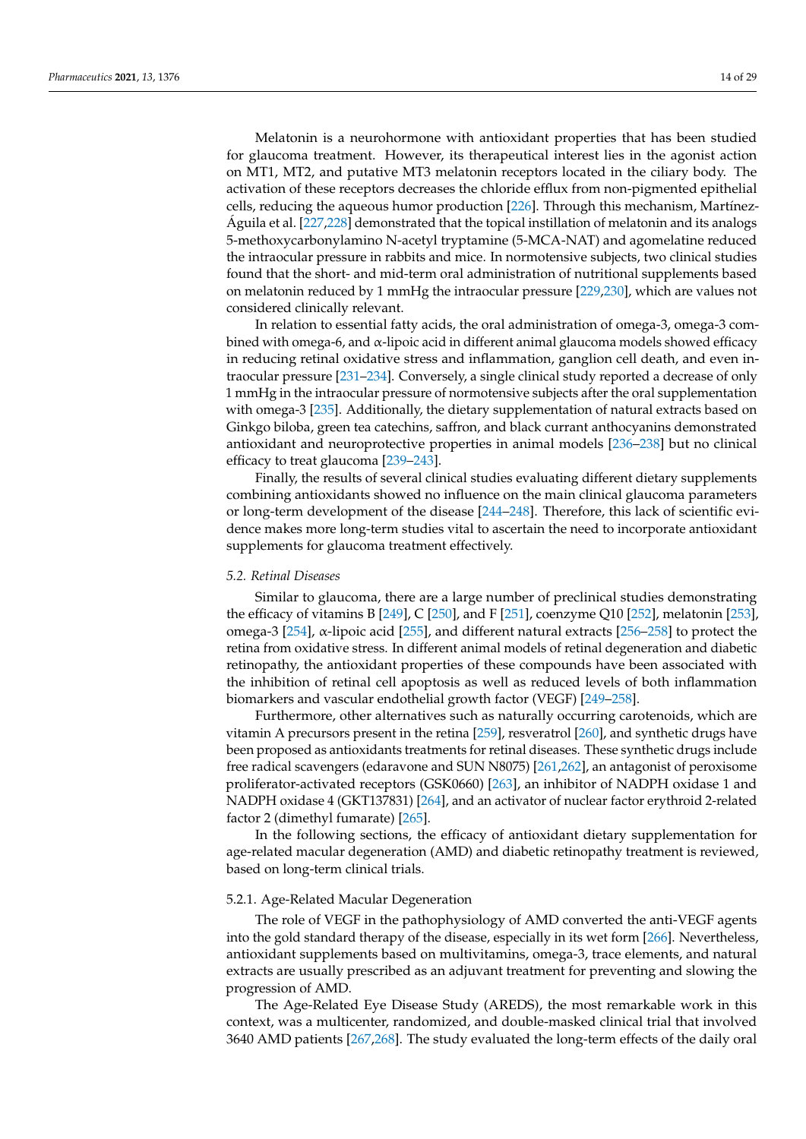Melatonin is a neurohormone with antioxidant properties that has been studied for glaucoma treatment. However, its therapeutical interest lies in the agonist action on MT1, MT2, and putative MT3 melatonin receptors located in the ciliary body. The activation of these receptors decreases the chloride efflux from non-pigmented epithelial cells, reducing the aqueous humor production [\[226\]](#page-25-18). Through this mechanism, Martínez-Águila et al. [\[227](#page-25-19)[,228\]](#page-25-20) demonstrated that the topical instillation of melatonin and its analogs 5-methoxycarbonylamino N-acetyl tryptamine (5-MCA-NAT) and agomelatine reduced the intraocular pressure in rabbits and mice. In normotensive subjects, two clinical studies found that the short- and mid-term oral administration of nutritional supplements based on melatonin reduced by 1 mmHg the intraocular pressure [\[229,](#page-25-21)[230\]](#page-26-0), which are values not considered clinically relevant.

In relation to essential fatty acids, the oral administration of omega-3, omega-3 combined with omega-6, and α-lipoic acid in different animal glaucoma models showed efficacy in reducing retinal oxidative stress and inflammation, ganglion cell death, and even intraocular pressure [\[231](#page-26-1)[–234\]](#page-26-2). Conversely, a single clinical study reported a decrease of only 1 mmHg in the intraocular pressure of normotensive subjects after the oral supplementation with omega-3 [\[235\]](#page-26-3). Additionally, the dietary supplementation of natural extracts based on Ginkgo biloba, green tea catechins, saffron, and black currant anthocyanins demonstrated antioxidant and neuroprotective properties in animal models [\[236–](#page-26-4)[238\]](#page-26-5) but no clinical efficacy to treat glaucoma [\[239–](#page-26-6)[243\]](#page-26-7).

Finally, the results of several clinical studies evaluating different dietary supplements combining antioxidants showed no influence on the main clinical glaucoma parameters or long-term development of the disease [\[244](#page-26-8)[–248\]](#page-26-9). Therefore, this lack of scientific evidence makes more long-term studies vital to ascertain the need to incorporate antioxidant supplements for glaucoma treatment effectively.

#### *5.2. Retinal Diseases*

Similar to glaucoma, there are a large number of preclinical studies demonstrating the efficacy of vitamins B [\[249\]](#page-26-10), C [\[250\]](#page-26-11), and F [\[251\]](#page-26-12), coenzyme Q10 [\[252\]](#page-26-13), melatonin [\[253\]](#page-27-0), omega-3 [\[254\]](#page-27-1), α-lipoic acid [\[255\]](#page-27-2), and different natural extracts [\[256](#page-27-3)[–258\]](#page-27-4) to protect the retina from oxidative stress. In different animal models of retinal degeneration and diabetic retinopathy, the antioxidant properties of these compounds have been associated with the inhibition of retinal cell apoptosis as well as reduced levels of both inflammation biomarkers and vascular endothelial growth factor (VEGF) [\[249](#page-26-10)[–258\]](#page-27-4).

Furthermore, other alternatives such as naturally occurring carotenoids, which are vitamin A precursors present in the retina [\[259\]](#page-27-5), resveratrol [\[260\]](#page-27-6), and synthetic drugs have been proposed as antioxidants treatments for retinal diseases. These synthetic drugs include free radical scavengers (edaravone and SUN N8075) [\[261,](#page-27-7)[262\]](#page-27-8), an antagonist of peroxisome proliferator-activated receptors (GSK0660) [\[263\]](#page-27-9), an inhibitor of NADPH oxidase 1 and NADPH oxidase 4 (GKT137831) [\[264\]](#page-27-10), and an activator of nuclear factor erythroid 2-related factor 2 (dimethyl fumarate) [\[265\]](#page-27-11).

In the following sections, the efficacy of antioxidant dietary supplementation for age-related macular degeneration (AMD) and diabetic retinopathy treatment is reviewed, based on long-term clinical trials.

# 5.2.1. Age-Related Macular Degeneration

The role of VEGF in the pathophysiology of AMD converted the anti-VEGF agents into the gold standard therapy of the disease, especially in its wet form [\[266\]](#page-27-12). Nevertheless, antioxidant supplements based on multivitamins, omega-3, trace elements, and natural extracts are usually prescribed as an adjuvant treatment for preventing and slowing the progression of AMD.

The Age-Related Eye Disease Study (AREDS), the most remarkable work in this context, was a multicenter, randomized, and double-masked clinical trial that involved 3640 AMD patients [\[267,](#page-27-13)[268\]](#page-27-14). The study evaluated the long-term effects of the daily oral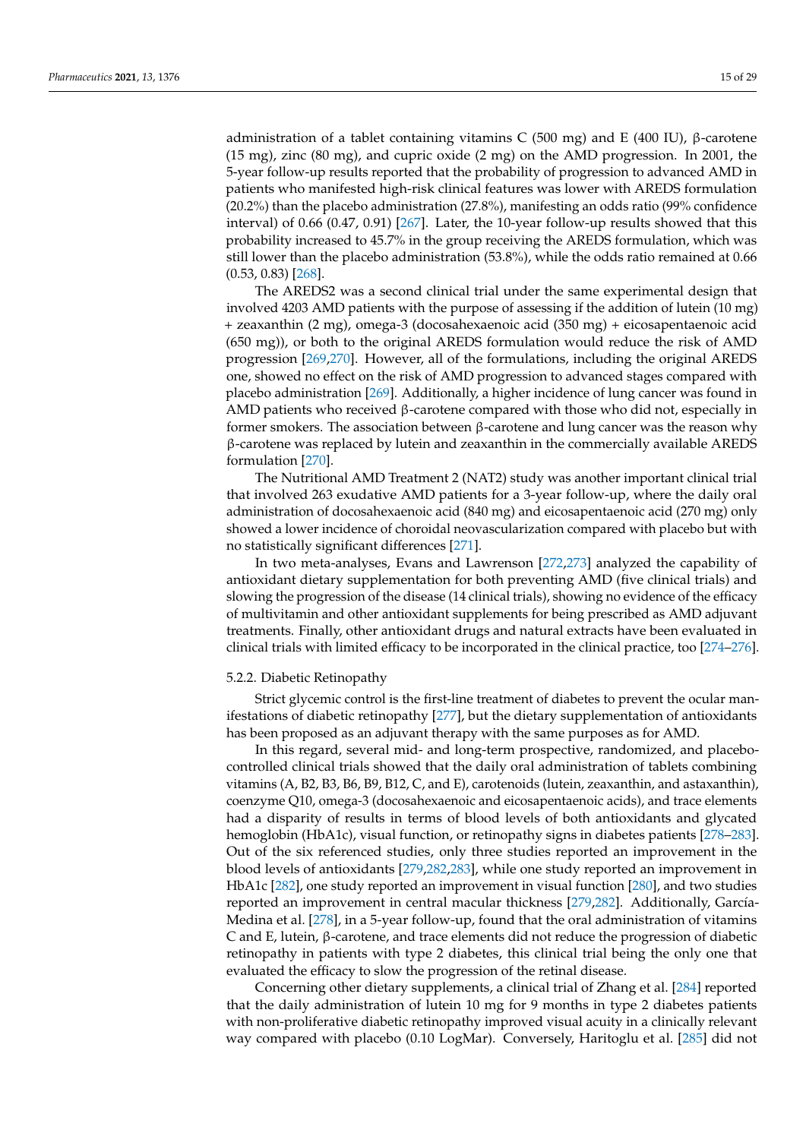administration of a tablet containing vitamins C (500 mg) and E (400 IU), β-carotene (15 mg), zinc (80 mg), and cupric oxide (2 mg) on the AMD progression. In 2001, the 5-year follow-up results reported that the probability of progression to advanced AMD in patients who manifested high-risk clinical features was lower with AREDS formulation (20.2%) than the placebo administration (27.8%), manifesting an odds ratio (99% confidence interval) of 0.66 (0.47, 0.91) [\[267\]](#page-27-13). Later, the 10-year follow-up results showed that this probability increased to 45.7% in the group receiving the AREDS formulation, which was still lower than the placebo administration (53.8%), while the odds ratio remained at 0.66 (0.53, 0.83) [\[268\]](#page-27-14).

The AREDS2 was a second clinical trial under the same experimental design that involved 4203 AMD patients with the purpose of assessing if the addition of lutein (10 mg) + zeaxanthin (2 mg), omega-3 (docosahexaenoic acid (350 mg) + eicosapentaenoic acid (650 mg)), or both to the original AREDS formulation would reduce the risk of AMD progression [\[269](#page-27-15)[,270\]](#page-27-16). However, all of the formulations, including the original AREDS one, showed no effect on the risk of AMD progression to advanced stages compared with placebo administration [\[269\]](#page-27-15). Additionally, a higher incidence of lung cancer was found in AMD patients who received  $\beta$ -carotene compared with those who did not, especially in former smokers. The association between β-carotene and lung cancer was the reason why β-carotene was replaced by lutein and zeaxanthin in the commercially available AREDS formulation [\[270\]](#page-27-16).

The Nutritional AMD Treatment 2 (NAT2) study was another important clinical trial that involved 263 exudative AMD patients for a 3-year follow-up, where the daily oral administration of docosahexaenoic acid (840 mg) and eicosapentaenoic acid (270 mg) only showed a lower incidence of choroidal neovascularization compared with placebo but with no statistically significant differences [\[271\]](#page-27-17).

In two meta-analyses, Evans and Lawrenson [\[272,](#page-27-18)[273\]](#page-27-19) analyzed the capability of antioxidant dietary supplementation for both preventing AMD (five clinical trials) and slowing the progression of the disease (14 clinical trials), showing no evidence of the efficacy of multivitamin and other antioxidant supplements for being prescribed as AMD adjuvant treatments. Finally, other antioxidant drugs and natural extracts have been evaluated in clinical trials with limited efficacy to be incorporated in the clinical practice, too [\[274](#page-27-20)[–276\]](#page-28-0).

#### 5.2.2. Diabetic Retinopathy

Strict glycemic control is the first-line treatment of diabetes to prevent the ocular manifestations of diabetic retinopathy [\[277\]](#page-28-1), but the dietary supplementation of antioxidants has been proposed as an adjuvant therapy with the same purposes as for AMD.

In this regard, several mid- and long-term prospective, randomized, and placebocontrolled clinical trials showed that the daily oral administration of tablets combining vitamins (A, B2, B3, B6, B9, B12, C, and E), carotenoids (lutein, zeaxanthin, and astaxanthin), coenzyme Q10, omega-3 (docosahexaenoic and eicosapentaenoic acids), and trace elements had a disparity of results in terms of blood levels of both antioxidants and glycated hemoglobin (HbA1c), visual function, or retinopathy signs in diabetes patients [\[278](#page-28-2)[–283\]](#page-28-3). Out of the six referenced studies, only three studies reported an improvement in the blood levels of antioxidants [\[279,](#page-28-4)[282,](#page-28-5)[283\]](#page-28-3), while one study reported an improvement in HbA1c [\[282\]](#page-28-5), one study reported an improvement in visual function [\[280\]](#page-28-6), and two studies reported an improvement in central macular thickness [\[279,](#page-28-4)[282\]](#page-28-5). Additionally, García-Medina et al. [\[278\]](#page-28-2), in a 5-year follow-up, found that the oral administration of vitamins C and E, lutein, β-carotene, and trace elements did not reduce the progression of diabetic retinopathy in patients with type 2 diabetes, this clinical trial being the only one that evaluated the efficacy to slow the progression of the retinal disease.

Concerning other dietary supplements, a clinical trial of Zhang et al. [\[284\]](#page-28-7) reported that the daily administration of lutein 10 mg for 9 months in type 2 diabetes patients with non-proliferative diabetic retinopathy improved visual acuity in a clinically relevant way compared with placebo (0.10 LogMar). Conversely, Haritoglu et al. [\[285\]](#page-28-8) did not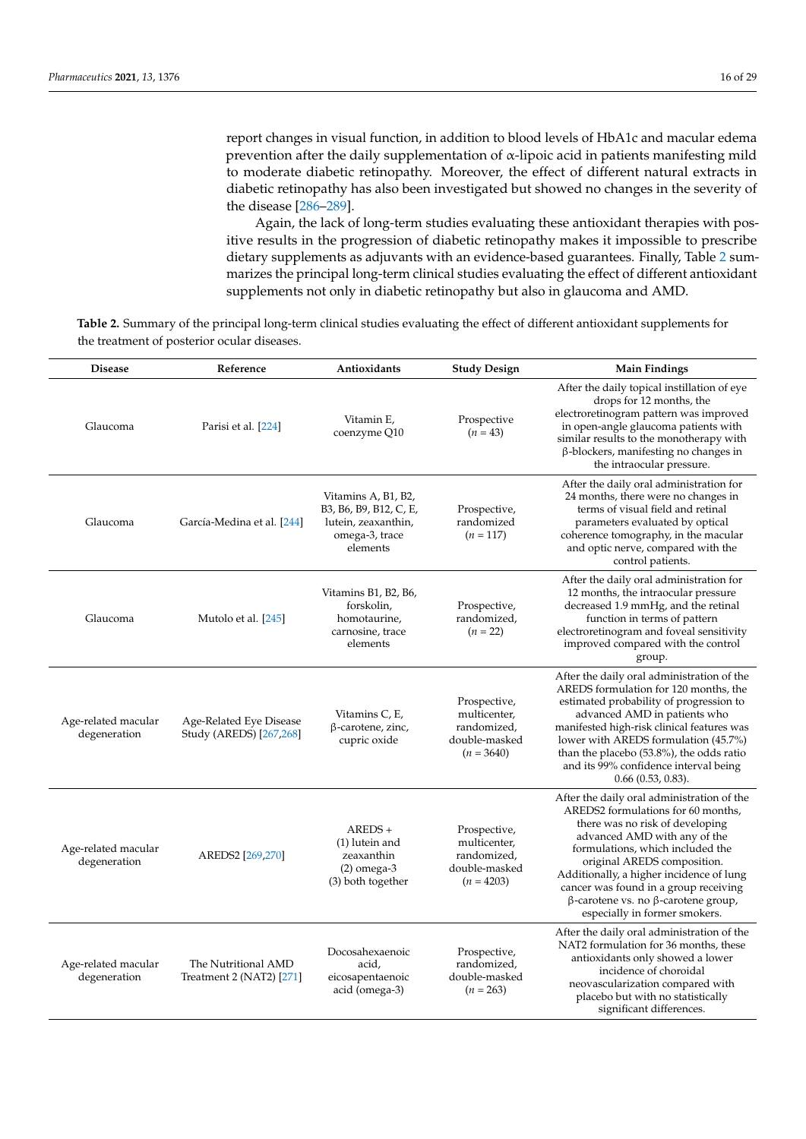report changes in visual function, in addition to blood levels of HbA1c and macular edema prevention after the daily supplementation of α-lipoic acid in patients manifesting mild to moderate diabetic retinopathy. Moreover, the effect of different natural extracts in diabetic retinopathy has also been investigated but showed no changes in the severity of the disease [\[286](#page-28-9)[–289\]](#page-28-10).

Again, the lack of long-term studies evaluating these antioxidant therapies with positive results in the progression of diabetic retinopathy makes it impossible to prescribe dietary supplements as adjuvants with an evidence-based guarantees. Finally, Table [2](#page-15-0) summarizes the principal long-term clinical studies evaluating the effect of different antioxidant supplements not only in diabetic retinopathy but also in glaucoma and AMD.

<span id="page-15-0"></span>**Table 2.** Summary of the principal long-term clinical studies evaluating the effect of different antioxidant supplements for the treatment of posterior ocular diseases.

| <b>Disease</b>                      | Reference                                          | Antioxidants                                                                                       | <b>Study Design</b>                                                          | <b>Main Findings</b>                                                                                                                                                                                                                                                                                                                                                                              |
|-------------------------------------|----------------------------------------------------|----------------------------------------------------------------------------------------------------|------------------------------------------------------------------------------|---------------------------------------------------------------------------------------------------------------------------------------------------------------------------------------------------------------------------------------------------------------------------------------------------------------------------------------------------------------------------------------------------|
| Glaucoma                            | Parisi et al. [224]                                | Vitamin E,<br>coenzyme Q10                                                                         | Prospective<br>$(n = 43)$                                                    | After the daily topical instillation of eye<br>drops for 12 months, the<br>electroretinogram pattern was improved<br>in open-angle glaucoma patients with<br>similar results to the monotherapy with<br>$\beta$ -blockers, manifesting no changes in<br>the intraocular pressure.                                                                                                                 |
| Glaucoma                            | García-Medina et al. [244]                         | Vitamins A, B1, B2,<br>B3, B6, B9, B12, C, E,<br>lutein, zeaxanthin,<br>omega-3, trace<br>elements | Prospective,<br>randomized<br>$(n = 117)$                                    | After the daily oral administration for<br>24 months, there were no changes in<br>terms of visual field and retinal<br>parameters evaluated by optical<br>coherence tomography, in the macular<br>and optic nerve, compared with the<br>control patients.                                                                                                                                         |
| Glaucoma                            | Mutolo et al. [245]                                | Vitamins B1, B2, B6,<br>forskolin,<br>homotaurine,<br>carnosine, trace<br>elements                 | Prospective,<br>randomized,<br>$(n = 22)$                                    | After the daily oral administration for<br>12 months, the intraocular pressure<br>decreased 1.9 mmHg, and the retinal<br>function in terms of pattern<br>electroretinogram and foveal sensitivity<br>improved compared with the control<br>group.                                                                                                                                                 |
| Age-related macular<br>degeneration | Age-Related Eye Disease<br>Study (AREDS) [267,268] | Vitamins C, E,<br>β-carotene, zinc,<br>cupric oxide                                                | Prospective,<br>multicenter,<br>randomized,<br>double-masked<br>$(n = 3640)$ | After the daily oral administration of the<br>AREDS formulation for 120 months, the<br>estimated probability of progression to<br>advanced AMD in patients who<br>manifested high-risk clinical features was<br>lower with AREDS formulation (45.7%)<br>than the placebo (53.8%), the odds ratio<br>and its 99% confidence interval being<br>$0.66$ $(0.53, 0.83)$ .                              |
| Age-related macular<br>degeneration | AREDS2 [269,270]                                   | $AREDS +$<br>$(1)$ lutein and<br>zeaxanthin<br>$(2)$ omega-3<br>(3) both together                  | Prospective,<br>multicenter,<br>randomized,<br>double-masked<br>$(n = 4203)$ | After the daily oral administration of the<br>AREDS2 formulations for 60 months,<br>there was no risk of developing<br>advanced AMD with any of the<br>formulations, which included the<br>original AREDS composition.<br>Additionally, a higher incidence of lung<br>cancer was found in a group receiving<br>$\beta$ -carotene vs. no $\beta$ -carotene group,<br>especially in former smokers. |
| Age-related macular<br>degeneration | The Nutritional AMD<br>Treatment 2 (NAT2) [271]    | Docosahexaenoic<br>acid,<br>eicosapentaenoic<br>acid (omega-3)                                     | Prospective,<br>randomized,<br>double-masked<br>$(n = 263)$                  | After the daily oral administration of the<br>NAT2 formulation for 36 months, these<br>antioxidants only showed a lower<br>incidence of choroidal<br>neovascularization compared with<br>placebo but with no statistically<br>significant differences.                                                                                                                                            |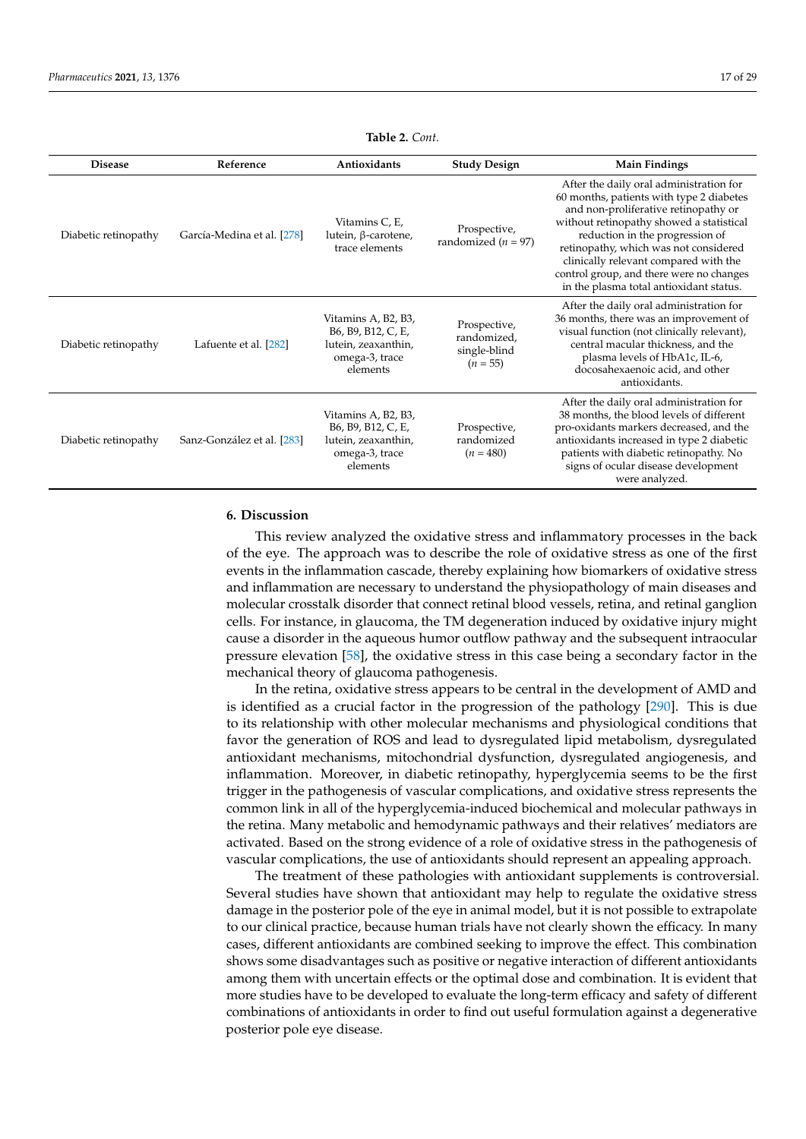| <b>Disease</b>       | Reference                  | Antioxidants                                                                                   | <b>Study Design</b>                                       | <b>Main Findings</b>                                                                                                                                                                                                                                                                                                                                                                |
|----------------------|----------------------------|------------------------------------------------------------------------------------------------|-----------------------------------------------------------|-------------------------------------------------------------------------------------------------------------------------------------------------------------------------------------------------------------------------------------------------------------------------------------------------------------------------------------------------------------------------------------|
| Diabetic retinopathy | García-Medina et al. [278] | Vitamins C, E,<br>lutein, β-carotene,<br>trace elements                                        | Prospective,<br>randomized ( $n = 97$ )                   | After the daily oral administration for<br>60 months, patients with type 2 diabetes<br>and non-proliferative retinopathy or<br>without retinopathy showed a statistical<br>reduction in the progression of<br>retinopathy, which was not considered<br>clinically relevant compared with the<br>control group, and there were no changes<br>in the plasma total antioxidant status. |
| Diabetic retinopathy | Lafuente et al. [282]      | Vitamins A, B2, B3,<br>B6, B9, B12, C, E,<br>lutein, zeaxanthin,<br>omega-3, trace<br>elements | Prospective,<br>randomized,<br>single-blind<br>$(n = 55)$ | After the daily oral administration for<br>36 months, there was an improvement of<br>visual function (not clinically relevant),<br>central macular thickness, and the<br>plasma levels of HbA1c, IL-6,<br>docosahexaenoic acid, and other<br>antioxidants.                                                                                                                          |
| Diabetic retinopathy | Sanz-González et al. [283] | Vitamins A, B2, B3,<br>B6, B9, B12, C, E,<br>lutein, zeaxanthin,<br>omega-3, trace<br>elements | Prospective,<br>randomized<br>$(n = 480)$                 | After the daily oral administration for<br>38 months, the blood levels of different<br>pro-oxidants markers decreased, and the<br>antioxidants increased in type 2 diabetic<br>patients with diabetic retinopathy. No<br>signs of ocular disease development<br>were analyzed.                                                                                                      |

#### **Table 2.** *Cont.*

# **6. Discussion**

This review analyzed the oxidative stress and inflammatory processes in the back of the eye. The approach was to describe the role of oxidative stress as one of the first events in the inflammation cascade, thereby explaining how biomarkers of oxidative stress and inflammation are necessary to understand the physiopathology of main diseases and molecular crosstalk disorder that connect retinal blood vessels, retina, and retinal ganglion cells. For instance, in glaucoma, the TM degeneration induced by oxidative injury might cause a disorder in the aqueous humor outflow pathway and the subsequent intraocular pressure elevation [\[58\]](#page-19-7), the oxidative stress in this case being a secondary factor in the mechanical theory of glaucoma pathogenesis.

In the retina, oxidative stress appears to be central in the development of AMD and is identified as a crucial factor in the progression of the pathology [\[290\]](#page-28-11). This is due to its relationship with other molecular mechanisms and physiological conditions that favor the generation of ROS and lead to dysregulated lipid metabolism, dysregulated antioxidant mechanisms, mitochondrial dysfunction, dysregulated angiogenesis, and inflammation. Moreover, in diabetic retinopathy, hyperglycemia seems to be the first trigger in the pathogenesis of vascular complications, and oxidative stress represents the common link in all of the hyperglycemia-induced biochemical and molecular pathways in the retina. Many metabolic and hemodynamic pathways and their relatives' mediators are activated. Based on the strong evidence of a role of oxidative stress in the pathogenesis of vascular complications, the use of antioxidants should represent an appealing approach.

The treatment of these pathologies with antioxidant supplements is controversial. Several studies have shown that antioxidant may help to regulate the oxidative stress damage in the posterior pole of the eye in animal model, but it is not possible to extrapolate to our clinical practice, because human trials have not clearly shown the efficacy. In many cases, different antioxidants are combined seeking to improve the effect. This combination shows some disadvantages such as positive or negative interaction of different antioxidants among them with uncertain effects or the optimal dose and combination. It is evident that more studies have to be developed to evaluate the long-term efficacy and safety of different combinations of antioxidants in order to find out useful formulation against a degenerative posterior pole eye disease.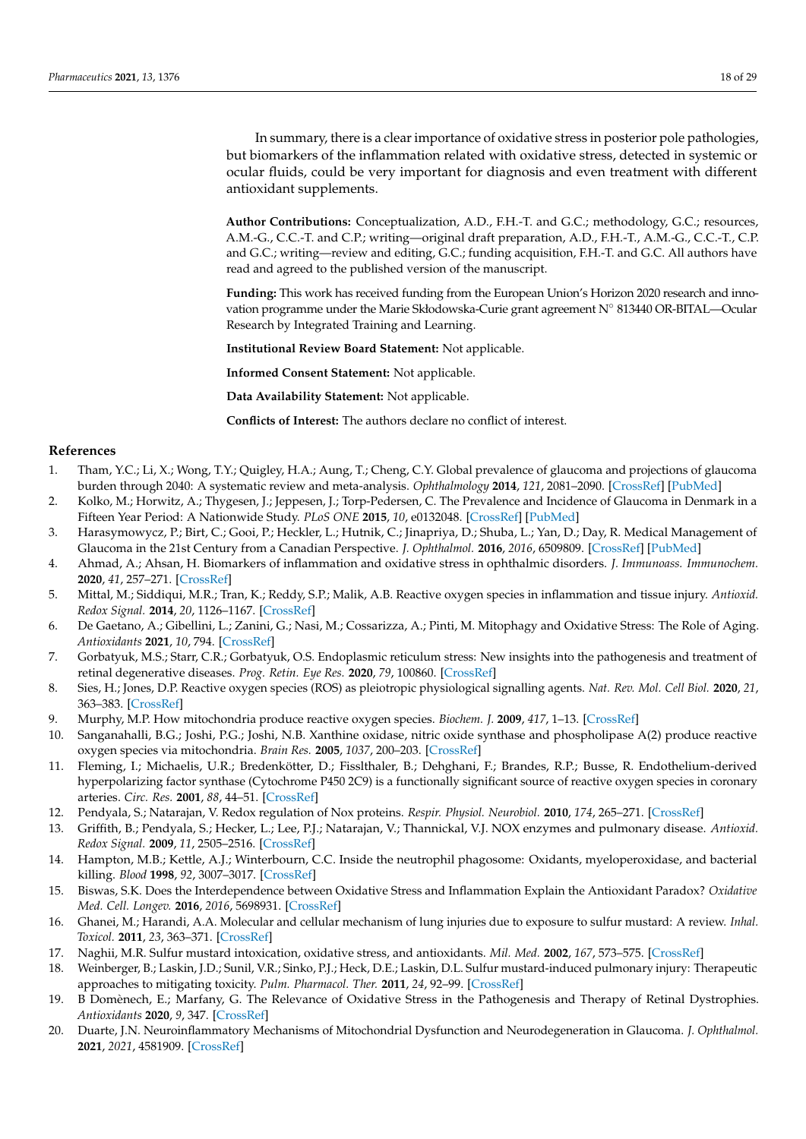In summary, there is a clear importance of oxidative stress in posterior pole pathologies, but biomarkers of the inflammation related with oxidative stress, detected in systemic or ocular fluids, could be very important for diagnosis and even treatment with different antioxidant supplements.

**Author Contributions:** Conceptualization, A.D., F.H.-T. and G.C.; methodology, G.C.; resources, A.M.-G., C.C.-T. and C.P.; writing—original draft preparation, A.D., F.H.-T., A.M.-G., C.C.-T., C.P. and G.C.; writing—review and editing, G.C.; funding acquisition, F.H.-T. and G.C. All authors have read and agreed to the published version of the manuscript.

**Funding:** This work has received funding from the European Union's Horizon 2020 research and innovation programme under the Marie Skłodowska-Curie grant agreement N◦ 813440 OR-BITAL—Ocular Research by Integrated Training and Learning.

**Institutional Review Board Statement:** Not applicable.

**Informed Consent Statement:** Not applicable.

**Data Availability Statement:** Not applicable.

**Conflicts of Interest:** The authors declare no conflict of interest.

# **References**

- <span id="page-17-0"></span>1. Tham, Y.C.; Li, X.; Wong, T.Y.; Quigley, H.A.; Aung, T.; Cheng, C.Y. Global prevalence of glaucoma and projections of glaucoma burden through 2040: A systematic review and meta-analysis. *Ophthalmology* **2014**, *121*, 2081–2090. [\[CrossRef\]](http://doi.org/10.1016/j.ophtha.2014.05.013) [\[PubMed\]](http://www.ncbi.nlm.nih.gov/pubmed/24974815)
- 2. Kolko, M.; Horwitz, A.; Thygesen, J.; Jeppesen, J.; Torp-Pedersen, C. The Prevalence and Incidence of Glaucoma in Denmark in a Fifteen Year Period: A Nationwide Study. *PLoS ONE* **2015**, *10*, e0132048. [\[CrossRef\]](http://doi.org/10.1371/journal.pone.0132048) [\[PubMed\]](http://www.ncbi.nlm.nih.gov/pubmed/26182236)
- <span id="page-17-1"></span>3. Harasymowycz, P.; Birt, C.; Gooi, P.; Heckler, L.; Hutnik, C.; Jinapriya, D.; Shuba, L.; Yan, D.; Day, R. Medical Management of Glaucoma in the 21st Century from a Canadian Perspective. *J. Ophthalmol.* **2016**, *2016*, 6509809. [\[CrossRef\]](http://doi.org/10.1155/2016/6509809) [\[PubMed\]](http://www.ncbi.nlm.nih.gov/pubmed/27895937)
- <span id="page-17-2"></span>4. Ahmad, A.; Ahsan, H. Biomarkers of inflammation and oxidative stress in ophthalmic disorders. *J. Immunoass. Immunochem.* **2020**, *41*, 257–271. [\[CrossRef\]](http://doi.org/10.1080/15321819.2020.1726774)
- <span id="page-17-3"></span>5. Mittal, M.; Siddiqui, M.R.; Tran, K.; Reddy, S.P.; Malik, A.B. Reactive oxygen species in inflammation and tissue injury. *Antioxid. Redox Signal.* **2014**, *20*, 1126–1167. [\[CrossRef\]](http://doi.org/10.1089/ars.2012.5149)
- <span id="page-17-4"></span>6. De Gaetano, A.; Gibellini, L.; Zanini, G.; Nasi, M.; Cossarizza, A.; Pinti, M. Mitophagy and Oxidative Stress: The Role of Aging. *Antioxidants* **2021**, *10*, 794. [\[CrossRef\]](http://doi.org/10.3390/antiox10050794)
- <span id="page-17-5"></span>7. Gorbatyuk, M.S.; Starr, C.R.; Gorbatyuk, O.S. Endoplasmic reticulum stress: New insights into the pathogenesis and treatment of retinal degenerative diseases. *Prog. Retin. Eye Res.* **2020**, *79*, 100860. [\[CrossRef\]](http://doi.org/10.1016/j.preteyeres.2020.100860)
- <span id="page-17-6"></span>8. Sies, H.; Jones, D.P. Reactive oxygen species (ROS) as pleiotropic physiological signalling agents. *Nat. Rev. Mol. Cell Biol.* **2020**, *21*, 363–383. [\[CrossRef\]](http://doi.org/10.1038/s41580-020-0230-3)
- <span id="page-17-7"></span>9. Murphy, M.P. How mitochondria produce reactive oxygen species. *Biochem. J.* **2009**, *417*, 1–13. [\[CrossRef\]](http://doi.org/10.1042/BJ20081386)
- <span id="page-17-8"></span>10. Sanganahalli, B.G.; Joshi, P.G.; Joshi, N.B. Xanthine oxidase, nitric oxide synthase and phospholipase A(2) produce reactive oxygen species via mitochondria. *Brain Res.* **2005**, *1037*, 200–203. [\[CrossRef\]](http://doi.org/10.1016/j.brainres.2005.01.013)
- <span id="page-17-9"></span>11. Fleming, I.; Michaelis, U.R.; Bredenkötter, D.; Fisslthaler, B.; Dehghani, F.; Brandes, R.P.; Busse, R. Endothelium-derived hyperpolarizing factor synthase (Cytochrome P450 2C9) is a functionally significant source of reactive oxygen species in coronary arteries. *Circ. Res.* **2001**, *88*, 44–51. [\[CrossRef\]](http://doi.org/10.1161/01.RES.88.1.44)
- <span id="page-17-10"></span>12. Pendyala, S.; Natarajan, V. Redox regulation of Nox proteins. *Respir. Physiol. Neurobiol.* **2010**, *174*, 265–271. [\[CrossRef\]](http://doi.org/10.1016/j.resp.2010.09.016)
- <span id="page-17-11"></span>13. Griffith, B.; Pendyala, S.; Hecker, L.; Lee, P.J.; Natarajan, V.; Thannickal, V.J. NOX enzymes and pulmonary disease. *Antioxid. Redox Signal.* **2009**, *11*, 2505–2516. [\[CrossRef\]](http://doi.org/10.1089/ars.2009.2599)
- <span id="page-17-12"></span>14. Hampton, M.B.; Kettle, A.J.; Winterbourn, C.C. Inside the neutrophil phagosome: Oxidants, myeloperoxidase, and bacterial killing. *Blood* **1998**, *92*, 3007–3017. [\[CrossRef\]](http://doi.org/10.1182/blood.V92.9.3007)
- <span id="page-17-13"></span>15. Biswas, S.K. Does the Interdependence between Oxidative Stress and Inflammation Explain the Antioxidant Paradox? *Oxidative Med. Cell. Longev.* **2016**, *2016*, 5698931. [\[CrossRef\]](http://doi.org/10.1155/2016/5698931)
- <span id="page-17-14"></span>16. Ghanei, M.; Harandi, A.A. Molecular and cellular mechanism of lung injuries due to exposure to sulfur mustard: A review. *Inhal. Toxicol.* **2011**, *23*, 363–371. [\[CrossRef\]](http://doi.org/10.3109/08958378.2011.576278)
- 17. Naghii, M.R. Sulfur mustard intoxication, oxidative stress, and antioxidants. *Mil. Med.* **2002**, *167*, 573–575. [\[CrossRef\]](http://doi.org/10.1093/milmed/167.6.573)
- <span id="page-17-15"></span>18. Weinberger, B.; Laskin, J.D.; Sunil, V.R.; Sinko, P.J.; Heck, D.E.; Laskin, D.L. Sulfur mustard-induced pulmonary injury: Therapeutic approaches to mitigating toxicity. *Pulm. Pharmacol. Ther.* **2011**, *24*, 92–99. [\[CrossRef\]](http://doi.org/10.1016/j.pupt.2010.09.004)
- <span id="page-17-16"></span>19. B Domènech, E.; Marfany, G. The Relevance of Oxidative Stress in the Pathogenesis and Therapy of Retinal Dystrophies. *Antioxidants* **2020**, *9*, 347. [\[CrossRef\]](http://doi.org/10.3390/antiox9040347)
- <span id="page-17-17"></span>20. Duarte, J.N. Neuroinflammatory Mechanisms of Mitochondrial Dysfunction and Neurodegeneration in Glaucoma. *J. Ophthalmol.* **2021**, *2021*, 4581909. [\[CrossRef\]](http://doi.org/10.1155/2021/4581909)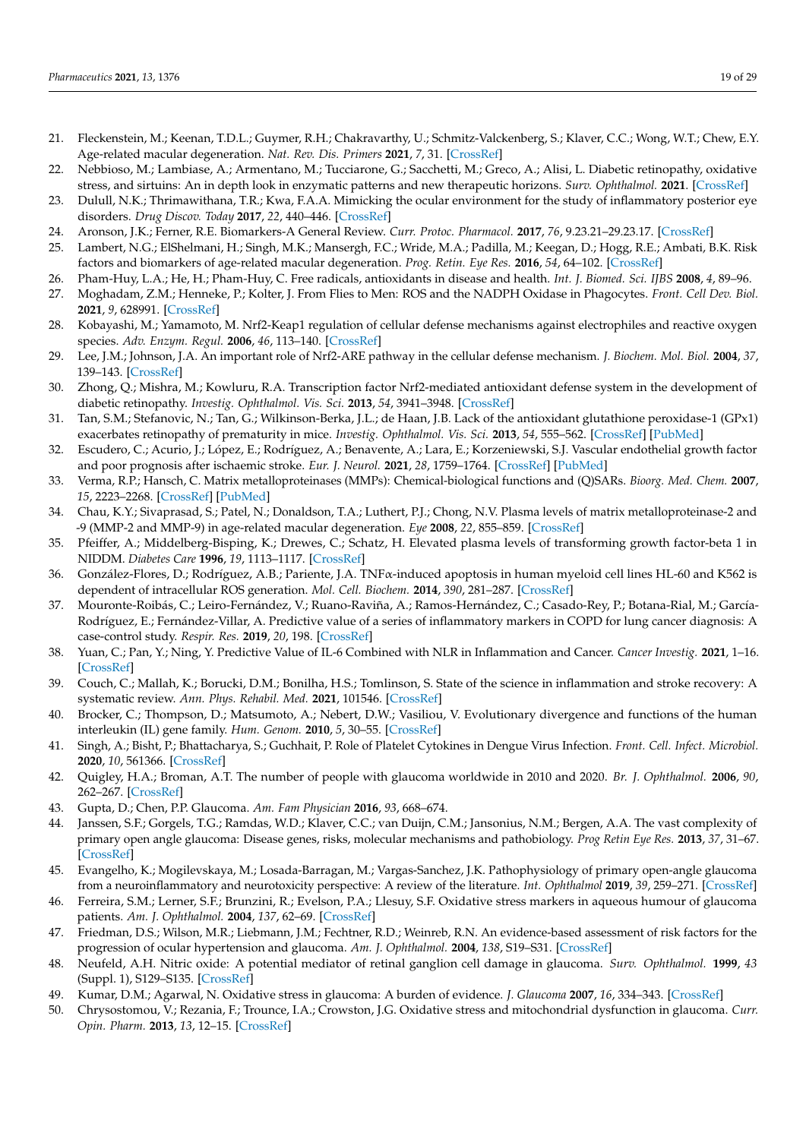- 21. Fleckenstein, M.; Keenan, T.D.L.; Guymer, R.H.; Chakravarthy, U.; Schmitz-Valckenberg, S.; Klaver, C.C.; Wong, W.T.; Chew, E.Y. Age-related macular degeneration. *Nat. Rev. Dis. Primers* **2021**, *7*, 31. [\[CrossRef\]](http://doi.org/10.1038/s41572-021-00265-2)
- <span id="page-18-0"></span>22. Nebbioso, M.; Lambiase, A.; Armentano, M.; Tucciarone, G.; Sacchetti, M.; Greco, A.; Alisi, L. Diabetic retinopathy, oxidative stress, and sirtuins: An in depth look in enzymatic patterns and new therapeutic horizons. *Surv. Ophthalmol.* **2021**. [\[CrossRef\]](http://doi.org/10.1016/j.survophthal.2021.04.003)
- <span id="page-18-1"></span>23. Dulull, N.K.; Thrimawithana, T.R.; Kwa, F.A.A. Mimicking the ocular environment for the study of inflammatory posterior eye disorders. *Drug Discov. Today* **2017**, *22*, 440–446. [\[CrossRef\]](http://doi.org/10.1016/j.drudis.2016.11.012)
- <span id="page-18-2"></span>24. Aronson, J.K.; Ferner, R.E. Biomarkers-A General Review. *Curr. Protoc. Pharmacol.* **2017**, *76*, 9.23.21–29.23.17. [\[CrossRef\]](http://doi.org/10.1002/cpph.19)
- <span id="page-18-3"></span>25. Lambert, N.G.; ElShelmani, H.; Singh, M.K.; Mansergh, F.C.; Wride, M.A.; Padilla, M.; Keegan, D.; Hogg, R.E.; Ambati, B.K. Risk factors and biomarkers of age-related macular degeneration. *Prog. Retin. Eye Res.* **2016**, *54*, 64–102. [\[CrossRef\]](http://doi.org/10.1016/j.preteyeres.2016.04.003)
- <span id="page-18-4"></span>26. Pham-Huy, L.A.; He, H.; Pham-Huy, C. Free radicals, antioxidants in disease and health. *Int. J. Biomed. Sci. IJBS* **2008**, *4*, 89–96.
- <span id="page-18-5"></span>27. Moghadam, Z.M.; Henneke, P.; Kolter, J. From Flies to Men: ROS and the NADPH Oxidase in Phagocytes. *Front. Cell Dev. Biol.* **2021**, *9*, 628991. [\[CrossRef\]](http://doi.org/10.3389/fcell.2021.628991)
- <span id="page-18-6"></span>28. Kobayashi, M.; Yamamoto, M. Nrf2-Keap1 regulation of cellular defense mechanisms against electrophiles and reactive oxygen species. *Adv. Enzym. Regul.* **2006**, *46*, 113–140. [\[CrossRef\]](http://doi.org/10.1016/j.advenzreg.2006.01.007)
- <span id="page-18-7"></span>29. Lee, J.M.; Johnson, J.A. An important role of Nrf2-ARE pathway in the cellular defense mechanism. *J. Biochem. Mol. Biol.* **2004**, *37*, 139–143. [\[CrossRef\]](http://doi.org/10.5483/BMBRep.2004.37.2.139)
- <span id="page-18-8"></span>30. Zhong, Q.; Mishra, M.; Kowluru, R.A. Transcription factor Nrf2-mediated antioxidant defense system in the development of diabetic retinopathy. *Investig. Ophthalmol. Vis. Sci.* **2013**, *54*, 3941–3948. [\[CrossRef\]](http://doi.org/10.1167/iovs.13-11598)
- <span id="page-18-9"></span>31. Tan, S.M.; Stefanovic, N.; Tan, G.; Wilkinson-Berka, J.L.; de Haan, J.B. Lack of the antioxidant glutathione peroxidase-1 (GPx1) exacerbates retinopathy of prematurity in mice. *Investig. Ophthalmol. Vis. Sci.* **2013**, *54*, 555–562. [\[CrossRef\]](http://doi.org/10.1167/iovs.12-10685) [\[PubMed\]](http://www.ncbi.nlm.nih.gov/pubmed/23287791)
- <span id="page-18-10"></span>32. Escudero, C.; Acurio, J.; López, E.; Rodríguez, A.; Benavente, A.; Lara, E.; Korzeniewski, S.J. Vascular endothelial growth factor and poor prognosis after ischaemic stroke. *Eur. J. Neurol.* **2021**, *28*, 1759–1764. [\[CrossRef\]](http://doi.org/10.1111/ene.14641) [\[PubMed\]](http://www.ncbi.nlm.nih.gov/pubmed/33176035)
- <span id="page-18-11"></span>33. Verma, R.P.; Hansch, C. Matrix metalloproteinases (MMPs): Chemical-biological functions and (Q)SARs. *Bioorg. Med. Chem.* **2007**, *15*, 2223–2268. [\[CrossRef\]](http://doi.org/10.1016/j.bmc.2007.01.011) [\[PubMed\]](http://www.ncbi.nlm.nih.gov/pubmed/17275314)
- <span id="page-18-12"></span>34. Chau, K.Y.; Sivaprasad, S.; Patel, N.; Donaldson, T.A.; Luthert, P.J.; Chong, N.V. Plasma levels of matrix metalloproteinase-2 and -9 (MMP-2 and MMP-9) in age-related macular degeneration. *Eye* **2008**, *22*, 855–859. [\[CrossRef\]](http://doi.org/10.1038/sj.eye.6702722x)
- <span id="page-18-13"></span>35. Pfeiffer, A.; Middelberg-Bisping, K.; Drewes, C.; Schatz, H. Elevated plasma levels of transforming growth factor-beta 1 in NIDDM. *Diabetes Care* **1996**, *19*, 1113–1117. [\[CrossRef\]](http://doi.org/10.2337/diacare.19.10.1113)
- <span id="page-18-14"></span>36. González-Flores, D.; Rodríguez, A.B.; Pariente, J.A. TNFα-induced apoptosis in human myeloid cell lines HL-60 and K562 is dependent of intracellular ROS generation. *Mol. Cell. Biochem.* **2014**, *390*, 281–287. [\[CrossRef\]](http://doi.org/10.1007/s11010-014-1979-5)
- <span id="page-18-15"></span>37. Mouronte-Roibás, C.; Leiro-Fernández, V.; Ruano-Raviña, A.; Ramos-Hernández, C.; Casado-Rey, P.; Botana-Rial, M.; García-Rodríguez, E.; Fernández-Villar, A. Predictive value of a series of inflammatory markers in COPD for lung cancer diagnosis: A case-control study. *Respir. Res.* **2019**, *20*, 198. [\[CrossRef\]](http://doi.org/10.1186/s12931-019-1155-2)
- 38. Yuan, C.; Pan, Y.; Ning, Y. Predictive Value of IL-6 Combined with NLR in Inflammation and Cancer. *Cancer Investig.* **2021**, 1–16. [\[CrossRef\]](http://doi.org/10.1080/07357907.2021.1961265)
- <span id="page-18-16"></span>39. Couch, C.; Mallah, K.; Borucki, D.M.; Bonilha, H.S.; Tomlinson, S. State of the science in inflammation and stroke recovery: A systematic review. *Ann. Phys. Rehabil. Med.* **2021**, 101546. [\[CrossRef\]](http://doi.org/10.1016/j.rehab.2021.101546)
- <span id="page-18-17"></span>40. Brocker, C.; Thompson, D.; Matsumoto, A.; Nebert, D.W.; Vasiliou, V. Evolutionary divergence and functions of the human interleukin (IL) gene family. *Hum. Genom.* **2010**, *5*, 30–55. [\[CrossRef\]](http://doi.org/10.1186/1479-7364-5-1-30)
- <span id="page-18-18"></span>41. Singh, A.; Bisht, P.; Bhattacharya, S.; Guchhait, P. Role of Platelet Cytokines in Dengue Virus Infection. *Front. Cell. Infect. Microbiol.* **2020**, *10*, 561366. [\[CrossRef\]](http://doi.org/10.3389/fcimb.2020.561366)
- <span id="page-18-19"></span>42. Quigley, H.A.; Broman, A.T. The number of people with glaucoma worldwide in 2010 and 2020. *Br. J. Ophthalmol.* **2006**, *90*, 262–267. [\[CrossRef\]](http://doi.org/10.1136/bjo.2005.081224)
- <span id="page-18-20"></span>43. Gupta, D.; Chen, P.P. Glaucoma. *Am. Fam Physician* **2016**, *93*, 668–674.
- <span id="page-18-21"></span>44. Janssen, S.F.; Gorgels, T.G.; Ramdas, W.D.; Klaver, C.C.; van Duijn, C.M.; Jansonius, N.M.; Bergen, A.A. The vast complexity of primary open angle glaucoma: Disease genes, risks, molecular mechanisms and pathobiology. *Prog Retin Eye Res.* **2013**, *37*, 31–67. [\[CrossRef\]](http://doi.org/10.1016/j.preteyeres.2013.09.001)
- 45. Evangelho, K.; Mogilevskaya, M.; Losada-Barragan, M.; Vargas-Sanchez, J.K. Pathophysiology of primary open-angle glaucoma from a neuroinflammatory and neurotoxicity perspective: A review of the literature. *Int. Ophthalmol* **2019**, *39*, 259–271. [\[CrossRef\]](http://doi.org/10.1007/s10792-017-0795-9)
- 46. Ferreira, S.M.; Lerner, S.F.; Brunzini, R.; Evelson, P.A.; Llesuy, S.F. Oxidative stress markers in aqueous humour of glaucoma patients. *Am. J. Ophthalmol.* **2004**, *137*, 62–69. [\[CrossRef\]](http://doi.org/10.1016/S0002-9394(03)00788-8)
- <span id="page-18-25"></span>47. Friedman, D.S.; Wilson, M.R.; Liebmann, J.M.; Fechtner, R.D.; Weinreb, R.N. An evidence-based assessment of risk factors for the progression of ocular hypertension and glaucoma. *Am. J. Ophthalmol.* **2004**, *138*, S19–S31. [\[CrossRef\]](http://doi.org/10.1016/j.ajo.2004.04.058)
- <span id="page-18-22"></span>48. Neufeld, A.H. Nitric oxide: A potential mediator of retinal ganglion cell damage in glaucoma. *Surv. Ophthalmol.* **1999**, *43* (Suppl. 1), S129–S135. [\[CrossRef\]](http://doi.org/10.1016/S0039-6257(99)00010-7)
- <span id="page-18-23"></span>49. Kumar, D.M.; Agarwal, N. Oxidative stress in glaucoma: A burden of evidence. *J. Glaucoma* **2007**, *16*, 334–343. [\[CrossRef\]](http://doi.org/10.1097/01.ijg.0000243480.67532.1b)
- <span id="page-18-24"></span>50. Chrysostomou, V.; Rezania, F.; Trounce, I.A.; Crowston, J.G. Oxidative stress and mitochondrial dysfunction in glaucoma. *Curr. Opin. Pharm.* **2013**, *13*, 12–15. [\[CrossRef\]](http://doi.org/10.1016/j.coph.2012.09.008)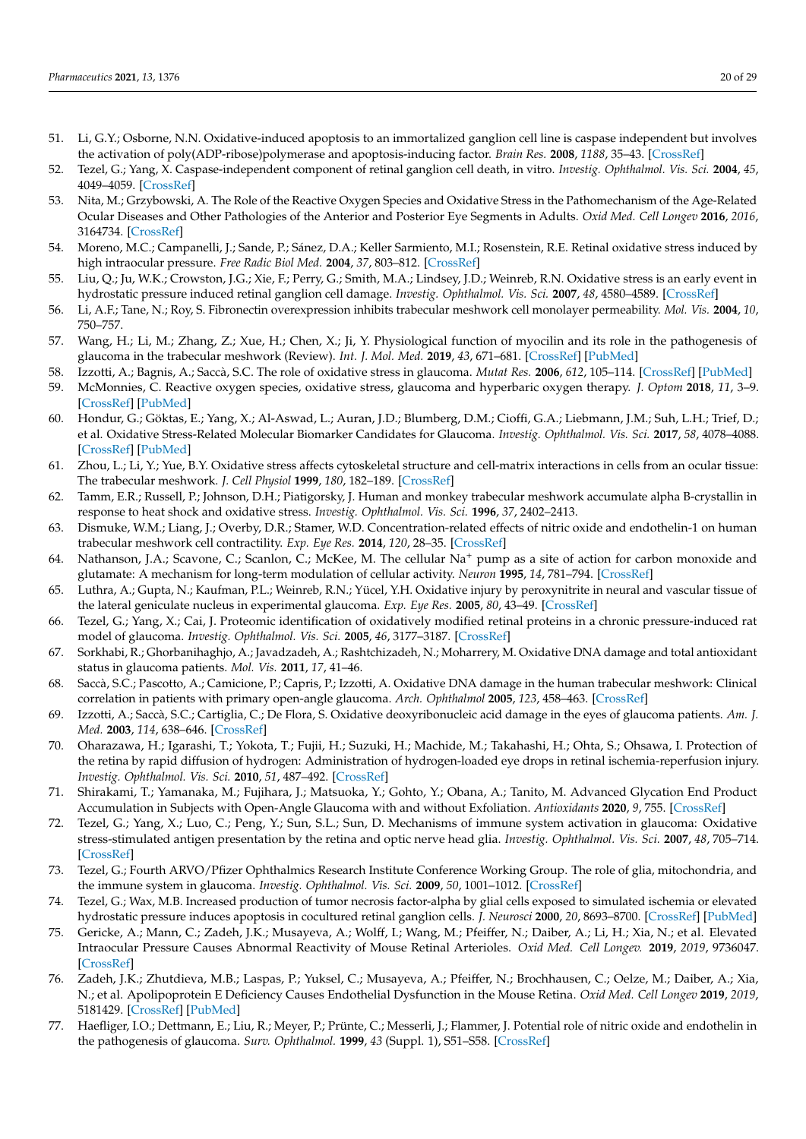- <span id="page-19-0"></span>51. Li, G.Y.; Osborne, N.N. Oxidative-induced apoptosis to an immortalized ganglion cell line is caspase independent but involves the activation of poly(ADP-ribose)polymerase and apoptosis-inducing factor. *Brain Res.* **2008**, *1188*, 35–43. [\[CrossRef\]](http://doi.org/10.1016/j.brainres.2007.10.073)
- <span id="page-19-1"></span>52. Tezel, G.; Yang, X. Caspase-independent component of retinal ganglion cell death, in vitro. *Investig. Ophthalmol. Vis. Sci.* **2004**, *45*, 4049–4059. [\[CrossRef\]](http://doi.org/10.1167/iovs.04-0490)
- <span id="page-19-2"></span>53. Nita, M.; Grzybowski, A. The Role of the Reactive Oxygen Species and Oxidative Stress in the Pathomechanism of the Age-Related Ocular Diseases and Other Pathologies of the Anterior and Posterior Eye Segments in Adults. *Oxid Med. Cell Longev* **2016**, *2016*, 3164734. [\[CrossRef\]](http://doi.org/10.1155/2016/3164734)
- <span id="page-19-3"></span>54. Moreno, M.C.; Campanelli, J.; Sande, P.; Sánez, D.A.; Keller Sarmiento, M.I.; Rosenstein, R.E. Retinal oxidative stress induced by high intraocular pressure. *Free Radic Biol Med.* **2004**, *37*, 803–812. [\[CrossRef\]](http://doi.org/10.1016/j.freeradbiomed.2004.06.001)
- <span id="page-19-4"></span>55. Liu, Q.; Ju, W.K.; Crowston, J.G.; Xie, F.; Perry, G.; Smith, M.A.; Lindsey, J.D.; Weinreb, R.N. Oxidative stress is an early event in hydrostatic pressure induced retinal ganglion cell damage. *Investig. Ophthalmol. Vis. Sci.* **2007**, *48*, 4580–4589. [\[CrossRef\]](http://doi.org/10.1167/iovs.07-0170)
- <span id="page-19-5"></span>56. Li, A.F.; Tane, N.; Roy, S. Fibronectin overexpression inhibits trabecular meshwork cell monolayer permeability. *Mol. Vis.* **2004**, *10*, 750–757.
- <span id="page-19-6"></span>57. Wang, H.; Li, M.; Zhang, Z.; Xue, H.; Chen, X.; Ji, Y. Physiological function of myocilin and its role in the pathogenesis of glaucoma in the trabecular meshwork (Review). *Int. J. Mol. Med.* **2019**, *43*, 671–681. [\[CrossRef\]](http://doi.org/10.3892/ijmm.2018.3992) [\[PubMed\]](http://www.ncbi.nlm.nih.gov/pubmed/30483726)
- <span id="page-19-7"></span>58. Izzotti, A.; Bagnis, A.; Saccà, S.C. The role of oxidative stress in glaucoma. *Mutat Res.* **2006**, *612*, 105–114. [\[CrossRef\]](http://doi.org/10.1016/j.mrrev.2005.11.001) [\[PubMed\]](http://www.ncbi.nlm.nih.gov/pubmed/16413223)
- <span id="page-19-10"></span>59. McMonnies, C. Reactive oxygen species, oxidative stress, glaucoma and hyperbaric oxygen therapy. *J. Optom* **2018**, *11*, 3–9. [\[CrossRef\]](http://doi.org/10.1016/j.optom.2017.06.002) [\[PubMed\]](http://www.ncbi.nlm.nih.gov/pubmed/28760643)
- <span id="page-19-8"></span>60. Hondur, G.; Göktas, E.; Yang, X.; Al-Aswad, L.; Auran, J.D.; Blumberg, D.M.; Cioffi, G.A.; Liebmann, J.M.; Suh, L.H.; Trief, D.; et al. Oxidative Stress-Related Molecular Biomarker Candidates for Glaucoma. *Investig. Ophthalmol. Vis. Sci.* **2017**, *58*, 4078–4088. [\[CrossRef\]](http://doi.org/10.1167/iovs.17-22242) [\[PubMed\]](http://www.ncbi.nlm.nih.gov/pubmed/28820925)
- <span id="page-19-9"></span>61. Zhou, L.; Li, Y.; Yue, B.Y. Oxidative stress affects cytoskeletal structure and cell-matrix interactions in cells from an ocular tissue: The trabecular meshwork. *J. Cell Physiol* **1999**, *180*, 182–189. [\[CrossRef\]](http://doi.org/10.1002/(SICI)1097-4652(199908)180:2<182::AID-JCP6>3.0.CO;2-X)
- <span id="page-19-11"></span>62. Tamm, E.R.; Russell, P.; Johnson, D.H.; Piatigorsky, J. Human and monkey trabecular meshwork accumulate alpha B-crystallin in response to heat shock and oxidative stress. *Investig. Ophthalmol. Vis. Sci.* **1996**, *37*, 2402–2413.
- <span id="page-19-12"></span>63. Dismuke, W.M.; Liang, J.; Overby, D.R.; Stamer, W.D. Concentration-related effects of nitric oxide and endothelin-1 on human trabecular meshwork cell contractility. *Exp. Eye Res.* **2014**, *120*, 28–35. [\[CrossRef\]](http://doi.org/10.1016/j.exer.2013.12.012)
- <span id="page-19-13"></span>64. Nathanson, J.A.; Scavone, C.; Scanlon, C.; McKee, M. The cellular Na<sup>+</sup> pump as a site of action for carbon monoxide and glutamate: A mechanism for long-term modulation of cellular activity. *Neuron* **1995**, *14*, 781–794. [\[CrossRef\]](http://doi.org/10.1016/0896-6273(95)90222-8)
- <span id="page-19-14"></span>65. Luthra, A.; Gupta, N.; Kaufman, P.L.; Weinreb, R.N.; Yücel, Y.H. Oxidative injury by peroxynitrite in neural and vascular tissue of the lateral geniculate nucleus in experimental glaucoma. *Exp. Eye Res.* **2005**, *80*, 43–49. [\[CrossRef\]](http://doi.org/10.1016/j.exer.2004.08.016)
- <span id="page-19-15"></span>66. Tezel, G.; Yang, X.; Cai, J. Proteomic identification of oxidatively modified retinal proteins in a chronic pressure-induced rat model of glaucoma. *Investig. Ophthalmol. Vis. Sci.* **2005**, *46*, 3177–3187. [\[CrossRef\]](http://doi.org/10.1167/iovs.05-0208)
- <span id="page-19-16"></span>67. Sorkhabi, R.; Ghorbanihaghjo, A.; Javadzadeh, A.; Rashtchizadeh, N.; Moharrery, M. Oxidative DNA damage and total antioxidant status in glaucoma patients. *Mol. Vis.* **2011**, *17*, 41–46.
- <span id="page-19-17"></span>68. Saccà, S.C.; Pascotto, A.; Camicione, P.; Capris, P.; Izzotti, A. Oxidative DNA damage in the human trabecular meshwork: Clinical correlation in patients with primary open-angle glaucoma. *Arch. Ophthalmol* **2005**, *123*, 458–463. [\[CrossRef\]](http://doi.org/10.1001/archopht.123.4.458)
- <span id="page-19-18"></span>69. Izzotti, A.; Saccà, S.C.; Cartiglia, C.; De Flora, S. Oxidative deoxyribonucleic acid damage in the eyes of glaucoma patients. *Am. J. Med.* **2003**, *114*, 638–646. [\[CrossRef\]](http://doi.org/10.1016/S0002-9343(03)00114-1)
- <span id="page-19-19"></span>70. Oharazawa, H.; Igarashi, T.; Yokota, T.; Fujii, H.; Suzuki, H.; Machide, M.; Takahashi, H.; Ohta, S.; Ohsawa, I. Protection of the retina by rapid diffusion of hydrogen: Administration of hydrogen-loaded eye drops in retinal ischemia-reperfusion injury. *Investig. Ophthalmol. Vis. Sci.* **2010**, *51*, 487–492. [\[CrossRef\]](http://doi.org/10.1167/iovs.09-4089)
- <span id="page-19-20"></span>71. Shirakami, T.; Yamanaka, M.; Fujihara, J.; Matsuoka, Y.; Gohto, Y.; Obana, A.; Tanito, M. Advanced Glycation End Product Accumulation in Subjects with Open-Angle Glaucoma with and without Exfoliation. *Antioxidants* **2020**, *9*, 755. [\[CrossRef\]](http://doi.org/10.3390/antiox9080755)
- <span id="page-19-21"></span>72. Tezel, G.; Yang, X.; Luo, C.; Peng, Y.; Sun, S.L.; Sun, D. Mechanisms of immune system activation in glaucoma: Oxidative stress-stimulated antigen presentation by the retina and optic nerve head glia. *Investig. Ophthalmol. Vis. Sci.* **2007**, *48*, 705–714. [\[CrossRef\]](http://doi.org/10.1167/iovs.06-0810)
- <span id="page-19-22"></span>73. Tezel, G.; Fourth ARVO/Pfizer Ophthalmics Research Institute Conference Working Group. The role of glia, mitochondria, and the immune system in glaucoma. *Investig. Ophthalmol. Vis. Sci.* **2009**, *50*, 1001–1012. [\[CrossRef\]](http://doi.org/10.1167/iovs.08-2717)
- <span id="page-19-23"></span>74. Tezel, G.; Wax, M.B. Increased production of tumor necrosis factor-alpha by glial cells exposed to simulated ischemia or elevated hydrostatic pressure induces apoptosis in cocultured retinal ganglion cells. *J. Neurosci* **2000**, *20*, 8693–8700. [\[CrossRef\]](http://doi.org/10.1523/JNEUROSCI.20-23-08693.2000) [\[PubMed\]](http://www.ncbi.nlm.nih.gov/pubmed/11102475)
- <span id="page-19-24"></span>75. Gericke, A.; Mann, C.; Zadeh, J.K.; Musayeva, A.; Wolff, I.; Wang, M.; Pfeiffer, N.; Daiber, A.; Li, H.; Xia, N.; et al. Elevated Intraocular Pressure Causes Abnormal Reactivity of Mouse Retinal Arterioles. *Oxid Med. Cell Longev.* **2019**, *2019*, 9736047. [\[CrossRef\]](http://doi.org/10.1155/2019/9736047)
- <span id="page-19-25"></span>76. Zadeh, J.K.; Zhutdieva, M.B.; Laspas, P.; Yuksel, C.; Musayeva, A.; Pfeiffer, N.; Brochhausen, C.; Oelze, M.; Daiber, A.; Xia, N.; et al. Apolipoprotein E Deficiency Causes Endothelial Dysfunction in the Mouse Retina. *Oxid Med. Cell Longev* **2019**, *2019*, 5181429. [\[CrossRef\]](http://doi.org/10.1155/2019/5181429) [\[PubMed\]](http://www.ncbi.nlm.nih.gov/pubmed/31781340)
- <span id="page-19-26"></span>77. Haefliger, I.O.; Dettmann, E.; Liu, R.; Meyer, P.; Prünte, C.; Messerli, J.; Flammer, J. Potential role of nitric oxide and endothelin in the pathogenesis of glaucoma. *Surv. Ophthalmol.* **1999**, *43* (Suppl. 1), S51–S58. [\[CrossRef\]](http://doi.org/10.1016/S0039-6257(99)00026-0)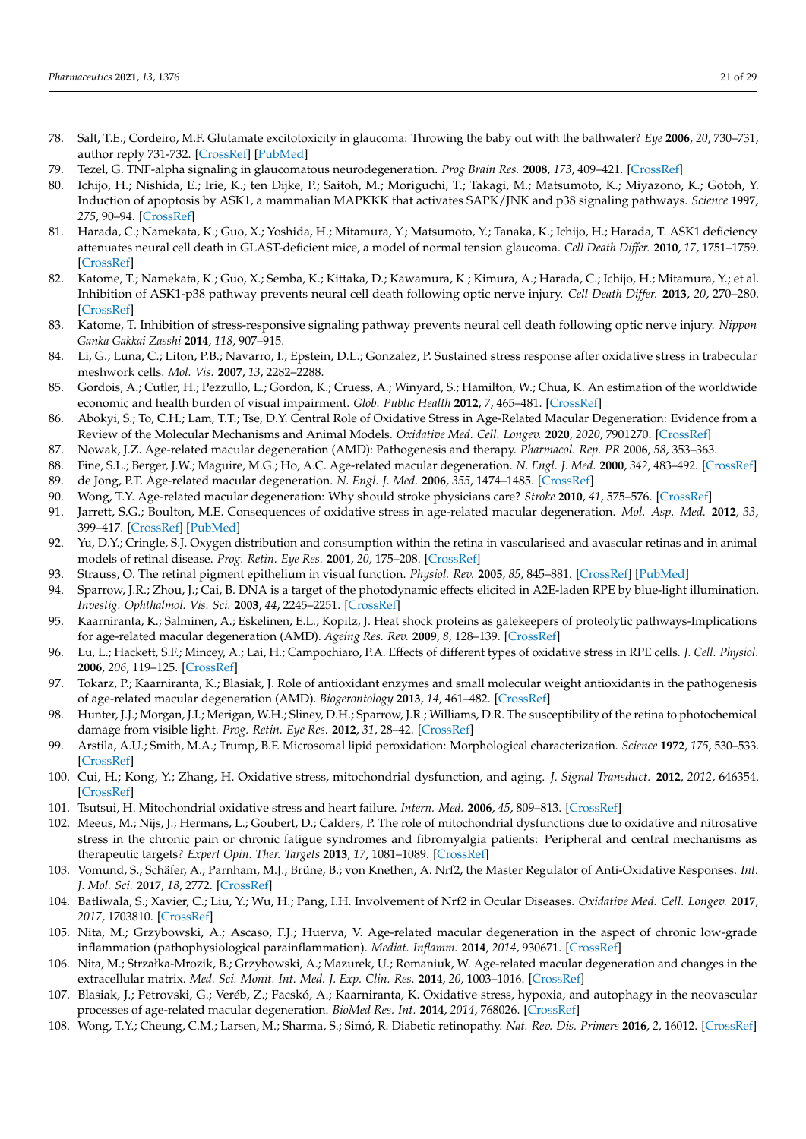- <span id="page-20-0"></span>78. Salt, T.E.; Cordeiro, M.F. Glutamate excitotoxicity in glaucoma: Throwing the baby out with the bathwater? *Eye* **2006**, *20*, 730–731, author reply 731-732. [\[CrossRef\]](http://doi.org/10.1038/sj.eye.6701967) [\[PubMed\]](http://www.ncbi.nlm.nih.gov/pubmed/15951750)
- <span id="page-20-1"></span>79. Tezel, G. TNF-alpha signaling in glaucomatous neurodegeneration. *Prog Brain Res.* **2008**, *173*, 409–421. [\[CrossRef\]](http://doi.org/10.1016/S0079-6123(08)01128-X)
- <span id="page-20-2"></span>80. Ichijo, H.; Nishida, E.; Irie, K.; ten Dijke, P.; Saitoh, M.; Moriguchi, T.; Takagi, M.; Matsumoto, K.; Miyazono, K.; Gotoh, Y. Induction of apoptosis by ASK1, a mammalian MAPKKK that activates SAPK/JNK and p38 signaling pathways. *Science* **1997**, *275*, 90–94. [\[CrossRef\]](http://doi.org/10.1126/science.275.5296.90)
- <span id="page-20-3"></span>81. Harada, C.; Namekata, K.; Guo, X.; Yoshida, H.; Mitamura, Y.; Matsumoto, Y.; Tanaka, K.; Ichijo, H.; Harada, T. ASK1 deficiency attenuates neural cell death in GLAST-deficient mice, a model of normal tension glaucoma. *Cell Death Differ.* **2010**, *17*, 1751–1759. [\[CrossRef\]](http://doi.org/10.1038/cdd.2010.62)
- 82. Katome, T.; Namekata, K.; Guo, X.; Semba, K.; Kittaka, D.; Kawamura, K.; Kimura, A.; Harada, C.; Ichijo, H.; Mitamura, Y.; et al. Inhibition of ASK1-p38 pathway prevents neural cell death following optic nerve injury. *Cell Death Differ.* **2013**, *20*, 270–280. [\[CrossRef\]](http://doi.org/10.1038/cdd.2012.122)
- <span id="page-20-4"></span>83. Katome, T. Inhibition of stress-responsive signaling pathway prevents neural cell death following optic nerve injury. *Nippon Ganka Gakkai Zasshi* **2014**, *118*, 907–915.
- <span id="page-20-5"></span>84. Li, G.; Luna, C.; Liton, P.B.; Navarro, I.; Epstein, D.L.; Gonzalez, P. Sustained stress response after oxidative stress in trabecular meshwork cells. *Mol. Vis.* **2007**, *13*, 2282–2288.
- <span id="page-20-6"></span>85. Gordois, A.; Cutler, H.; Pezzullo, L.; Gordon, K.; Cruess, A.; Winyard, S.; Hamilton, W.; Chua, K. An estimation of the worldwide economic and health burden of visual impairment. *Glob. Public Health* **2012**, *7*, 465–481. [\[CrossRef\]](http://doi.org/10.1080/17441692.2011.634815)
- <span id="page-20-7"></span>86. Abokyi, S.; To, C.H.; Lam, T.T.; Tse, D.Y. Central Role of Oxidative Stress in Age-Related Macular Degeneration: Evidence from a Review of the Molecular Mechanisms and Animal Models. *Oxidative Med. Cell. Longev.* **2020**, *2020*, 7901270. [\[CrossRef\]](http://doi.org/10.1155/2020/7901270)
- <span id="page-20-8"></span>87. Nowak, J.Z. Age-related macular degeneration (AMD): Pathogenesis and therapy. *Pharmacol. Rep. PR* **2006**, *58*, 353–363.
- <span id="page-20-9"></span>88. Fine, S.L.; Berger, J.W.; Maguire, M.G.; Ho, A.C. Age-related macular degeneration. *N. Engl. J. Med.* **2000**, *342*, 483–492. [\[CrossRef\]](http://doi.org/10.1056/NEJM200002173420707)
- <span id="page-20-10"></span>89. de Jong, P.T. Age-related macular degeneration. *N. Engl. J. Med.* **2006**, *355*, 1474–1485. [\[CrossRef\]](http://doi.org/10.1056/NEJMra062326)
- <span id="page-20-11"></span>90. Wong, T.Y. Age-related macular degeneration: Why should stroke physicians care? *Stroke* **2010**, *41*, 575–576. [\[CrossRef\]](http://doi.org/10.1161/STROKEAHA.109.574475)
- <span id="page-20-12"></span>91. Jarrett, S.G.; Boulton, M.E. Consequences of oxidative stress in age-related macular degeneration. *Mol. Asp. Med.* **2012**, *33*, 399–417. [\[CrossRef\]](http://doi.org/10.1016/j.mam.2012.03.009) [\[PubMed\]](http://www.ncbi.nlm.nih.gov/pubmed/22510306)
- <span id="page-20-13"></span>92. Yu, D.Y.; Cringle, S.J. Oxygen distribution and consumption within the retina in vascularised and avascular retinas and in animal models of retinal disease. *Prog. Retin. Eye Res.* **2001**, *20*, 175–208. [\[CrossRef\]](http://doi.org/10.1016/S1350-9462(00)00027-6)
- <span id="page-20-14"></span>93. Strauss, O. The retinal pigment epithelium in visual function. *Physiol. Rev.* **2005**, *85*, 845–881. [\[CrossRef\]](http://doi.org/10.1152/physrev.00021.2004) [\[PubMed\]](http://www.ncbi.nlm.nih.gov/pubmed/15987797)
- <span id="page-20-15"></span>94. Sparrow, J.R.; Zhou, J.; Cai, B. DNA is a target of the photodynamic effects elicited in A2E-laden RPE by blue-light illumination. *Investig. Ophthalmol. Vis. Sci.* **2003**, *44*, 2245–2251. [\[CrossRef\]](http://doi.org/10.1167/iovs.02-0746)
- <span id="page-20-16"></span>95. Kaarniranta, K.; Salminen, A.; Eskelinen, E.L.; Kopitz, J. Heat shock proteins as gatekeepers of proteolytic pathways-Implications for age-related macular degeneration (AMD). *Ageing Res. Rev.* **2009**, *8*, 128–139. [\[CrossRef\]](http://doi.org/10.1016/j.arr.2009.01.001)
- <span id="page-20-17"></span>96. Lu, L.; Hackett, S.F.; Mincey, A.; Lai, H.; Campochiaro, P.A. Effects of different types of oxidative stress in RPE cells. *J. Cell. Physiol.* **2006**, *206*, 119–125. [\[CrossRef\]](http://doi.org/10.1002/jcp.20439)
- <span id="page-20-18"></span>97. Tokarz, P.; Kaarniranta, K.; Blasiak, J. Role of antioxidant enzymes and small molecular weight antioxidants in the pathogenesis of age-related macular degeneration (AMD). *Biogerontology* **2013**, *14*, 461–482. [\[CrossRef\]](http://doi.org/10.1007/s10522-013-9463-2)
- <span id="page-20-19"></span>98. Hunter, J.J.; Morgan, J.I.; Merigan, W.H.; Sliney, D.H.; Sparrow, J.R.; Williams, D.R. The susceptibility of the retina to photochemical damage from visible light. *Prog. Retin. Eye Res.* **2012**, *31*, 28–42. [\[CrossRef\]](http://doi.org/10.1016/j.preteyeres.2011.11.001)
- <span id="page-20-20"></span>99. Arstila, A.U.; Smith, M.A.; Trump, B.F. Microsomal lipid peroxidation: Morphological characterization. *Science* **1972**, *175*, 530–533. [\[CrossRef\]](http://doi.org/10.1126/science.175.4021.530)
- <span id="page-20-21"></span>100. Cui, H.; Kong, Y.; Zhang, H. Oxidative stress, mitochondrial dysfunction, and aging. *J. Signal Transduct.* **2012**, *2012*, 646354. [\[CrossRef\]](http://doi.org/10.1155/2012/646354)
- <span id="page-20-22"></span>101. Tsutsui, H. Mitochondrial oxidative stress and heart failure. *Intern. Med.* **2006**, *45*, 809–813. [\[CrossRef\]](http://doi.org/10.2169/internalmedicine.45.1765)
- <span id="page-20-23"></span>102. Meeus, M.; Nijs, J.; Hermans, L.; Goubert, D.; Calders, P. The role of mitochondrial dysfunctions due to oxidative and nitrosative stress in the chronic pain or chronic fatigue syndromes and fibromyalgia patients: Peripheral and central mechanisms as therapeutic targets? *Expert Opin. Ther. Targets* **2013**, *17*, 1081–1089. [\[CrossRef\]](http://doi.org/10.1517/14728222.2013.818657)
- <span id="page-20-24"></span>103. Vomund, S.; Schäfer, A.; Parnham, M.J.; Brüne, B.; von Knethen, A. Nrf2, the Master Regulator of Anti-Oxidative Responses. *Int. J. Mol. Sci.* **2017**, *18*, 2772. [\[CrossRef\]](http://doi.org/10.3390/ijms18122772)
- <span id="page-20-25"></span>104. Batliwala, S.; Xavier, C.; Liu, Y.; Wu, H.; Pang, I.H. Involvement of Nrf2 in Ocular Diseases. *Oxidative Med. Cell. Longev.* **2017**, *2017*, 1703810. [\[CrossRef\]](http://doi.org/10.1155/2017/1703810)
- <span id="page-20-26"></span>105. Nita, M.; Grzybowski, A.; Ascaso, F.J.; Huerva, V. Age-related macular degeneration in the aspect of chronic low-grade inflammation (pathophysiological parainflammation). *Mediat. Inflamm.* **2014**, *2014*, 930671. [\[CrossRef\]](http://doi.org/10.1155/2014/930671)
- <span id="page-20-27"></span>106. Nita, M.; Strzałka-Mrozik, B.; Grzybowski, A.; Mazurek, U.; Romaniuk, W. Age-related macular degeneration and changes in the extracellular matrix. *Med. Sci. Monit. Int. Med. J. Exp. Clin. Res.* **2014**, *20*, 1003–1016. [\[CrossRef\]](http://doi.org/10.12659/msm.889887)
- <span id="page-20-28"></span>107. Blasiak, J.; Petrovski, G.; Veréb, Z.; Facskó, A.; Kaarniranta, K. Oxidative stress, hypoxia, and autophagy in the neovascular processes of age-related macular degeneration. *BioMed Res. Int.* **2014**, *2014*, 768026. [\[CrossRef\]](http://doi.org/10.1155/2014/768026)
- <span id="page-20-29"></span>108. Wong, T.Y.; Cheung, C.M.; Larsen, M.; Sharma, S.; Simó, R. Diabetic retinopathy. *Nat. Rev. Dis. Primers* **2016**, *2*, 16012. [\[CrossRef\]](http://doi.org/10.1038/nrdp.2016.12)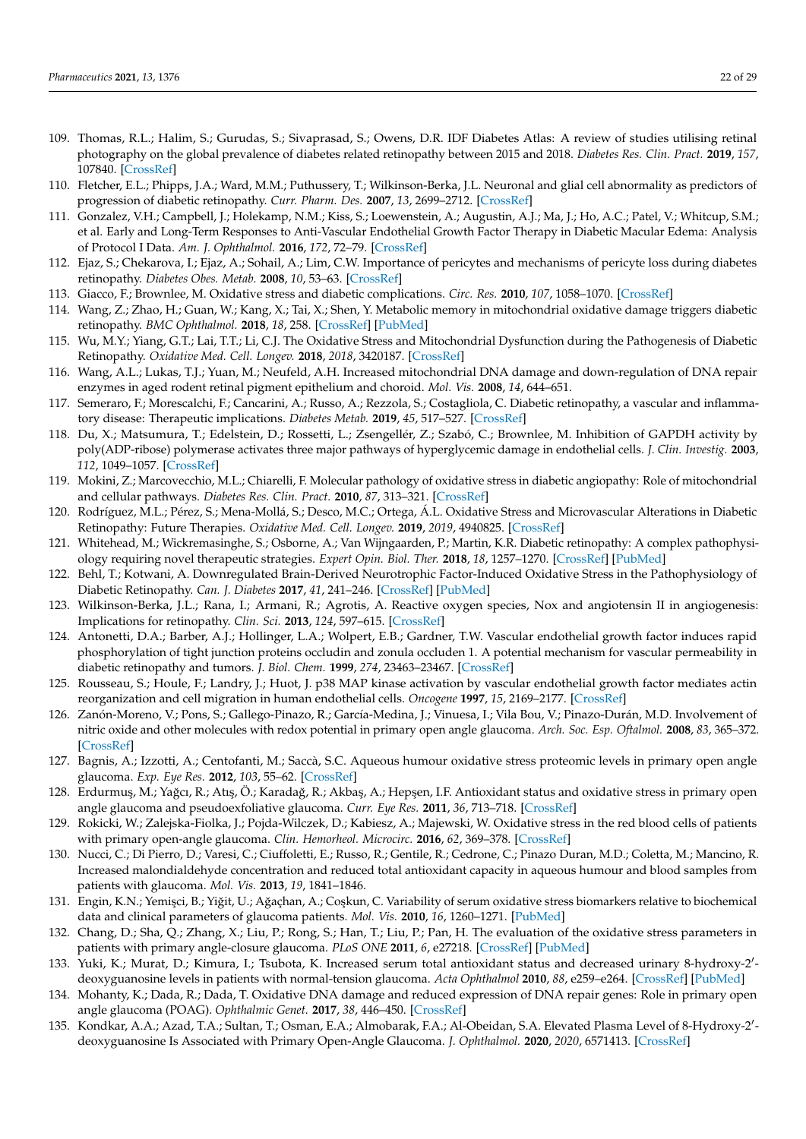- <span id="page-21-0"></span>109. Thomas, R.L.; Halim, S.; Gurudas, S.; Sivaprasad, S.; Owens, D.R. IDF Diabetes Atlas: A review of studies utilising retinal photography on the global prevalence of diabetes related retinopathy between 2015 and 2018. *Diabetes Res. Clin. Pract.* **2019**, *157*, 107840. [\[CrossRef\]](http://doi.org/10.1016/j.diabres.2019.107840)
- <span id="page-21-1"></span>110. Fletcher, E.L.; Phipps, J.A.; Ward, M.M.; Puthussery, T.; Wilkinson-Berka, J.L. Neuronal and glial cell abnormality as predictors of progression of diabetic retinopathy. *Curr. Pharm. Des.* **2007**, *13*, 2699–2712. [\[CrossRef\]](http://doi.org/10.2174/138161207781662920)
- <span id="page-21-2"></span>111. Gonzalez, V.H.; Campbell, J.; Holekamp, N.M.; Kiss, S.; Loewenstein, A.; Augustin, A.J.; Ma, J.; Ho, A.C.; Patel, V.; Whitcup, S.M.; et al. Early and Long-Term Responses to Anti-Vascular Endothelial Growth Factor Therapy in Diabetic Macular Edema: Analysis of Protocol I Data. *Am. J. Ophthalmol.* **2016**, *172*, 72–79. [\[CrossRef\]](http://doi.org/10.1016/j.ajo.2016.09.012)
- <span id="page-21-3"></span>112. Ejaz, S.; Chekarova, I.; Ejaz, A.; Sohail, A.; Lim, C.W. Importance of pericytes and mechanisms of pericyte loss during diabetes retinopathy. *Diabetes Obes. Metab.* **2008**, *10*, 53–63. [\[CrossRef\]](http://doi.org/10.1111/j.1463-1326.2007.00795.x)
- <span id="page-21-4"></span>113. Giacco, F.; Brownlee, M. Oxidative stress and diabetic complications. *Circ. Res.* **2010**, *107*, 1058–1070. [\[CrossRef\]](http://doi.org/10.1161/CIRCRESAHA.110.223545)
- <span id="page-21-5"></span>114. Wang, Z.; Zhao, H.; Guan, W.; Kang, X.; Tai, X.; Shen, Y. Metabolic memory in mitochondrial oxidative damage triggers diabetic retinopathy. *BMC Ophthalmol.* **2018**, *18*, 258. [\[CrossRef\]](http://doi.org/10.1186/s12886-018-0921-0) [\[PubMed\]](http://www.ncbi.nlm.nih.gov/pubmed/30249212)
- <span id="page-21-6"></span>115. Wu, M.Y.; Yiang, G.T.; Lai, T.T.; Li, C.J. The Oxidative Stress and Mitochondrial Dysfunction during the Pathogenesis of Diabetic Retinopathy. *Oxidative Med. Cell. Longev.* **2018**, *2018*, 3420187. [\[CrossRef\]](http://doi.org/10.1155/2018/3420187)
- <span id="page-21-7"></span>116. Wang, A.L.; Lukas, T.J.; Yuan, M.; Neufeld, A.H. Increased mitochondrial DNA damage and down-regulation of DNA repair enzymes in aged rodent retinal pigment epithelium and choroid. *Mol. Vis.* **2008**, *14*, 644–651.
- <span id="page-21-8"></span>117. Semeraro, F.; Morescalchi, F.; Cancarini, A.; Russo, A.; Rezzola, S.; Costagliola, C. Diabetic retinopathy, a vascular and inflammatory disease: Therapeutic implications. *Diabetes Metab.* **2019**, *45*, 517–527. [\[CrossRef\]](http://doi.org/10.1016/j.diabet.2019.04.002)
- <span id="page-21-9"></span>118. Du, X.; Matsumura, T.; Edelstein, D.; Rossetti, L.; Zsengellér, Z.; Szabó, C.; Brownlee, M. Inhibition of GAPDH activity by poly(ADP-ribose) polymerase activates three major pathways of hyperglycemic damage in endothelial cells. *J. Clin. Investig.* **2003**, *112*, 1049–1057. [\[CrossRef\]](http://doi.org/10.1172/JCI18127)
- <span id="page-21-10"></span>119. Mokini, Z.; Marcovecchio, M.L.; Chiarelli, F. Molecular pathology of oxidative stress in diabetic angiopathy: Role of mitochondrial and cellular pathways. *Diabetes Res. Clin. Pract.* **2010**, *87*, 313–321. [\[CrossRef\]](http://doi.org/10.1016/j.diabres.2009.11.018)
- <span id="page-21-11"></span>120. Rodríguez, M.L.; Pérez, S.; Mena-Mollá, S.; Desco, M.C.; Ortega, Á.L. Oxidative Stress and Microvascular Alterations in Diabetic Retinopathy: Future Therapies. *Oxidative Med. Cell. Longev.* **2019**, *2019*, 4940825. [\[CrossRef\]](http://doi.org/10.1155/2019/4940825)
- <span id="page-21-12"></span>121. Whitehead, M.; Wickremasinghe, S.; Osborne, A.; Van Wijngaarden, P.; Martin, K.R. Diabetic retinopathy: A complex pathophysiology requiring novel therapeutic strategies. *Expert Opin. Biol. Ther.* **2018**, *18*, 1257–1270. [\[CrossRef\]](http://doi.org/10.1080/14712598.2018.1545836) [\[PubMed\]](http://www.ncbi.nlm.nih.gov/pubmed/30408422)
- <span id="page-21-13"></span>122. Behl, T.; Kotwani, A. Downregulated Brain-Derived Neurotrophic Factor-Induced Oxidative Stress in the Pathophysiology of Diabetic Retinopathy. *Can. J. Diabetes* **2017**, *41*, 241–246. [\[CrossRef\]](http://doi.org/10.1016/j.jcjd.2016.08.228) [\[PubMed\]](http://www.ncbi.nlm.nih.gov/pubmed/27913110)
- <span id="page-21-14"></span>123. Wilkinson-Berka, J.L.; Rana, I.; Armani, R.; Agrotis, A. Reactive oxygen species, Nox and angiotensin II in angiogenesis: Implications for retinopathy. *Clin. Sci.* **2013**, *124*, 597–615. [\[CrossRef\]](http://doi.org/10.1042/CS20120212)
- <span id="page-21-15"></span>124. Antonetti, D.A.; Barber, A.J.; Hollinger, L.A.; Wolpert, E.B.; Gardner, T.W. Vascular endothelial growth factor induces rapid phosphorylation of tight junction proteins occludin and zonula occluden 1. A potential mechanism for vascular permeability in diabetic retinopathy and tumors. *J. Biol. Chem.* **1999**, *274*, 23463–23467. [\[CrossRef\]](http://doi.org/10.1074/jbc.274.33.23463)
- <span id="page-21-16"></span>125. Rousseau, S.; Houle, F.; Landry, J.; Huot, J. p38 MAP kinase activation by vascular endothelial growth factor mediates actin reorganization and cell migration in human endothelial cells. *Oncogene* **1997**, *15*, 2169–2177. [\[CrossRef\]](http://doi.org/10.1038/sj.onc.1201380)
- <span id="page-21-17"></span>126. Zanón-Moreno, V.; Pons, S.; Gallego-Pinazo, R.; García-Medina, J.; Vinuesa, I.; Vila Bou, V.; Pinazo-Durán, M.D. Involvement of nitric oxide and other molecules with redox potential in primary open angle glaucoma. *Arch. Soc. Esp. Oftalmol.* **2008**, *83*, 365–372. [\[CrossRef\]](http://doi.org/10.4321/s0365-66912008000600006)
- <span id="page-21-18"></span>127. Bagnis, A.; Izzotti, A.; Centofanti, M.; Saccà, S.C. Aqueous humour oxidative stress proteomic levels in primary open angle glaucoma. *Exp. Eye Res.* **2012**, *103*, 55–62. [\[CrossRef\]](http://doi.org/10.1016/j.exer.2012.07.011)
- <span id="page-21-19"></span>128. Erdurmuş, M.; Yağcı, R.; Atış, Ö.; Karadağ, R.; Akbaş, A.; Hepşen, I.F. Antioxidant status and oxidative stress in primary open angle glaucoma and pseudoexfoliative glaucoma. *Curr. Eye Res.* **2011**, *36*, 713–718. [\[CrossRef\]](http://doi.org/10.3109/02713683.2011.584370)
- 129. Rokicki, W.; Zalejska-Fiolka, J.; Pojda-Wilczek, D.; Kabiesz, A.; Majewski, W. Oxidative stress in the red blood cells of patients with primary open-angle glaucoma. *Clin. Hemorheol. Microcirc.* **2016**, *62*, 369–378. [\[CrossRef\]](http://doi.org/10.3233/CH-152029)
- 130. Nucci, C.; Di Pierro, D.; Varesi, C.; Ciuffoletti, E.; Russo, R.; Gentile, R.; Cedrone, C.; Pinazo Duran, M.D.; Coletta, M.; Mancino, R. Increased malondialdehyde concentration and reduced total antioxidant capacity in aqueous humour and blood samples from patients with glaucoma. *Mol. Vis.* **2013**, *19*, 1841–1846.
- <span id="page-21-20"></span>131. Engin, K.N.; Yemişci, B.; Yiğit, U.; Ağaçhan, A.; Coşkun, C. Variability of serum oxidative stress biomarkers relative to biochemical data and clinical parameters of glaucoma patients. *Mol. Vis.* **2010**, *16*, 1260–1271. [\[PubMed\]](http://www.ncbi.nlm.nih.gov/pubmed/20664701)
- <span id="page-21-21"></span>132. Chang, D.; Sha, Q.; Zhang, X.; Liu, P.; Rong, S.; Han, T.; Liu, P.; Pan, H. The evaluation of the oxidative stress parameters in patients with primary angle-closure glaucoma. *PLoS ONE* **2011**, *6*, e27218. [\[CrossRef\]](http://doi.org/10.1371/journal.pone.0027218) [\[PubMed\]](http://www.ncbi.nlm.nih.gov/pubmed/22096540)
- <span id="page-21-23"></span>133. Yuki, K.; Murat, D.; Kimura, I.; Tsubota, K. Increased serum total antioxidant status and decreased urinary 8-hydroxy-2'deoxyguanosine levels in patients with normal-tension glaucoma. *Acta Ophthalmol* **2010**, *88*, e259–e264. [\[CrossRef\]](http://doi.org/10.1111/j.1755-3768.2010.01997.x) [\[PubMed\]](http://www.ncbi.nlm.nih.gov/pubmed/20977690)
- <span id="page-21-24"></span>134. Mohanty, K.; Dada, R.; Dada, T. Oxidative DNA damage and reduced expression of DNA repair genes: Role in primary open angle glaucoma (POAG). *Ophthalmic Genet.* **2017**, *38*, 446–450. [\[CrossRef\]](http://doi.org/10.1080/13816810.2016.1261904)
- <span id="page-21-22"></span>135. Kondkar, A.A.; Azad, T.A.; Sultan, T.; Osman, E.A.; Almobarak, F.A.; Al-Obeidan, S.A. Elevated Plasma Level of 8-Hydroxy-2'deoxyguanosine Is Associated with Primary Open-Angle Glaucoma. *J. Ophthalmol.* **2020**, *2020*, 6571413. [\[CrossRef\]](http://doi.org/10.1155/2020/6571413)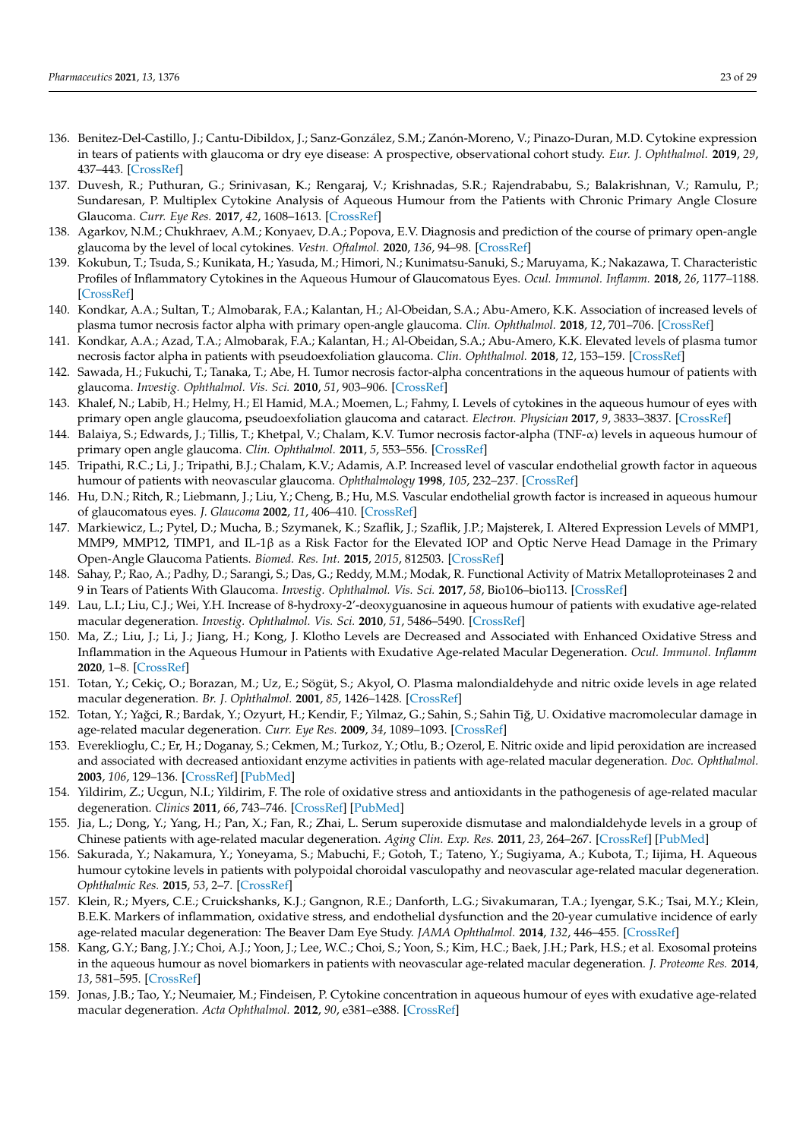- <span id="page-22-0"></span>136. Benitez-Del-Castillo, J.; Cantu-Dibildox, J.; Sanz-González, S.M.; Zanón-Moreno, V.; Pinazo-Duran, M.D. Cytokine expression in tears of patients with glaucoma or dry eye disease: A prospective, observational cohort study. *Eur. J. Ophthalmol.* **2019**, *29*, 437–443. [\[CrossRef\]](http://doi.org/10.1177/1120672118795399)
- <span id="page-22-1"></span>137. Duvesh, R.; Puthuran, G.; Srinivasan, K.; Rengaraj, V.; Krishnadas, S.R.; Rajendrababu, S.; Balakrishnan, V.; Ramulu, P.; Sundaresan, P. Multiplex Cytokine Analysis of Aqueous Humour from the Patients with Chronic Primary Angle Closure Glaucoma. *Curr. Eye Res.* **2017**, *42*, 1608–1613. [\[CrossRef\]](http://doi.org/10.1080/02713683.2017.1362003)
- <span id="page-22-2"></span>138. Agarkov, N.M.; Chukhraev, A.M.; Konyaev, D.A.; Popova, E.V. Diagnosis and prediction of the course of primary open-angle glaucoma by the level of local cytokines. *Vestn. Oftalmol.* **2020**, *136*, 94–98. [\[CrossRef\]](http://doi.org/10.17116/oftalma202013604194)
- <span id="page-22-3"></span>139. Kokubun, T.; Tsuda, S.; Kunikata, H.; Yasuda, M.; Himori, N.; Kunimatsu-Sanuki, S.; Maruyama, K.; Nakazawa, T. Characteristic Profiles of Inflammatory Cytokines in the Aqueous Humour of Glaucomatous Eyes. *Ocul. Immunol. Inflamm.* **2018**, *26*, 1177–1188. [\[CrossRef\]](http://doi.org/10.1080/09273948.2017.1327605)
- <span id="page-22-4"></span>140. Kondkar, A.A.; Sultan, T.; Almobarak, F.A.; Kalantan, H.; Al-Obeidan, S.A.; Abu-Amero, K.K. Association of increased levels of plasma tumor necrosis factor alpha with primary open-angle glaucoma. *Clin. Ophthalmol.* **2018**, *12*, 701–706. [\[CrossRef\]](http://doi.org/10.2147/OPTH.S162999)
- <span id="page-22-5"></span>141. Kondkar, A.A.; Azad, T.A.; Almobarak, F.A.; Kalantan, H.; Al-Obeidan, S.A.; Abu-Amero, K.K. Elevated levels of plasma tumor necrosis factor alpha in patients with pseudoexfoliation glaucoma. *Clin. Ophthalmol.* **2018**, *12*, 153–159. [\[CrossRef\]](http://doi.org/10.2147/OPTH.S155168)
- <span id="page-22-6"></span>142. Sawada, H.; Fukuchi, T.; Tanaka, T.; Abe, H. Tumor necrosis factor-alpha concentrations in the aqueous humour of patients with glaucoma. *Investig. Ophthalmol. Vis. Sci.* **2010**, *51*, 903–906. [\[CrossRef\]](http://doi.org/10.1167/iovs.09-4247)
- 143. Khalef, N.; Labib, H.; Helmy, H.; El Hamid, M.A.; Moemen, L.; Fahmy, I. Levels of cytokines in the aqueous humour of eyes with primary open angle glaucoma, pseudoexfoliation glaucoma and cataract. *Electron. Physician* **2017**, *9*, 3833–3837. [\[CrossRef\]](http://doi.org/10.19082/3833)
- <span id="page-22-7"></span>144. Balaiya, S.; Edwards, J.; Tillis, T.; Khetpal, V.; Chalam, K.V. Tumor necrosis factor-alpha (TNF-α) levels in aqueous humour of primary open angle glaucoma. *Clin. Ophthalmol.* **2011**, *5*, 553–556. [\[CrossRef\]](http://doi.org/10.2147/OPTH.S19453)
- <span id="page-22-8"></span>145. Tripathi, R.C.; Li, J.; Tripathi, B.J.; Chalam, K.V.; Adamis, A.P. Increased level of vascular endothelial growth factor in aqueous humour of patients with neovascular glaucoma. *Ophthalmology* **1998**, *105*, 232–237. [\[CrossRef\]](http://doi.org/10.1016/S0161-6420(98)92782-8)
- <span id="page-22-9"></span>146. Hu, D.N.; Ritch, R.; Liebmann, J.; Liu, Y.; Cheng, B.; Hu, M.S. Vascular endothelial growth factor is increased in aqueous humour of glaucomatous eyes. *J. Glaucoma* **2002**, *11*, 406–410. [\[CrossRef\]](http://doi.org/10.1097/00061198-200210000-00006)
- <span id="page-22-10"></span>147. Markiewicz, L.; Pytel, D.; Mucha, B.; Szymanek, K.; Szaflik, J.; Szaflik, J.P.; Majsterek, I. Altered Expression Levels of MMP1. MMP9, MMP12, TIMP1, and IL-1β as a Risk Factor for the Elevated IOP and Optic Nerve Head Damage in the Primary Open-Angle Glaucoma Patients. *Biomed. Res. Int.* **2015**, *2015*, 812503. [\[CrossRef\]](http://doi.org/10.1155/2015/812503)
- <span id="page-22-11"></span>148. Sahay, P.; Rao, A.; Padhy, D.; Sarangi, S.; Das, G.; Reddy, M.M.; Modak, R. Functional Activity of Matrix Metalloproteinases 2 and 9 in Tears of Patients With Glaucoma. *Investig. Ophthalmol. Vis. Sci.* **2017**, *58*, Bio106–bio113. [\[CrossRef\]](http://doi.org/10.1167/iovs.17-21723)
- <span id="page-22-12"></span>149. Lau, L.I.; Liu, C.J.; Wei, Y.H. Increase of 8-hydroxy-2'-deoxyguanosine in aqueous humour of patients with exudative age-related macular degeneration. *Investig. Ophthalmol. Vis. Sci.* **2010**, *51*, 5486–5490. [\[CrossRef\]](http://doi.org/10.1167/iovs.10-5663)
- <span id="page-22-13"></span>150. Ma, Z.; Liu, J.; Li, J.; Jiang, H.; Kong, J. Klotho Levels are Decreased and Associated with Enhanced Oxidative Stress and Inflammation in the Aqueous Humour in Patients with Exudative Age-related Macular Degeneration. *Ocul. Immunol. Inflamm* **2020**, 1–8. [\[CrossRef\]](http://doi.org/10.1080/09273948.2020.1828488)
- <span id="page-22-14"></span>151. Totan, Y.; Cekiç, O.; Borazan, M.; Uz, E.; Sögüt, S.; Akyol, O. Plasma malondialdehyde and nitric oxide levels in age related macular degeneration. *Br. J. Ophthalmol.* **2001**, *85*, 1426–1428. [\[CrossRef\]](http://doi.org/10.1136/bjo.85.12.1426)
- 152. Totan, Y.; Yağci, R.; Bardak, Y.; Ozyurt, H.; Kendir, F.; Yilmaz, G.; Sahin, S.; Sahin Tiğ, U. Oxidative macromolecular damage in age-related macular degeneration. *Curr. Eye Res.* **2009**, *34*, 1089–1093. [\[CrossRef\]](http://doi.org/10.3109/02713680903353772)
- <span id="page-22-20"></span>153. Evereklioglu, C.; Er, H.; Doganay, S.; Cekmen, M.; Turkoz, Y.; Otlu, B.; Ozerol, E. Nitric oxide and lipid peroxidation are increased and associated with decreased antioxidant enzyme activities in patients with age-related macular degeneration. *Doc. Ophthalmol.* **2003**, *106*, 129–136. [\[CrossRef\]](http://doi.org/10.1023/A:1022512402811) [\[PubMed\]](http://www.ncbi.nlm.nih.gov/pubmed/12678277)
- <span id="page-22-21"></span>154. Yildirim, Z.; Ucgun, N.I.; Yildirim, F. The role of oxidative stress and antioxidants in the pathogenesis of age-related macular degeneration. *Clinics* **2011**, *66*, 743–746. [\[CrossRef\]](http://doi.org/10.1590/s1807-59322011000500006) [\[PubMed\]](http://www.ncbi.nlm.nih.gov/pubmed/21789374)
- <span id="page-22-15"></span>155. Jia, L.; Dong, Y.; Yang, H.; Pan, X.; Fan, R.; Zhai, L. Serum superoxide dismutase and malondialdehyde levels in a group of Chinese patients with age-related macular degeneration. *Aging Clin. Exp. Res.* **2011**, *23*, 264–267. [\[CrossRef\]](http://doi.org/10.1007/BF03324965) [\[PubMed\]](http://www.ncbi.nlm.nih.gov/pubmed/22067370)
- <span id="page-22-16"></span>156. Sakurada, Y.; Nakamura, Y.; Yoneyama, S.; Mabuchi, F.; Gotoh, T.; Tateno, Y.; Sugiyama, A.; Kubota, T.; Iijima, H. Aqueous humour cytokine levels in patients with polypoidal choroidal vasculopathy and neovascular age-related macular degeneration. *Ophthalmic Res.* **2015**, *53*, 2–7. [\[CrossRef\]](http://doi.org/10.1159/000365487)
- <span id="page-22-17"></span>157. Klein, R.; Myers, C.E.; Cruickshanks, K.J.; Gangnon, R.E.; Danforth, L.G.; Sivakumaran, T.A.; Iyengar, S.K.; Tsai, M.Y.; Klein, B.E.K. Markers of inflammation, oxidative stress, and endothelial dysfunction and the 20-year cumulative incidence of early age-related macular degeneration: The Beaver Dam Eye Study. *JAMA Ophthalmol.* **2014**, *132*, 446–455. [\[CrossRef\]](http://doi.org/10.1001/jamaophthalmol.2013.7671)
- <span id="page-22-18"></span>158. Kang, G.Y.; Bang, J.Y.; Choi, A.J.; Yoon, J.; Lee, W.C.; Choi, S.; Yoon, S.; Kim, H.C.; Baek, J.H.; Park, H.S.; et al. Exosomal proteins in the aqueous humour as novel biomarkers in patients with neovascular age-related macular degeneration. *J. Proteome Res.* **2014**, *13*, 581–595. [\[CrossRef\]](http://doi.org/10.1021/pr400751k)
- <span id="page-22-19"></span>159. Jonas, J.B.; Tao, Y.; Neumaier, M.; Findeisen, P. Cytokine concentration in aqueous humour of eyes with exudative age-related macular degeneration. *Acta Ophthalmol.* **2012**, *90*, e381–e388. [\[CrossRef\]](http://doi.org/10.1111/j.1755-3768.2012.02414.x)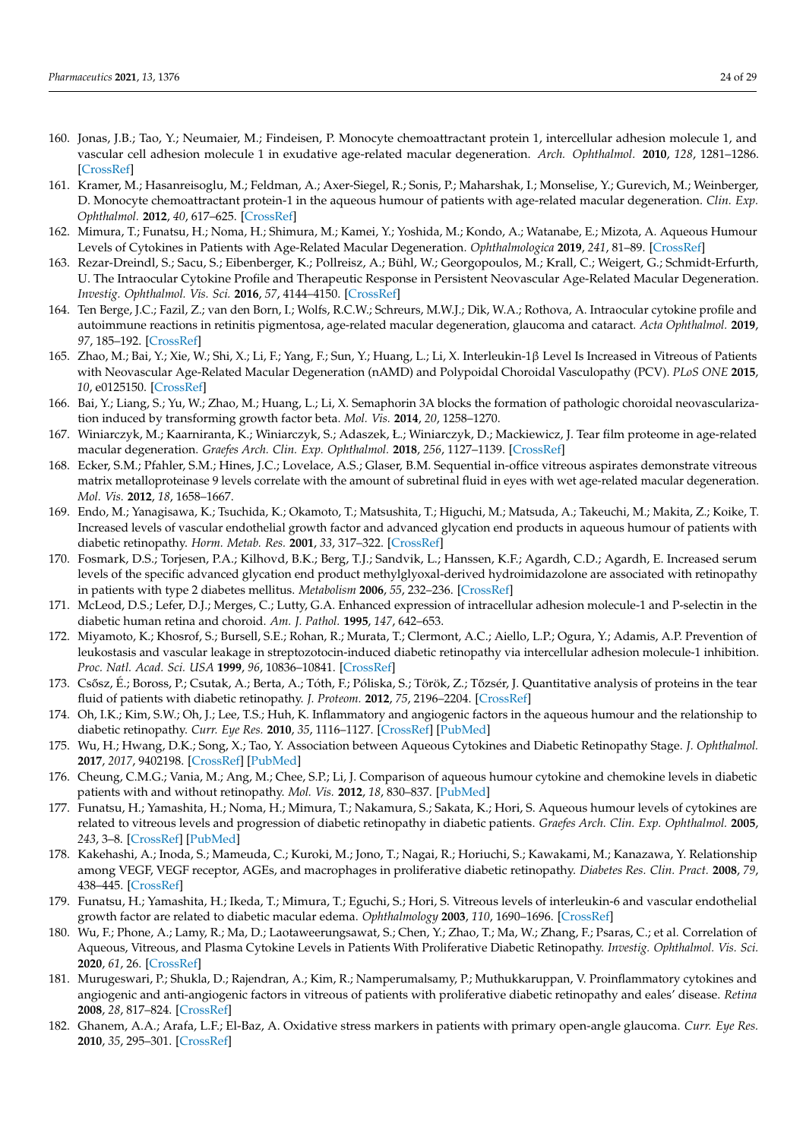- 160. Jonas, J.B.; Tao, Y.; Neumaier, M.; Findeisen, P. Monocyte chemoattractant protein 1, intercellular adhesion molecule 1, and vascular cell adhesion molecule 1 in exudative age-related macular degeneration. *Arch. Ophthalmol.* **2010**, *128*, 1281–1286. [\[CrossRef\]](http://doi.org/10.1001/archophthalmol.2010.227)
- <span id="page-23-0"></span>161. Kramer, M.; Hasanreisoglu, M.; Feldman, A.; Axer-Siegel, R.; Sonis, P.; Maharshak, I.; Monselise, Y.; Gurevich, M.; Weinberger, D. Monocyte chemoattractant protein-1 in the aqueous humour of patients with age-related macular degeneration. *Clin. Exp. Ophthalmol.* **2012**, *40*, 617–625. [\[CrossRef\]](http://doi.org/10.1111/j.1442-9071.2011.02747.x)
- <span id="page-23-1"></span>162. Mimura, T.; Funatsu, H.; Noma, H.; Shimura, M.; Kamei, Y.; Yoshida, M.; Kondo, A.; Watanabe, E.; Mizota, A. Aqueous Humour Levels of Cytokines in Patients with Age-Related Macular Degeneration. *Ophthalmologica* **2019**, *241*, 81–89. [\[CrossRef\]](http://doi.org/10.1159/000490153)
- 163. Rezar-Dreindl, S.; Sacu, S.; Eibenberger, K.; Pollreisz, A.; Bühl, W.; Georgopoulos, M.; Krall, C.; Weigert, G.; Schmidt-Erfurth, U. The Intraocular Cytokine Profile and Therapeutic Response in Persistent Neovascular Age-Related Macular Degeneration. *Investig. Ophthalmol. Vis. Sci.* **2016**, *57*, 4144–4150. [\[CrossRef\]](http://doi.org/10.1167/iovs.16-19772)
- <span id="page-23-2"></span>164. Ten Berge, J.C.; Fazil, Z.; van den Born, I.; Wolfs, R.C.W.; Schreurs, M.W.J.; Dik, W.A.; Rothova, A. Intraocular cytokine profile and autoimmune reactions in retinitis pigmentosa, age-related macular degeneration, glaucoma and cataract. *Acta Ophthalmol.* **2019**, *97*, 185–192. [\[CrossRef\]](http://doi.org/10.1111/aos.13899)
- <span id="page-23-3"></span>165. Zhao, M.; Bai, Y.; Xie, W.; Shi, X.; Li, F.; Yang, F.; Sun, Y.; Huang, L.; Li, X. Interleukin-1β Level Is Increased in Vitreous of Patients with Neovascular Age-Related Macular Degeneration (nAMD) and Polypoidal Choroidal Vasculopathy (PCV). *PLoS ONE* **2015**, *10*, e0125150. [\[CrossRef\]](http://doi.org/10.1371/journal.pone.0125150)
- <span id="page-23-4"></span>166. Bai, Y.; Liang, S.; Yu, W.; Zhao, M.; Huang, L.; Li, X. Semaphorin 3A blocks the formation of pathologic choroidal neovascularization induced by transforming growth factor beta. *Mol. Vis.* **2014**, *20*, 1258–1270.
- <span id="page-23-5"></span>167. Winiarczyk, M.; Kaarniranta, K.; Winiarczyk, S.; Adaszek, Ł.; Winiarczyk, D.; Mackiewicz, J. Tear film proteome in age-related macular degeneration. *Graefes Arch. Clin. Exp. Ophthalmol.* **2018**, *256*, 1127–1139. [\[CrossRef\]](http://doi.org/10.1007/s00417-018-3984-y)
- <span id="page-23-6"></span>168. Ecker, S.M.; Pfahler, S.M.; Hines, J.C.; Lovelace, A.S.; Glaser, B.M. Sequential in-office vitreous aspirates demonstrate vitreous matrix metalloproteinase 9 levels correlate with the amount of subretinal fluid in eyes with wet age-related macular degeneration. *Mol. Vis.* **2012**, *18*, 1658–1667.
- <span id="page-23-7"></span>169. Endo, M.; Yanagisawa, K.; Tsuchida, K.; Okamoto, T.; Matsushita, T.; Higuchi, M.; Matsuda, A.; Takeuchi, M.; Makita, Z.; Koike, T. Increased levels of vascular endothelial growth factor and advanced glycation end products in aqueous humour of patients with diabetic retinopathy. *Horm. Metab. Res.* **2001**, *33*, 317–322. [\[CrossRef\]](http://doi.org/10.1055/s-2001-15122)
- <span id="page-23-8"></span>170. Fosmark, D.S.; Torjesen, P.A.; Kilhovd, B.K.; Berg, T.J.; Sandvik, L.; Hanssen, K.F.; Agardh, C.D.; Agardh, E. Increased serum levels of the specific advanced glycation end product methylglyoxal-derived hydroimidazolone are associated with retinopathy in patients with type 2 diabetes mellitus. *Metabolism* **2006**, *55*, 232–236. [\[CrossRef\]](http://doi.org/10.1016/j.metabol.2005.08.017)
- <span id="page-23-9"></span>171. McLeod, D.S.; Lefer, D.J.; Merges, C.; Lutty, G.A. Enhanced expression of intracellular adhesion molecule-1 and P-selectin in the diabetic human retina and choroid. *Am. J. Pathol.* **1995**, *147*, 642–653.
- <span id="page-23-10"></span>172. Miyamoto, K.; Khosrof, S.; Bursell, S.E.; Rohan, R.; Murata, T.; Clermont, A.C.; Aiello, L.P.; Ogura, Y.; Adamis, A.P. Prevention of leukostasis and vascular leakage in streptozotocin-induced diabetic retinopathy via intercellular adhesion molecule-1 inhibition. *Proc. Natl. Acad. Sci. USA* **1999**, *96*, 10836–10841. [\[CrossRef\]](http://doi.org/10.1073/pnas.96.19.10836)
- <span id="page-23-11"></span>173. Csősz, É.; Boross, P.; Csutak, A.; Berta, A.; Tóth, F.; Póliska, S.; Török, Z.; Tőzsér, J. Quantitative analysis of proteins in the tear fluid of patients with diabetic retinopathy. *J. Proteom.* **2012**, *75*, 2196–2204. [\[CrossRef\]](http://doi.org/10.1016/j.jprot.2012.01.019)
- <span id="page-23-12"></span>174. Oh, I.K.; Kim, S.W.; Oh, J.; Lee, T.S.; Huh, K. Inflammatory and angiogenic factors in the aqueous humour and the relationship to diabetic retinopathy. *Curr. Eye Res.* **2010**, *35*, 1116–1127. [\[CrossRef\]](http://doi.org/10.3109/02713683.2010.510257) [\[PubMed\]](http://www.ncbi.nlm.nih.gov/pubmed/21121809)
- <span id="page-23-13"></span>175. Wu, H.; Hwang, D.K.; Song, X.; Tao, Y. Association between Aqueous Cytokines and Diabetic Retinopathy Stage. *J. Ophthalmol.* **2017**, *2017*, 9402198. [\[CrossRef\]](http://doi.org/10.1155/2017/9402198) [\[PubMed\]](http://www.ncbi.nlm.nih.gov/pubmed/28680705)
- <span id="page-23-14"></span>176. Cheung, C.M.G.; Vania, M.; Ang, M.; Chee, S.P.; Li, J. Comparison of aqueous humour cytokine and chemokine levels in diabetic patients with and without retinopathy. *Mol. Vis.* **2012**, *18*, 830–837. [\[PubMed\]](http://www.ncbi.nlm.nih.gov/pubmed/22511846)
- <span id="page-23-16"></span>177. Funatsu, H.; Yamashita, H.; Noma, H.; Mimura, T.; Nakamura, S.; Sakata, K.; Hori, S. Aqueous humour levels of cytokines are related to vitreous levels and progression of diabetic retinopathy in diabetic patients. *Graefes Arch. Clin. Exp. Ophthalmol.* **2005**, *243*, 3–8. [\[CrossRef\]](http://doi.org/10.1007/s00417-004-0950-7) [\[PubMed\]](http://www.ncbi.nlm.nih.gov/pubmed/15258777)
- <span id="page-23-15"></span>178. Kakehashi, A.; Inoda, S.; Mameuda, C.; Kuroki, M.; Jono, T.; Nagai, R.; Horiuchi, S.; Kawakami, M.; Kanazawa, Y. Relationship among VEGF, VEGF receptor, AGEs, and macrophages in proliferative diabetic retinopathy. *Diabetes Res. Clin. Pract.* **2008**, *79*, 438–445. [\[CrossRef\]](http://doi.org/10.1016/j.diabres.2007.10.018)
- <span id="page-23-17"></span>179. Funatsu, H.; Yamashita, H.; Ikeda, T.; Mimura, T.; Eguchi, S.; Hori, S. Vitreous levels of interleukin-6 and vascular endothelial growth factor are related to diabetic macular edema. *Ophthalmology* **2003**, *110*, 1690–1696. [\[CrossRef\]](http://doi.org/10.1016/S0161-6420(03)00568-2)
- <span id="page-23-20"></span>180. Wu, F.; Phone, A.; Lamy, R.; Ma, D.; Laotaweerungsawat, S.; Chen, Y.; Zhao, T.; Ma, W.; Zhang, F.; Psaras, C.; et al. Correlation of Aqueous, Vitreous, and Plasma Cytokine Levels in Patients With Proliferative Diabetic Retinopathy. *Investig. Ophthalmol. Vis. Sci.* **2020**, *61*, 26. [\[CrossRef\]](http://doi.org/10.1167/iovs.61.2.26)
- <span id="page-23-18"></span>181. Murugeswari, P.; Shukla, D.; Rajendran, A.; Kim, R.; Namperumalsamy, P.; Muthukkaruppan, V. Proinflammatory cytokines and angiogenic and anti-angiogenic factors in vitreous of patients with proliferative diabetic retinopathy and eales' disease. *Retina* **2008**, *28*, 817–824. [\[CrossRef\]](http://doi.org/10.1097/IAE.0b013e31816576d5)
- <span id="page-23-19"></span>182. Ghanem, A.A.; Arafa, L.F.; El-Baz, A. Oxidative stress markers in patients with primary open-angle glaucoma. *Curr. Eye Res.* **2010**, *35*, 295–301. [\[CrossRef\]](http://doi.org/10.3109/02713680903548970)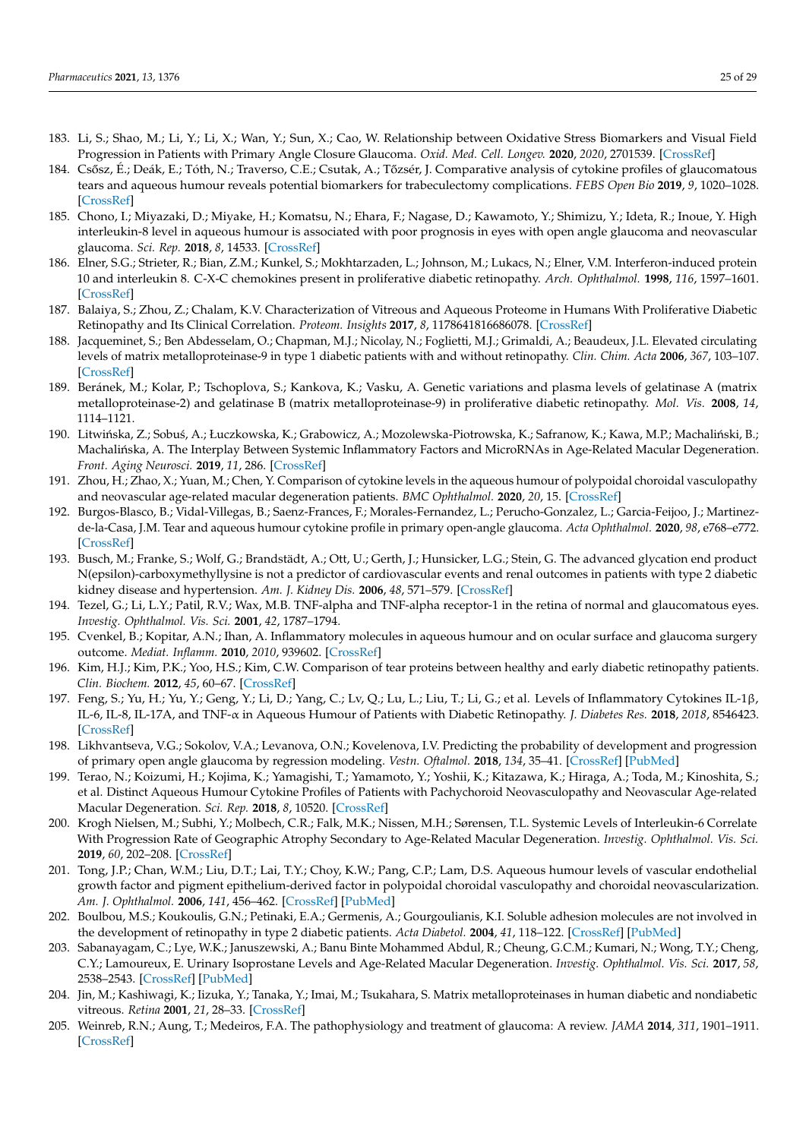- <span id="page-24-7"></span>183. Li, S.; Shao, M.; Li, Y.; Li, X.; Wan, Y.; Sun, X.; Cao, W. Relationship between Oxidative Stress Biomarkers and Visual Field Progression in Patients with Primary Angle Closure Glaucoma. *Oxid. Med. Cell. Longev.* **2020**, *2020*, 2701539. [\[CrossRef\]](http://doi.org/10.1155/2020/2701539)
- <span id="page-24-9"></span>184. Cs˝osz, É.; Deák, E.; Tóth, N.; Traverso, C.E.; Csutak, A.; T˝ozsér, J. Comparative analysis of cytokine profiles of glaucomatous tears and aqueous humour reveals potential biomarkers for trabeculectomy complications. *FEBS Open Bio* **2019**, *9*, 1020–1028. [\[CrossRef\]](http://doi.org/10.1002/2211-5463.12637)
- <span id="page-24-0"></span>185. Chono, I.; Miyazaki, D.; Miyake, H.; Komatsu, N.; Ehara, F.; Nagase, D.; Kawamoto, Y.; Shimizu, Y.; Ideta, R.; Inoue, Y. High interleukin-8 level in aqueous humour is associated with poor prognosis in eyes with open angle glaucoma and neovascular glaucoma. *Sci. Rep.* **2018**, *8*, 14533. [\[CrossRef\]](http://doi.org/10.1038/s41598-018-32725-3)
- <span id="page-24-1"></span>186. Elner, S.G.; Strieter, R.; Bian, Z.M.; Kunkel, S.; Mokhtarzaden, L.; Johnson, M.; Lukacs, N.; Elner, V.M. Interferon-induced protein 10 and interleukin 8. C-X-C chemokines present in proliferative diabetic retinopathy. *Arch. Ophthalmol.* **1998**, *116*, 1597–1601. [\[CrossRef\]](http://doi.org/10.1001/archopht.116.12.1597)
- <span id="page-24-2"></span>187. Balaiya, S.; Zhou, Z.; Chalam, K.V. Characterization of Vitreous and Aqueous Proteome in Humans With Proliferative Diabetic Retinopathy and Its Clinical Correlation. *Proteom. Insights* **2017**, *8*, 1178641816686078. [\[CrossRef\]](http://doi.org/10.1177/1178641816686078)
- <span id="page-24-3"></span>188. Jacqueminet, S.; Ben Abdesselam, O.; Chapman, M.J.; Nicolay, N.; Foglietti, M.J.; Grimaldi, A.; Beaudeux, J.L. Elevated circulating levels of matrix metalloproteinase-9 in type 1 diabetic patients with and without retinopathy. *Clin. Chim. Acta* **2006**, *367*, 103–107. [\[CrossRef\]](http://doi.org/10.1016/j.cca.2005.11.029)
- <span id="page-24-4"></span>189. Beránek, M.; Kolar, P.; Tschoplova, S.; Kankova, K.; Vasku, A. Genetic variations and plasma levels of gelatinase A (matrix metalloproteinase-2) and gelatinase B (matrix metalloproteinase-9) in proliferative diabetic retinopathy. *Mol. Vis.* **2008**, *14*, 1114–1121.
- <span id="page-24-5"></span>190. Litwińska, Z.; Sobuś, A.; Łuczkowska, K.; Grabowicz, A.; Mozolewska-Piotrowska, K.; Safranow, K.; Kawa, M.P.; Machaliński, B.; Machalińska, A. The Interplay Between Systemic Inflammatory Factors and MicroRNAs in Age-Related Macular Degeneration. *Front. Aging Neurosci.* **2019**, *11*, 286. [\[CrossRef\]](http://doi.org/10.3389/fnagi.2019.00286)
- <span id="page-24-6"></span>191. Zhou, H.; Zhao, X.; Yuan, M.; Chen, Y. Comparison of cytokine levels in the aqueous humour of polypoidal choroidal vasculopathy and neovascular age-related macular degeneration patients. *BMC Ophthalmol.* **2020**, *20*, 15. [\[CrossRef\]](http://doi.org/10.1186/s12886-019-1278-8)
- <span id="page-24-8"></span>192. Burgos-Blasco, B.; Vidal-Villegas, B.; Saenz-Frances, F.; Morales-Fernandez, L.; Perucho-Gonzalez, L.; Garcia-Feijoo, J.; Martinezde-la-Casa, J.M. Tear and aqueous humour cytokine profile in primary open-angle glaucoma. *Acta Ophthalmol.* **2020**, *98*, e768–e772. [\[CrossRef\]](http://doi.org/10.1111/aos.14374)
- <span id="page-24-10"></span>193. Busch, M.; Franke, S.; Wolf, G.; Brandstädt, A.; Ott, U.; Gerth, J.; Hunsicker, L.G.; Stein, G. The advanced glycation end product N(epsilon)-carboxymethyllysine is not a predictor of cardiovascular events and renal outcomes in patients with type 2 diabetic kidney disease and hypertension. *Am. J. Kidney Dis.* **2006**, *48*, 571–579. [\[CrossRef\]](http://doi.org/10.1053/j.ajkd.2006.07.009)
- <span id="page-24-11"></span>194. Tezel, G.; Li, L.Y.; Patil, R.V.; Wax, M.B. TNF-alpha and TNF-alpha receptor-1 in the retina of normal and glaucomatous eyes. *Investig. Ophthalmol. Vis. Sci.* **2001**, *42*, 1787–1794.
- <span id="page-24-12"></span>195. Cvenkel, B.; Kopitar, A.N.; Ihan, A. Inflammatory molecules in aqueous humour and on ocular surface and glaucoma surgery outcome. *Mediat. Inflamm.* **2010**, *2010*, 939602. [\[CrossRef\]](http://doi.org/10.1155/2010/939602)
- <span id="page-24-13"></span>196. Kim, H.J.; Kim, P.K.; Yoo, H.S.; Kim, C.W. Comparison of tear proteins between healthy and early diabetic retinopathy patients. *Clin. Biochem.* **2012**, *45*, 60–67. [\[CrossRef\]](http://doi.org/10.1016/j.clinbiochem.2011.10.006)
- <span id="page-24-14"></span>197. Feng, S.; Yu, H.; Yu, Y.; Geng, Y.; Li, D.; Yang, C.; Lv, Q.; Lu, L.; Liu, T.; Li, G.; et al. Levels of Inflammatory Cytokines IL-1β, IL-6, IL-8, IL-17A, and TNF-α in Aqueous Humour of Patients with Diabetic Retinopathy. *J. Diabetes Res.* **2018**, *2018*, 8546423. [\[CrossRef\]](http://doi.org/10.1155/2018/8546423)
- <span id="page-24-15"></span>198. Likhvantseva, V.G.; Sokolov, V.A.; Levanova, O.N.; Kovelenova, I.V. Predicting the probability of development and progression of primary open angle glaucoma by regression modeling. *Vestn. Oftalmol.* **2018**, *134*, 35–41. [\[CrossRef\]](http://doi.org/10.17116/oftalma2018134335) [\[PubMed\]](http://www.ncbi.nlm.nih.gov/pubmed/29953080)
- <span id="page-24-16"></span>199. Terao, N.; Koizumi, H.; Kojima, K.; Yamagishi, T.; Yamamoto, Y.; Yoshii, K.; Kitazawa, K.; Hiraga, A.; Toda, M.; Kinoshita, S.; et al. Distinct Aqueous Humour Cytokine Profiles of Patients with Pachychoroid Neovasculopathy and Neovascular Age-related Macular Degeneration. *Sci. Rep.* **2018**, *8*, 10520. [\[CrossRef\]](http://doi.org/10.1038/s41598-018-28484-w)
- <span id="page-24-17"></span>200. Krogh Nielsen, M.; Subhi, Y.; Molbech, C.R.; Falk, M.K.; Nissen, M.H.; Sørensen, T.L. Systemic Levels of Interleukin-6 Correlate With Progression Rate of Geographic Atrophy Secondary to Age-Related Macular Degeneration. *Investig. Ophthalmol. Vis. Sci.* **2019**, *60*, 202–208. [\[CrossRef\]](http://doi.org/10.1167/iovs.18-25878)
- <span id="page-24-18"></span>201. Tong, J.P.; Chan, W.M.; Liu, D.T.; Lai, T.Y.; Choy, K.W.; Pang, C.P.; Lam, D.S. Aqueous humour levels of vascular endothelial growth factor and pigment epithelium-derived factor in polypoidal choroidal vasculopathy and choroidal neovascularization. *Am. J. Ophthalmol.* **2006**, *141*, 456–462. [\[CrossRef\]](http://doi.org/10.1016/j.ajo.2005.10.012) [\[PubMed\]](http://www.ncbi.nlm.nih.gov/pubmed/16490490)
- <span id="page-24-19"></span>202. Boulbou, M.S.; Koukoulis, G.N.; Petinaki, E.A.; Germenis, A.; Gourgoulianis, K.I. Soluble adhesion molecules are not involved in the development of retinopathy in type 2 diabetic patients. *Acta Diabetol.* **2004**, *41*, 118–122. [\[CrossRef\]](http://doi.org/10.1007/s00592-004-0154-y) [\[PubMed\]](http://www.ncbi.nlm.nih.gov/pubmed/15666579)
- <span id="page-24-20"></span>203. Sabanayagam, C.; Lye, W.K.; Januszewski, A.; Banu Binte Mohammed Abdul, R.; Cheung, G.C.M.; Kumari, N.; Wong, T.Y.; Cheng, C.Y.; Lamoureux, E. Urinary Isoprostane Levels and Age-Related Macular Degeneration. *Investig. Ophthalmol. Vis. Sci.* **2017**, *58*, 2538–2543. [\[CrossRef\]](http://doi.org/10.1167/iovs.16-21263) [\[PubMed\]](http://www.ncbi.nlm.nih.gov/pubmed/28492872)
- <span id="page-24-21"></span>204. Jin, M.; Kashiwagi, K.; Iizuka, Y.; Tanaka, Y.; Imai, M.; Tsukahara, S. Matrix metalloproteinases in human diabetic and nondiabetic vitreous. *Retina* **2001**, *21*, 28–33. [\[CrossRef\]](http://doi.org/10.1097/00006982-200102000-00005)
- <span id="page-24-22"></span>205. Weinreb, R.N.; Aung, T.; Medeiros, F.A. The pathophysiology and treatment of glaucoma: A review. *JAMA* **2014**, *311*, 1901–1911. [\[CrossRef\]](http://doi.org/10.1001/jama.2014.3192)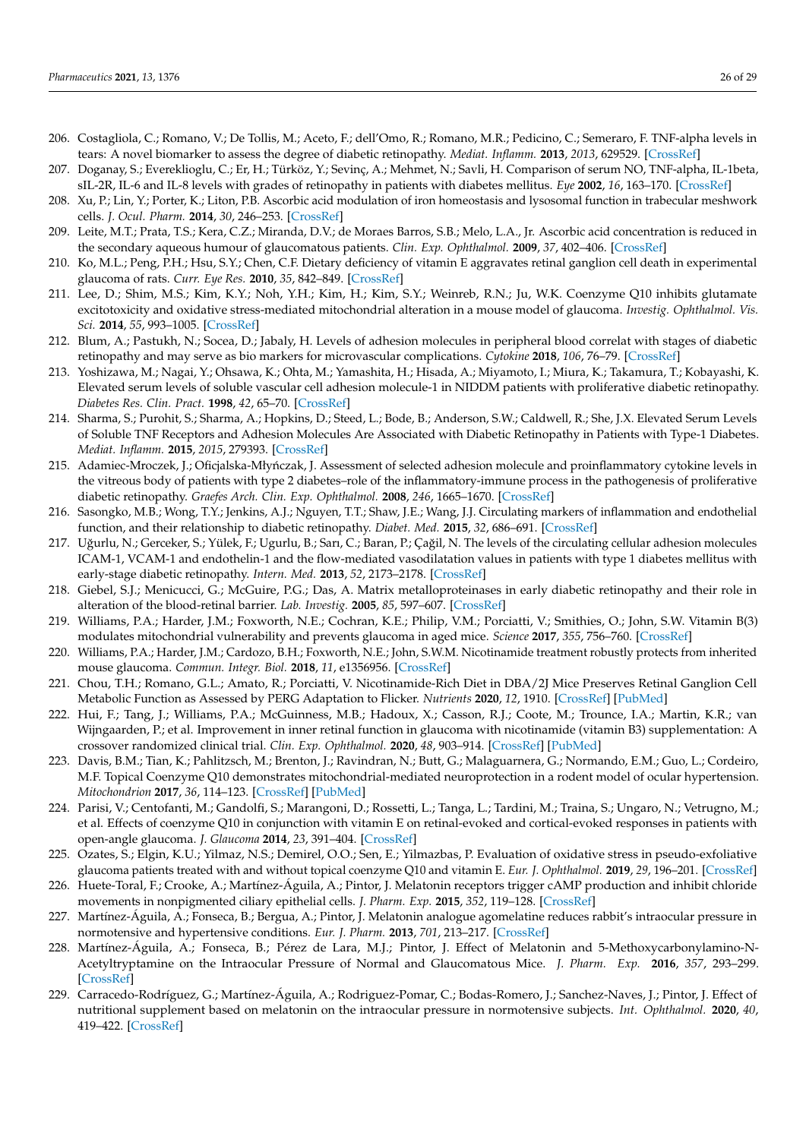- <span id="page-25-0"></span>206. Costagliola, C.; Romano, V.; De Tollis, M.; Aceto, F.; dell'Omo, R.; Romano, M.R.; Pedicino, C.; Semeraro, F. TNF-alpha levels in tears: A novel biomarker to assess the degree of diabetic retinopathy. *Mediat. Inflamm.* **2013**, *2013*, 629529. [\[CrossRef\]](http://doi.org/10.1155/2013/629529)
- <span id="page-25-1"></span>207. Doganay, S.; Evereklioglu, C.; Er, H.; Türköz, Y.; Sevinç, A.; Mehmet, N.; Savli, H. Comparison of serum NO, TNF-alpha, IL-1beta, sIL-2R, IL-6 and IL-8 levels with grades of retinopathy in patients with diabetes mellitus. *Eye* **2002**, *16*, 163–170. [\[CrossRef\]](http://doi.org/10.1038/sj/eye/6700095)
- <span id="page-25-2"></span>208. Xu, P.; Lin, Y.; Porter, K.; Liton, P.B. Ascorbic acid modulation of iron homeostasis and lysosomal function in trabecular meshwork cells. *J. Ocul. Pharm.* **2014**, *30*, 246–253. [\[CrossRef\]](http://doi.org/10.1089/jop.2013.0183)
- <span id="page-25-3"></span>209. Leite, M.T.; Prata, T.S.; Kera, C.Z.; Miranda, D.V.; de Moraes Barros, S.B.; Melo, L.A., Jr. Ascorbic acid concentration is reduced in the secondary aqueous humour of glaucomatous patients. *Clin. Exp. Ophthalmol.* **2009**, *37*, 402–406. [\[CrossRef\]](http://doi.org/10.1111/j.1442-9071.2009.02046.x)
- <span id="page-25-4"></span>210. Ko, M.L.; Peng, P.H.; Hsu, S.Y.; Chen, C.F. Dietary deficiency of vitamin E aggravates retinal ganglion cell death in experimental glaucoma of rats. *Curr. Eye Res.* **2010**, *35*, 842–849. [\[CrossRef\]](http://doi.org/10.3109/02713683.2010.489728)
- <span id="page-25-5"></span>211. Lee, D.; Shim, M.S.; Kim, K.Y.; Noh, Y.H.; Kim, H.; Kim, S.Y.; Weinreb, R.N.; Ju, W.K. Coenzyme Q10 inhibits glutamate excitotoxicity and oxidative stress-mediated mitochondrial alteration in a mouse model of glaucoma. *Investig. Ophthalmol. Vis. Sci.* **2014**, *55*, 993–1005. [\[CrossRef\]](http://doi.org/10.1167/iovs.13-12564)
- <span id="page-25-6"></span>212. Blum, A.; Pastukh, N.; Socea, D.; Jabaly, H. Levels of adhesion molecules in peripheral blood correlat with stages of diabetic retinopathy and may serve as bio markers for microvascular complications. *Cytokine* **2018**, *106*, 76–79. [\[CrossRef\]](http://doi.org/10.1016/j.cyto.2017.10.014)
- 213. Yoshizawa, M.; Nagai, Y.; Ohsawa, K.; Ohta, M.; Yamashita, H.; Hisada, A.; Miyamoto, I.; Miura, K.; Takamura, T.; Kobayashi, K. Elevated serum levels of soluble vascular cell adhesion molecule-1 in NIDDM patients with proliferative diabetic retinopathy. *Diabetes Res. Clin. Pract.* **1998**, *42*, 65–70. [\[CrossRef\]](http://doi.org/10.1016/S0168-8227(98)00091-6)
- <span id="page-25-7"></span>214. Sharma, S.; Purohit, S.; Sharma, A.; Hopkins, D.; Steed, L.; Bode, B.; Anderson, S.W.; Caldwell, R.; She, J.X. Elevated Serum Levels of Soluble TNF Receptors and Adhesion Molecules Are Associated with Diabetic Retinopathy in Patients with Type-1 Diabetes. *Mediat. Inflamm.* **2015**, *2015*, 279393. [\[CrossRef\]](http://doi.org/10.1155/2015/279393)
- <span id="page-25-8"></span>215. Adamiec-Mroczek, J.; Oficjalska-Młyńczak, J. Assessment of selected adhesion molecule and proinflammatory cytokine levels in the vitreous body of patients with type 2 diabetes–role of the inflammatory-immune process in the pathogenesis of proliferative diabetic retinopathy. *Graefes Arch. Clin. Exp. Ophthalmol.* **2008**, *246*, 1665–1670. [\[CrossRef\]](http://doi.org/10.1007/s00417-008-0868-6)
- <span id="page-25-9"></span>216. Sasongko, M.B.; Wong, T.Y.; Jenkins, A.J.; Nguyen, T.T.; Shaw, J.E.; Wang, J.J. Circulating markers of inflammation and endothelial function, and their relationship to diabetic retinopathy. *Diabet. Med.* **2015**, *32*, 686–691. [\[CrossRef\]](http://doi.org/10.1111/dme.12640)
- <span id="page-25-10"></span>217. Uğurlu, N.; Gerceker, S.; Yülek, F.; Ugurlu, B.; Sarı, C.; Baran, P.; Çağil, N. The levels of the circulating cellular adhesion molecules ICAM-1, VCAM-1 and endothelin-1 and the flow-mediated vasodilatation values in patients with type 1 diabetes mellitus with early-stage diabetic retinopathy. *Intern. Med.* **2013**, *52*, 2173–2178. [\[CrossRef\]](http://doi.org/10.2169/internalmedicine.52.8572)
- <span id="page-25-11"></span>218. Giebel, S.J.; Menicucci, G.; McGuire, P.G.; Das, A. Matrix metalloproteinases in early diabetic retinopathy and their role in alteration of the blood-retinal barrier. *Lab. Investig.* **2005**, *85*, 597–607. [\[CrossRef\]](http://doi.org/10.1038/labinvest.3700251)
- <span id="page-25-12"></span>219. Williams, P.A.; Harder, J.M.; Foxworth, N.E.; Cochran, K.E.; Philip, V.M.; Porciatti, V.; Smithies, O.; John, S.W. Vitamin B(3) modulates mitochondrial vulnerability and prevents glaucoma in aged mice. *Science* **2017**, *355*, 756–760. [\[CrossRef\]](http://doi.org/10.1126/science.aal0092)
- 220. Williams, P.A.; Harder, J.M.; Cardozo, B.H.; Foxworth, N.E.; John, S.W.M. Nicotinamide treatment robustly protects from inherited mouse glaucoma. *Commun. Integr. Biol.* **2018**, *11*, e1356956. [\[CrossRef\]](http://doi.org/10.1080/19420889.2017.1356956)
- <span id="page-25-13"></span>221. Chou, T.H.; Romano, G.L.; Amato, R.; Porciatti, V. Nicotinamide-Rich Diet in DBA/2J Mice Preserves Retinal Ganglion Cell Metabolic Function as Assessed by PERG Adaptation to Flicker. *Nutrients* **2020**, *12*, 1910. [\[CrossRef\]](http://doi.org/10.3390/nu12071910) [\[PubMed\]](http://www.ncbi.nlm.nih.gov/pubmed/32605122)
- <span id="page-25-14"></span>222. Hui, F.; Tang, J.; Williams, P.A.; McGuinness, M.B.; Hadoux, X.; Casson, R.J.; Coote, M.; Trounce, I.A.; Martin, K.R.; van Wijngaarden, P.; et al. Improvement in inner retinal function in glaucoma with nicotinamide (vitamin B3) supplementation: A crossover randomized clinical trial. *Clin. Exp. Ophthalmol.* **2020**, *48*, 903–914. [\[CrossRef\]](http://doi.org/10.1111/ceo.13818) [\[PubMed\]](http://www.ncbi.nlm.nih.gov/pubmed/32721104)
- <span id="page-25-15"></span>223. Davis, B.M.; Tian, K.; Pahlitzsch, M.; Brenton, J.; Ravindran, N.; Butt, G.; Malaguarnera, G.; Normando, E.M.; Guo, L.; Cordeiro, M.F. Topical Coenzyme Q10 demonstrates mitochondrial-mediated neuroprotection in a rodent model of ocular hypertension. *Mitochondrion* **2017**, *36*, 114–123. [\[CrossRef\]](http://doi.org/10.1016/j.mito.2017.05.010) [\[PubMed\]](http://www.ncbi.nlm.nih.gov/pubmed/28549843)
- <span id="page-25-16"></span>224. Parisi, V.; Centofanti, M.; Gandolfi, S.; Marangoni, D.; Rossetti, L.; Tanga, L.; Tardini, M.; Traina, S.; Ungaro, N.; Vetrugno, M.; et al. Effects of coenzyme Q10 in conjunction with vitamin E on retinal-evoked and cortical-evoked responses in patients with open-angle glaucoma. *J. Glaucoma* **2014**, *23*, 391–404. [\[CrossRef\]](http://doi.org/10.1097/IJG.0b013e318279b836)
- <span id="page-25-17"></span>225. Ozates, S.; Elgin, K.U.; Yilmaz, N.S.; Demirel, O.O.; Sen, E.; Yilmazbas, P. Evaluation of oxidative stress in pseudo-exfoliative glaucoma patients treated with and without topical coenzyme Q10 and vitamin E. *Eur. J. Ophthalmol.* **2019**, *29*, 196–201. [\[CrossRef\]](http://doi.org/10.1177/1120672118779486)
- <span id="page-25-18"></span>226. Huete-Toral, F.; Crooke, A.; Martínez-Águila, A.; Pintor, J. Melatonin receptors trigger cAMP production and inhibit chloride movements in nonpigmented ciliary epithelial cells. *J. Pharm. Exp.* **2015**, *352*, 119–128. [\[CrossRef\]](http://doi.org/10.1124/jpet.114.218263)
- <span id="page-25-19"></span>227. Martínez-Águila, A.; Fonseca, B.; Bergua, A.; Pintor, J. Melatonin analogue agomelatine reduces rabbit's intraocular pressure in normotensive and hypertensive conditions. *Eur. J. Pharm.* **2013**, *701*, 213–217. [\[CrossRef\]](http://doi.org/10.1016/j.ejphar.2012.12.009)
- <span id="page-25-20"></span>228. Martínez-Águila, A.; Fonseca, B.; Pérez de Lara, M.J.; Pintor, J. Effect of Melatonin and 5-Methoxycarbonylamino-N-Acetyltryptamine on the Intraocular Pressure of Normal and Glaucomatous Mice. *J. Pharm. Exp.* **2016**, *357*, 293–299. [\[CrossRef\]](http://doi.org/10.1124/jpet.115.231456)
- <span id="page-25-21"></span>229. Carracedo-Rodríguez, G.; Martínez-Águila, A.; Rodriguez-Pomar, C.; Bodas-Romero, J.; Sanchez-Naves, J.; Pintor, J. Effect of nutritional supplement based on melatonin on the intraocular pressure in normotensive subjects. *Int. Ophthalmol.* **2020**, *40*, 419–422. [\[CrossRef\]](http://doi.org/10.1007/s10792-019-01199-1)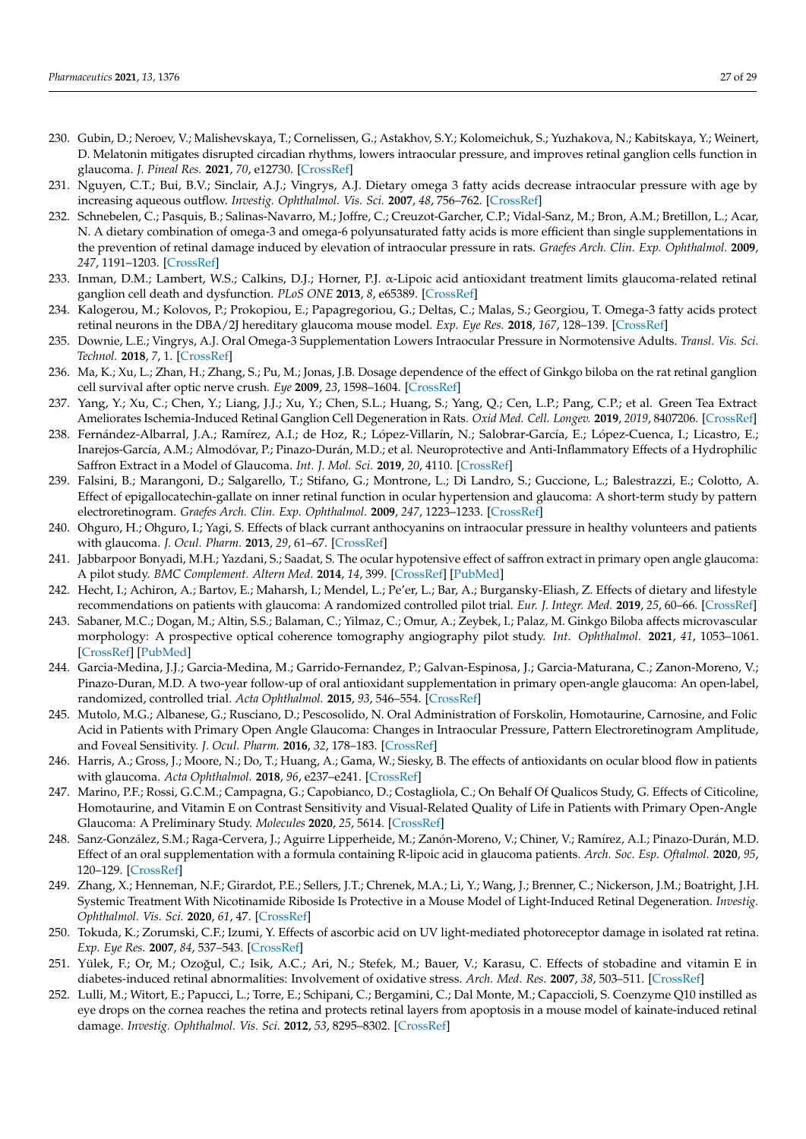- <span id="page-26-0"></span>230. Gubin, D.; Neroev, V.; Malishevskaya, T.; Cornelissen, G.; Astakhov, S.Y.; Kolomeichuk, S.; Yuzhakova, N.; Kabitskaya, Y.; Weinert, D. Melatonin mitigates disrupted circadian rhythms, lowers intraocular pressure, and improves retinal ganglion cells function in glaucoma. *J. Pineal Res.* **2021**, *70*, e12730. [\[CrossRef\]](http://doi.org/10.1111/jpi.12730)
- <span id="page-26-1"></span>231. Nguyen, C.T.; Bui, B.V.; Sinclair, A.J.; Vingrys, A.J. Dietary omega 3 fatty acids decrease intraocular pressure with age by increasing aqueous outflow. *Investig. Ophthalmol. Vis. Sci.* **2007**, *48*, 756–762. [\[CrossRef\]](http://doi.org/10.1167/iovs.06-0585)
- 232. Schnebelen, C.; Pasquis, B.; Salinas-Navarro, M.; Joffre, C.; Creuzot-Garcher, C.P.; Vidal-Sanz, M.; Bron, A.M.; Bretillon, L.; Acar, N. A dietary combination of omega-3 and omega-6 polyunsaturated fatty acids is more efficient than single supplementations in the prevention of retinal damage induced by elevation of intraocular pressure in rats. *Graefes Arch. Clin. Exp. Ophthalmol.* **2009**, *247*, 1191–1203. [\[CrossRef\]](http://doi.org/10.1007/s00417-009-1094-6)
- 233. Inman, D.M.; Lambert, W.S.; Calkins, D.J.; Horner, P.J. α-Lipoic acid antioxidant treatment limits glaucoma-related retinal ganglion cell death and dysfunction. *PLoS ONE* **2013**, *8*, e65389. [\[CrossRef\]](http://doi.org/10.1371/journal.pone.0065389)
- <span id="page-26-2"></span>234. Kalogerou, M.; Kolovos, P.; Prokopiou, E.; Papagregoriou, G.; Deltas, C.; Malas, S.; Georgiou, T. Omega-3 fatty acids protect retinal neurons in the DBA/2J hereditary glaucoma mouse model. *Exp. Eye Res.* **2018**, *167*, 128–139. [\[CrossRef\]](http://doi.org/10.1016/j.exer.2017.12.005)
- <span id="page-26-3"></span>235. Downie, L.E.; Vingrys, A.J. Oral Omega-3 Supplementation Lowers Intraocular Pressure in Normotensive Adults. *Transl. Vis. Sci. Technol.* **2018**, *7*, 1. [\[CrossRef\]](http://doi.org/10.1167/tvst.7.3.1)
- <span id="page-26-4"></span>236. Ma, K.; Xu, L.; Zhan, H.; Zhang, S.; Pu, M.; Jonas, J.B. Dosage dependence of the effect of Ginkgo biloba on the rat retinal ganglion cell survival after optic nerve crush. *Eye* **2009**, *23*, 1598–1604. [\[CrossRef\]](http://doi.org/10.1038/eye.2008.286)
- 237. Yang, Y.; Xu, C.; Chen, Y.; Liang, J.J.; Xu, Y.; Chen, S.L.; Huang, S.; Yang, Q.; Cen, L.P.; Pang, C.P.; et al. Green Tea Extract Ameliorates Ischemia-Induced Retinal Ganglion Cell Degeneration in Rats. *Oxid Med. Cell. Longev.* **2019**, *2019*, 8407206. [\[CrossRef\]](http://doi.org/10.1155/2019/8407206)
- <span id="page-26-5"></span>238. Fernández-Albarral, J.A.; Ramírez, A.I.; de Hoz, R.; López-Villarín, N.; Salobrar-García, E.; López-Cuenca, I.; Licastro, E.; Inarejos-García, A.M.; Almodóvar, P.; Pinazo-Durán, M.D.; et al. Neuroprotective and Anti-Inflammatory Effects of a Hydrophilic Saffron Extract in a Model of Glaucoma. *Int. J. Mol. Sci.* **2019**, *20*, 4110. [\[CrossRef\]](http://doi.org/10.3390/ijms20174110)
- <span id="page-26-6"></span>239. Falsini, B.; Marangoni, D.; Salgarello, T.; Stifano, G.; Montrone, L.; Di Landro, S.; Guccione, L.; Balestrazzi, E.; Colotto, A. Effect of epigallocatechin-gallate on inner retinal function in ocular hypertension and glaucoma: A short-term study by pattern electroretinogram. *Graefes Arch. Clin. Exp. Ophthalmol.* **2009**, *247*, 1223–1233. [\[CrossRef\]](http://doi.org/10.1007/s00417-009-1064-z)
- 240. Ohguro, H.; Ohguro, I.; Yagi, S. Effects of black currant anthocyanins on intraocular pressure in healthy volunteers and patients with glaucoma. *J. Ocul. Pharm.* **2013**, *29*, 61–67. [\[CrossRef\]](http://doi.org/10.1089/jop.2012.0071)
- 241. Jabbarpoor Bonyadi, M.H.; Yazdani, S.; Saadat, S. The ocular hypotensive effect of saffron extract in primary open angle glaucoma: A pilot study. *BMC Complement. Altern Med.* **2014**, *14*, 399. [\[CrossRef\]](http://doi.org/10.1186/1472-6882-14-399) [\[PubMed\]](http://www.ncbi.nlm.nih.gov/pubmed/25319729)
- 242. Hecht, I.; Achiron, A.; Bartov, E.; Maharsh, I.; Mendel, L.; Pe'er, L.; Bar, A.; Burgansky-Eliash, Z. Effects of dietary and lifestyle recommendations on patients with glaucoma: A randomized controlled pilot trial. *Eur. J. Integr. Med.* **2019**, *25*, 60–66. [\[CrossRef\]](http://doi.org/10.1016/j.eujim.2018.12.002)
- <span id="page-26-7"></span>243. Sabaner, M.C.; Dogan, M.; Altin, S.S.; Balaman, C.; Yilmaz, C.; Omur, A.; Zeybek, I.; Palaz, M. Ginkgo Biloba affects microvascular morphology: A prospective optical coherence tomography angiography pilot study. *Int. Ophthalmol.* **2021**, *41*, 1053–1061. [\[CrossRef\]](http://doi.org/10.1007/s10792-020-01663-3) [\[PubMed\]](http://www.ncbi.nlm.nih.gov/pubmed/33392942)
- <span id="page-26-8"></span>244. Garcia-Medina, J.J.; Garcia-Medina, M.; Garrido-Fernandez, P.; Galvan-Espinosa, J.; Garcia-Maturana, C.; Zanon-Moreno, V.; Pinazo-Duran, M.D. A two-year follow-up of oral antioxidant supplementation in primary open-angle glaucoma: An open-label, randomized, controlled trial. *Acta Ophthalmol.* **2015**, *93*, 546–554. [\[CrossRef\]](http://doi.org/10.1111/aos.12629)
- <span id="page-26-14"></span>245. Mutolo, M.G.; Albanese, G.; Rusciano, D.; Pescosolido, N. Oral Administration of Forskolin, Homotaurine, Carnosine, and Folic Acid in Patients with Primary Open Angle Glaucoma: Changes in Intraocular Pressure, Pattern Electroretinogram Amplitude, and Foveal Sensitivity. *J. Ocul. Pharm.* **2016**, *32*, 178–183. [\[CrossRef\]](http://doi.org/10.1089/jop.2015.0121)
- 246. Harris, A.; Gross, J.; Moore, N.; Do, T.; Huang, A.; Gama, W.; Siesky, B. The effects of antioxidants on ocular blood flow in patients with glaucoma. *Acta Ophthalmol.* **2018**, *96*, e237–e241. [\[CrossRef\]](http://doi.org/10.1111/aos.13530)
- 247. Marino, P.F.; Rossi, G.C.M.; Campagna, G.; Capobianco, D.; Costagliola, C.; On Behalf Of Qualicos Study, G. Effects of Citicoline, Homotaurine, and Vitamin E on Contrast Sensitivity and Visual-Related Quality of Life in Patients with Primary Open-Angle Glaucoma: A Preliminary Study. *Molecules* **2020**, *25*, 5614. [\[CrossRef\]](http://doi.org/10.3390/molecules25235614)
- <span id="page-26-9"></span>248. Sanz-González, S.M.; Raga-Cervera, J.; Aguirre Lipperheide, M.; Zanón-Moreno, V.; Chiner, V.; Ramírez, A.I.; Pinazo-Durán, M.D. Effect of an oral supplementation with a formula containing R-lipoic acid in glaucoma patients. *Arch. Soc. Esp. Oftalmol.* **2020**, *95*, 120–129. [\[CrossRef\]](http://doi.org/10.1016/j.oftal.2019.11.009)
- <span id="page-26-10"></span>249. Zhang, X.; Henneman, N.F.; Girardot, P.E.; Sellers, J.T.; Chrenek, M.A.; Li, Y.; Wang, J.; Brenner, C.; Nickerson, J.M.; Boatright, J.H. Systemic Treatment With Nicotinamide Riboside Is Protective in a Mouse Model of Light-Induced Retinal Degeneration. *Investig. Ophthalmol. Vis. Sci.* **2020**, *61*, 47. [\[CrossRef\]](http://doi.org/10.1167/iovs.61.10.47)
- <span id="page-26-11"></span>250. Tokuda, K.; Zorumski, C.F.; Izumi, Y. Effects of ascorbic acid on UV light-mediated photoreceptor damage in isolated rat retina. *Exp. Eye Res.* **2007**, *84*, 537–543. [\[CrossRef\]](http://doi.org/10.1016/j.exer.2006.11.005)
- <span id="page-26-12"></span>251. Yülek, F.; Or, M.; Ozoğul, C.; Isik, A.C.; Ari, N.; Stefek, M.; Bauer, V.; Karasu, C. Effects of stobadine and vitamin E in diabetes-induced retinal abnormalities: Involvement of oxidative stress. *Arch. Med. Res.* **2007**, *38*, 503–511. [\[CrossRef\]](http://doi.org/10.1016/j.arcmed.2007.02.006)
- <span id="page-26-13"></span>252. Lulli, M.; Witort, E.; Papucci, L.; Torre, E.; Schipani, C.; Bergamini, C.; Dal Monte, M.; Capaccioli, S. Coenzyme Q10 instilled as eye drops on the cornea reaches the retina and protects retinal layers from apoptosis in a mouse model of kainate-induced retinal damage. *Investig. Ophthalmol. Vis. Sci.* **2012**, *53*, 8295–8302. [\[CrossRef\]](http://doi.org/10.1167/iovs.12-10374)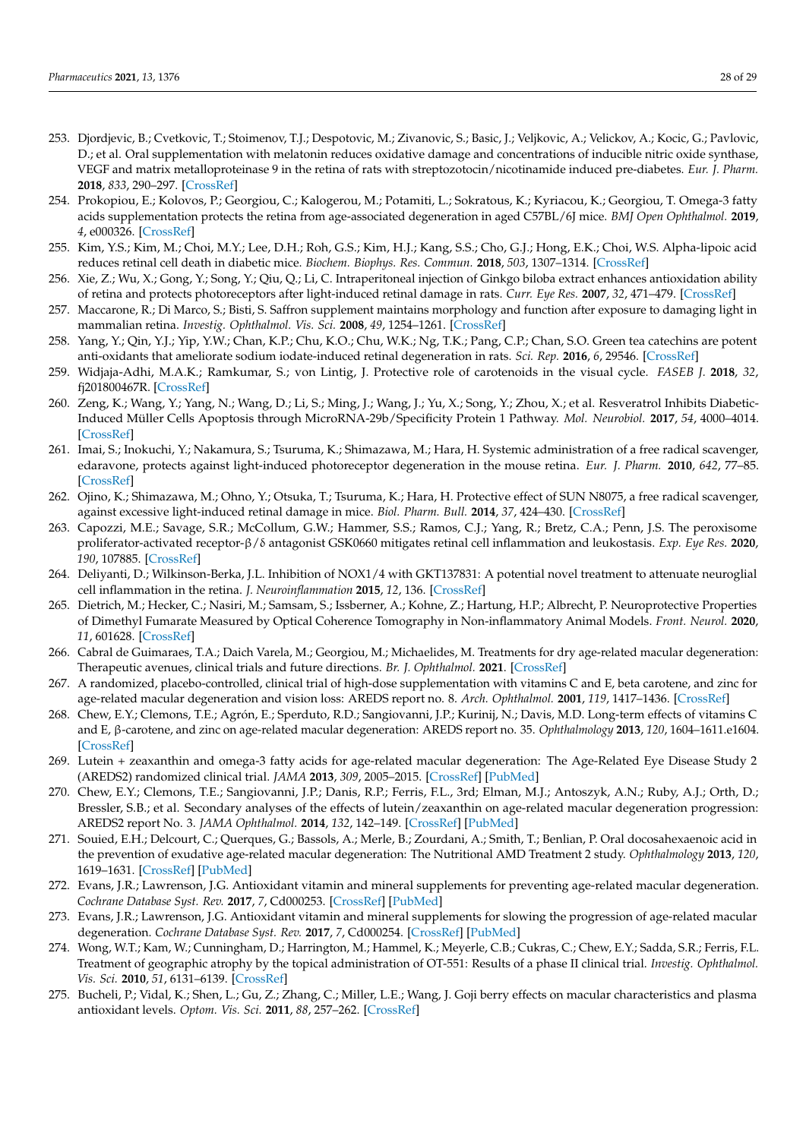- <span id="page-27-0"></span>253. Djordjevic, B.; Cvetkovic, T.; Stoimenov, T.J.; Despotovic, M.; Zivanovic, S.; Basic, J.; Veljkovic, A.; Velickov, A.; Kocic, G.; Pavlovic, D.; et al. Oral supplementation with melatonin reduces oxidative damage and concentrations of inducible nitric oxide synthase, VEGF and matrix metalloproteinase 9 in the retina of rats with streptozotocin/nicotinamide induced pre-diabetes. *Eur. J. Pharm.* **2018**, *833*, 290–297. [\[CrossRef\]](http://doi.org/10.1016/j.ejphar.2018.06.011)
- <span id="page-27-1"></span>254. Prokopiou, E.; Kolovos, P.; Georgiou, C.; Kalogerou, M.; Potamiti, L.; Sokratous, K.; Kyriacou, K.; Georgiou, T. Omega-3 fatty acids supplementation protects the retina from age-associated degeneration in aged C57BL/6J mice. *BMJ Open Ophthalmol.* **2019**, *4*, e000326. [\[CrossRef\]](http://doi.org/10.1136/bmjophth-2019-000326)
- <span id="page-27-2"></span>255. Kim, Y.S.; Kim, M.; Choi, M.Y.; Lee, D.H.; Roh, G.S.; Kim, H.J.; Kang, S.S.; Cho, G.J.; Hong, E.K.; Choi, W.S. Alpha-lipoic acid reduces retinal cell death in diabetic mice. *Biochem. Biophys. Res. Commun.* **2018**, *503*, 1307–1314. [\[CrossRef\]](http://doi.org/10.1016/j.bbrc.2018.07.041)
- <span id="page-27-3"></span>256. Xie, Z.; Wu, X.; Gong, Y.; Song, Y.; Qiu, Q.; Li, C. Intraperitoneal injection of Ginkgo biloba extract enhances antioxidation ability of retina and protects photoreceptors after light-induced retinal damage in rats. *Curr. Eye Res.* **2007**, *32*, 471–479. [\[CrossRef\]](http://doi.org/10.1080/02713680701257621)
- 257. Maccarone, R.; Di Marco, S.; Bisti, S. Saffron supplement maintains morphology and function after exposure to damaging light in mammalian retina. *Investig. Ophthalmol. Vis. Sci.* **2008**, *49*, 1254–1261. [\[CrossRef\]](http://doi.org/10.1167/iovs.07-0438)
- <span id="page-27-4"></span>258. Yang, Y.; Qin, Y.J.; Yip, Y.W.; Chan, K.P.; Chu, K.O.; Chu, W.K.; Ng, T.K.; Pang, C.P.; Chan, S.O. Green tea catechins are potent anti-oxidants that ameliorate sodium iodate-induced retinal degeneration in rats. *Sci. Rep.* **2016**, *6*, 29546. [\[CrossRef\]](http://doi.org/10.1038/srep29546)
- <span id="page-27-5"></span>259. Widjaja-Adhi, M.A.K.; Ramkumar, S.; von Lintig, J. Protective role of carotenoids in the visual cycle. *FASEB J.* **2018**, *32*, fj201800467R. [\[CrossRef\]](http://doi.org/10.1096/fj.201800467R)
- <span id="page-27-6"></span>260. Zeng, K.; Wang, Y.; Yang, N.; Wang, D.; Li, S.; Ming, J.; Wang, J.; Yu, X.; Song, Y.; Zhou, X.; et al. Resveratrol Inhibits Diabetic-Induced Müller Cells Apoptosis through MicroRNA-29b/Specificity Protein 1 Pathway. *Mol. Neurobiol.* **2017**, *54*, 4000–4014. [\[CrossRef\]](http://doi.org/10.1007/s12035-016-9972-5)
- <span id="page-27-7"></span>261. Imai, S.; Inokuchi, Y.; Nakamura, S.; Tsuruma, K.; Shimazawa, M.; Hara, H. Systemic administration of a free radical scavenger, edaravone, protects against light-induced photoreceptor degeneration in the mouse retina. *Eur. J. Pharm.* **2010**, *642*, 77–85. [\[CrossRef\]](http://doi.org/10.1016/j.ejphar.2010.05.057)
- <span id="page-27-8"></span>262. Ojino, K.; Shimazawa, M.; Ohno, Y.; Otsuka, T.; Tsuruma, K.; Hara, H. Protective effect of SUN N8075, a free radical scavenger, against excessive light-induced retinal damage in mice. *Biol. Pharm. Bull.* **2014**, *37*, 424–430. [\[CrossRef\]](http://doi.org/10.1248/bpb.b13-00778)
- <span id="page-27-9"></span>263. Capozzi, M.E.; Savage, S.R.; McCollum, G.W.; Hammer, S.S.; Ramos, C.J.; Yang, R.; Bretz, C.A.; Penn, J.S. The peroxisome proliferator-activated receptor-β/δ antagonist GSK0660 mitigates retinal cell inflammation and leukostasis. *Exp. Eye Res.* **2020**, *190*, 107885. [\[CrossRef\]](http://doi.org/10.1016/j.exer.2019.107885)
- <span id="page-27-10"></span>264. Deliyanti, D.; Wilkinson-Berka, J.L. Inhibition of NOX1/4 with GKT137831: A potential novel treatment to attenuate neuroglial cell inflammation in the retina. *J. Neuroinflammation* **2015**, *12*, 136. [\[CrossRef\]](http://doi.org/10.1186/s12974-015-0363-z)
- <span id="page-27-11"></span>265. Dietrich, M.; Hecker, C.; Nasiri, M.; Samsam, S.; Issberner, A.; Kohne, Z.; Hartung, H.P.; Albrecht, P. Neuroprotective Properties of Dimethyl Fumarate Measured by Optical Coherence Tomography in Non-inflammatory Animal Models. *Front. Neurol.* **2020**, *11*, 601628. [\[CrossRef\]](http://doi.org/10.3389/fneur.2020.601628)
- <span id="page-27-12"></span>266. Cabral de Guimaraes, T.A.; Daich Varela, M.; Georgiou, M.; Michaelides, M. Treatments for dry age-related macular degeneration: Therapeutic avenues, clinical trials and future directions. *Br. J. Ophthalmol.* **2021**. [\[CrossRef\]](http://doi.org/10.1136/bjophthalmol-2020-318452)
- <span id="page-27-13"></span>267. A randomized, placebo-controlled, clinical trial of high-dose supplementation with vitamins C and E, beta carotene, and zinc for age-related macular degeneration and vision loss: AREDS report no. 8. *Arch. Ophthalmol.* **2001**, *119*, 1417–1436. [\[CrossRef\]](http://doi.org/10.1001/archopht.119.10.1417)
- <span id="page-27-14"></span>268. Chew, E.Y.; Clemons, T.E.; Agrón, E.; Sperduto, R.D.; Sangiovanni, J.P.; Kurinij, N.; Davis, M.D. Long-term effects of vitamins C and E, β-carotene, and zinc on age-related macular degeneration: AREDS report no. 35. *Ophthalmology* **2013**, *120*, 1604–1611.e1604. [\[CrossRef\]](http://doi.org/10.1016/j.ophtha.2013.01.021)
- <span id="page-27-15"></span>269. Lutein + zeaxanthin and omega-3 fatty acids for age-related macular degeneration: The Age-Related Eye Disease Study 2 (AREDS2) randomized clinical trial. *JAMA* **2013**, *309*, 2005–2015. [\[CrossRef\]](http://doi.org/10.1001/jama.2013.4997) [\[PubMed\]](http://www.ncbi.nlm.nih.gov/pubmed/23644932)
- <span id="page-27-16"></span>270. Chew, E.Y.; Clemons, T.E.; Sangiovanni, J.P.; Danis, R.P.; Ferris, F.L., 3rd; Elman, M.J.; Antoszyk, A.N.; Ruby, A.J.; Orth, D.; Bressler, S.B.; et al. Secondary analyses of the effects of lutein/zeaxanthin on age-related macular degeneration progression: AREDS2 report No. 3. *JAMA Ophthalmol.* **2014**, *132*, 142–149. [\[CrossRef\]](http://doi.org/10.1001/jamaophthalmol.2013.7376) [\[PubMed\]](http://www.ncbi.nlm.nih.gov/pubmed/24310343)
- <span id="page-27-17"></span>271. Souied, E.H.; Delcourt, C.; Querques, G.; Bassols, A.; Merle, B.; Zourdani, A.; Smith, T.; Benlian, P. Oral docosahexaenoic acid in the prevention of exudative age-related macular degeneration: The Nutritional AMD Treatment 2 study. *Ophthalmology* **2013**, *120*, 1619–1631. [\[CrossRef\]](http://doi.org/10.1016/j.ophtha.2013.01.005) [\[PubMed\]](http://www.ncbi.nlm.nih.gov/pubmed/23395546)
- <span id="page-27-18"></span>272. Evans, J.R.; Lawrenson, J.G. Antioxidant vitamin and mineral supplements for preventing age-related macular degeneration. *Cochrane Database Syst. Rev.* **2017**, *7*, Cd000253. [\[CrossRef\]](http://doi.org/10.1002/14651858.CD000253.pub4) [\[PubMed\]](http://www.ncbi.nlm.nih.gov/pubmed/28756617)
- <span id="page-27-19"></span>273. Evans, J.R.; Lawrenson, J.G. Antioxidant vitamin and mineral supplements for slowing the progression of age-related macular degeneration. *Cochrane Database Syst. Rev.* **2017**, *7*, Cd000254. [\[CrossRef\]](http://doi.org/10.1002/14651858.CD000254.pub4) [\[PubMed\]](http://www.ncbi.nlm.nih.gov/pubmed/28756618)
- <span id="page-27-20"></span>274. Wong, W.T.; Kam, W.; Cunningham, D.; Harrington, M.; Hammel, K.; Meyerle, C.B.; Cukras, C.; Chew, E.Y.; Sadda, S.R.; Ferris, F.L. Treatment of geographic atrophy by the topical administration of OT-551: Results of a phase II clinical trial. *Investig. Ophthalmol. Vis. Sci.* **2010**, *51*, 6131–6139. [\[CrossRef\]](http://doi.org/10.1167/iovs.10-5637)
- 275. Bucheli, P.; Vidal, K.; Shen, L.; Gu, Z.; Zhang, C.; Miller, L.E.; Wang, J. Goji berry effects on macular characteristics and plasma antioxidant levels. *Optom. Vis. Sci.* **2011**, *88*, 257–262. [\[CrossRef\]](http://doi.org/10.1097/OPX.0b013e318205a18f)